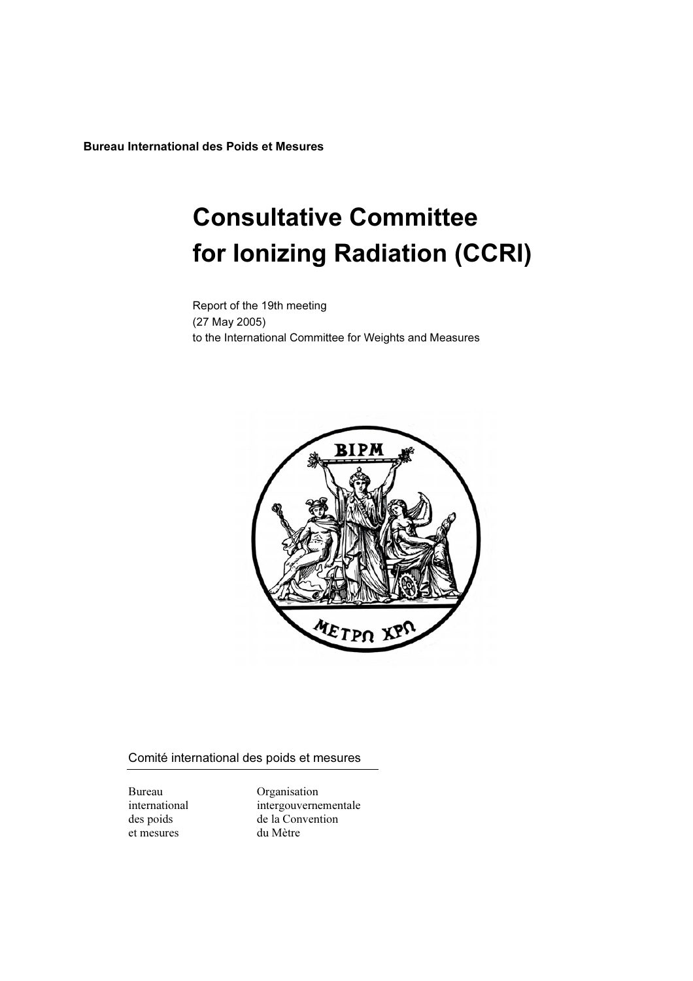Bureau International des Poids et Mesures

# Consultative Committee for Ionizing Radiation (CCRI)

Report of the 19th meeting (27 May 2005) to the International Committee for Weights and Measures



Comité international des poids et mesures

et mesures du Mètre

Bureau Organisation international intergouvernementale des poids de la Convention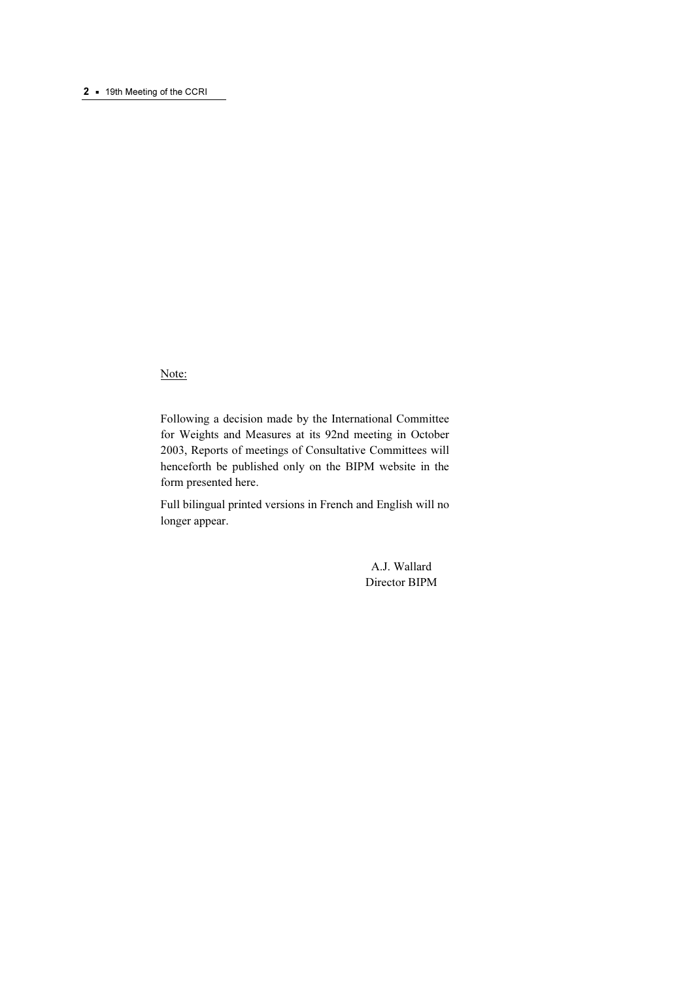#### 2 • 19th Meeting of the CCRI

Note:

Following a decision made by the International Committee for Weights and Measures at its 92nd meeting in October 2003, Reports of meetings of Consultative Committees will henceforth be published only on the BIPM website in the form presented here.

Full bilingual printed versions in French and English will no longer appear.

> A.J. Wallard Director BIPM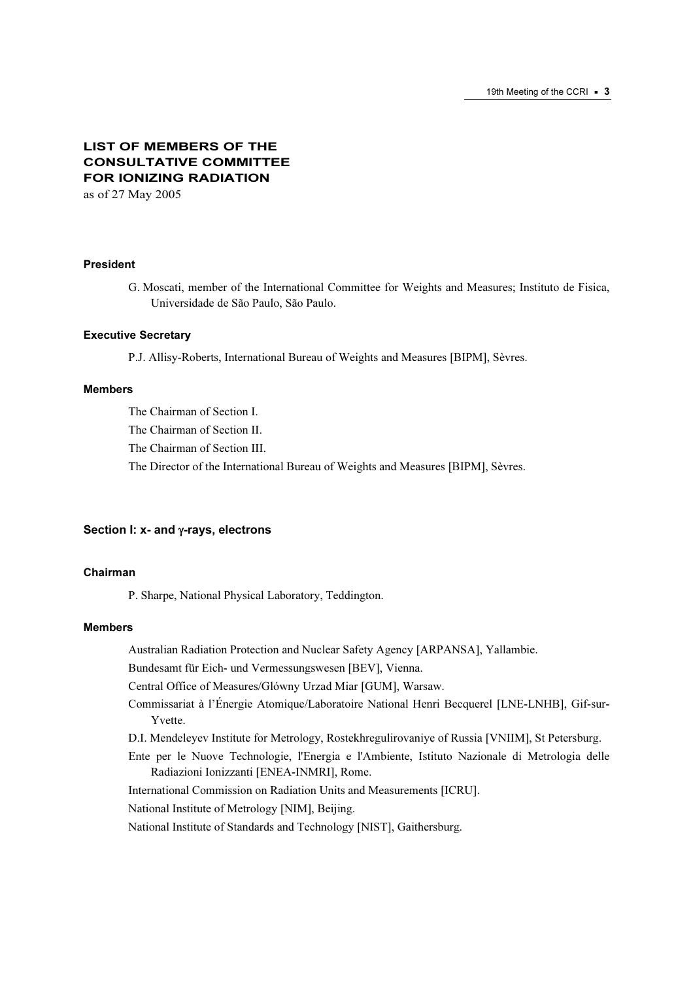# LIST OF MEMBERS OF THE CONSULTATIVE COMMITTEE FOR IONIZING RADIATION

as of 27 May 2005

#### President

G. Moscati, member of the International Committee for Weights and Measures; Instituto de Fisica, Universidade de São Paulo, São Paulo.

#### Executive Secretary

P.J. Allisy-Roberts, International Bureau of Weights and Measures [BIPM], Sèvres.

#### Members

The Chairman of Section I.

The Chairman of Section II.

The Chairman of Section III.

The Director of the International Bureau of Weights and Measures [BIPM], Sèvres.

#### Section I: x- and γ-rays, electrons

#### Chairman

P. Sharpe, National Physical Laboratory, Teddington.

#### Members

Australian Radiation Protection and Nuclear Safety Agency [ARPANSA], Yallambie.

Bundesamt für Eich- und Vermessungswesen [BEV], Vienna.

Central Office of Measures/Glówny Urzad Miar [GUM], Warsaw.

- Commissariat à l'Énergie Atomique/Laboratoire National Henri Becquerel [LNE-LNHB], Gif-sur-Yvette.
- D.I. Mendeleyev Institute for Metrology, Rostekhregulirovaniye of Russia [VNIIM], St Petersburg.

Ente per le Nuove Technologie, l'Energia e l'Ambiente, Istituto Nazionale di Metrologia delle Radiazioni Ionizzanti [ENEA-INMRI], Rome.

International Commission on Radiation Units and Measurements [ICRU].

National Institute of Metrology [NIM], Beijing.

National Institute of Standards and Technology [NIST], Gaithersburg.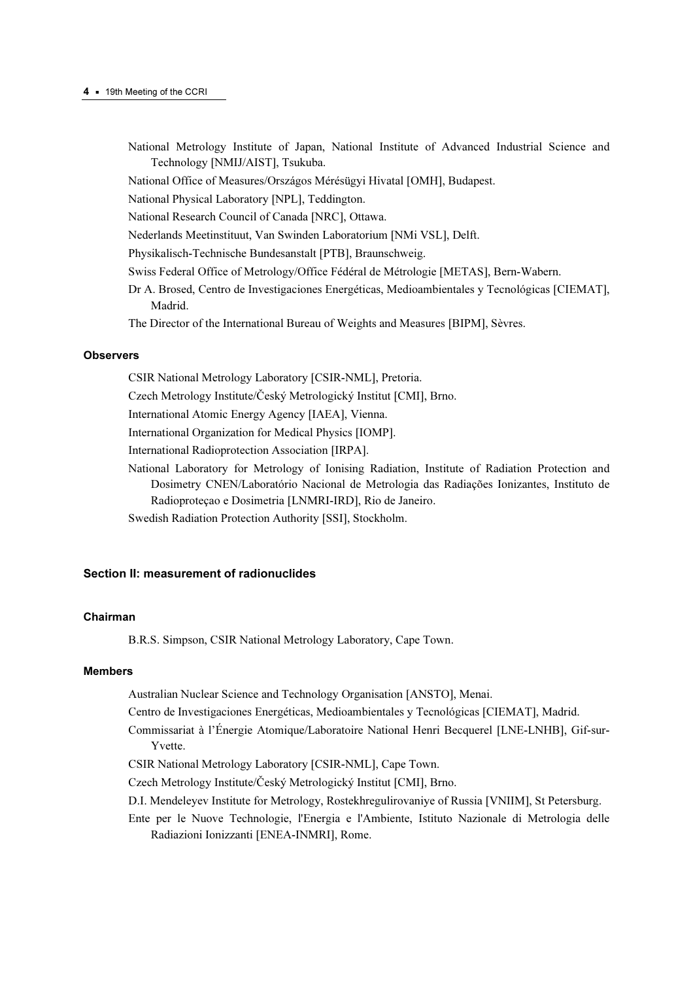- National Metrology Institute of Japan, National Institute of Advanced Industrial Science and Technology [NMIJ/AIST], Tsukuba.
- National Office of Measures/Országos Mérésügyi Hivatal [OMH], Budapest.

National Physical Laboratory [NPL], Teddington.

National Research Council of Canada [NRC], Ottawa.

Nederlands Meetinstituut, Van Swinden Laboratorium [NMi VSL], Delft.

Physikalisch-Technische Bundesanstalt [PTB], Braunschweig.

- Swiss Federal Office of Metrology/Office Fédéral de Métrologie [METAS], Bern-Wabern.
- Dr A. Brosed, Centro de Investigaciones Energéticas, Medioambientales y Tecnológicas [CIEMAT], Madrid.
- The Director of the International Bureau of Weights and Measures [BIPM], Sèvres.

#### **Observers**

CSIR National Metrology Laboratory [CSIR-NML], Pretoria.

Czech Metrology Institute/Český Metrologický Institut [CMI], Brno.

International Atomic Energy Agency [IAEA], Vienna.

International Organization for Medical Physics [IOMP].

International Radioprotection Association [IRPA].

- National Laboratory for Metrology of Ionising Radiation, Institute of Radiation Protection and Dosimetry CNEN/Laboratório Nacional de Metrologia das Radiações Ionizantes, Instituto de Radioproteçao e Dosimetria [LNMRI-IRD], Rio de Janeiro.
- Swedish Radiation Protection Authority [SSI], Stockholm.

#### Section II: measurement of radionuclides

#### Chairman

B.R.S. Simpson, CSIR National Metrology Laboratory, Cape Town.

## Members

Australian Nuclear Science and Technology Organisation [ANSTO], Menai.

- Centro de Investigaciones Energéticas, Medioambientales y Tecnológicas [CIEMAT], Madrid.
- Commissariat à l'Énergie Atomique/Laboratoire National Henri Becquerel [LNE-LNHB], Gif-sur-Yvette.
- CSIR National Metrology Laboratory [CSIR-NML], Cape Town.

Czech Metrology Institute/Český Metrologický Institut [CMI], Brno.

- D.I. Mendeleyev Institute for Metrology, Rostekhregulirovaniye of Russia [VNIIM], St Petersburg.
- Ente per le Nuove Technologie, l'Energia e l'Ambiente, Istituto Nazionale di Metrologia delle Radiazioni Ionizzanti [ENEA-INMRI], Rome.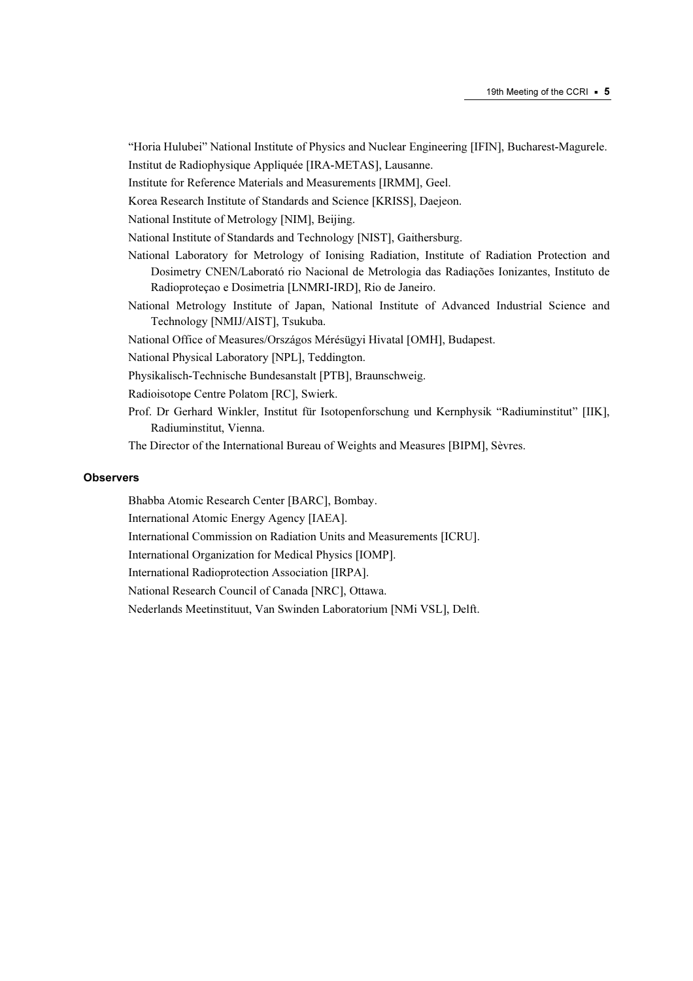"Horia Hulubei" National Institute of Physics and Nuclear Engineering [IFIN], Bucharest-Magurele. Institut de Radiophysique Appliquée [IRA-METAS], Lausanne.

Institute for Reference Materials and Measurements [IRMM], Geel.

Korea Research Institute of Standards and Science [KRISS], Daejeon.

National Institute of Metrology [NIM], Beijing.

National Institute of Standards and Technology [NIST], Gaithersburg.

- National Laboratory for Metrology of Ionising Radiation, Institute of Radiation Protection and Dosimetry CNEN/Laborató rio Nacional de Metrologia das Radiações Ionizantes, Instituto de Radioproteçao e Dosimetria [LNMRI-IRD], Rio de Janeiro.
- National Metrology Institute of Japan, National Institute of Advanced Industrial Science and Technology [NMIJ/AIST], Tsukuba.

National Office of Measures/Országos Mérésügyi Hivatal [OMH], Budapest.

National Physical Laboratory [NPL], Teddington.

Physikalisch-Technische Bundesanstalt [PTB], Braunschweig.

Radioisotope Centre Polatom [RC], Swierk.

Prof. Dr Gerhard Winkler, Institut für Isotopenforschung und Kernphysik "Radiuminstitut" [IIK], Radiuminstitut, Vienna.

The Director of the International Bureau of Weights and Measures [BIPM], Sèvres.

#### **Observers**

Bhabba Atomic Research Center [BARC], Bombay.

International Atomic Energy Agency [IAEA].

International Commission on Radiation Units and Measurements [ICRU].

International Organization for Medical Physics [IOMP].

International Radioprotection Association [IRPA].

National Research Council of Canada [NRC], Ottawa.

Nederlands Meetinstituut, Van Swinden Laboratorium [NMi VSL], Delft.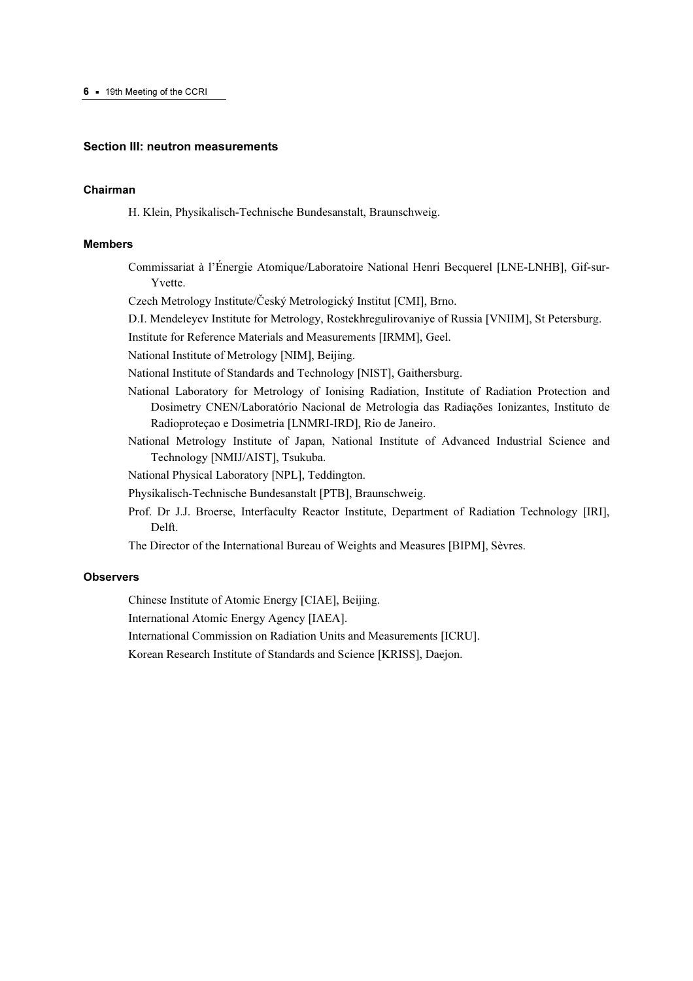#### Section III: neutron measurements

#### Chairman

H. Klein, Physikalisch-Technische Bundesanstalt, Braunschweig.

#### Members

Commissariat à l'Énergie Atomique/Laboratoire National Henri Becquerel [LNE-LNHB], Gif-sur-Yvette.

Czech Metrology Institute/Český Metrologický Institut [CMI], Brno.

D.I. Mendeleyev Institute for Metrology, Rostekhregulirovaniye of Russia [VNIIM], St Petersburg.

Institute for Reference Materials and Measurements [IRMM], Geel.

National Institute of Metrology [NIM], Beijing.

National Institute of Standards and Technology [NIST], Gaithersburg.

- National Laboratory for Metrology of Ionising Radiation, Institute of Radiation Protection and Dosimetry CNEN/Laboratório Nacional de Metrologia das Radiações Ionizantes, Instituto de Radioproteçao e Dosimetria [LNMRI-IRD], Rio de Janeiro.
- National Metrology Institute of Japan, National Institute of Advanced Industrial Science and Technology [NMIJ/AIST], Tsukuba.

National Physical Laboratory [NPL], Teddington.

Physikalisch-Technische Bundesanstalt [PTB], Braunschweig.

Prof. Dr J.J. Broerse, Interfaculty Reactor Institute, Department of Radiation Technology [IRI], Delft.

The Director of the International Bureau of Weights and Measures [BIPM], Sèvres.

#### **Observers**

Chinese Institute of Atomic Energy [CIAE], Beijing.

International Atomic Energy Agency [IAEA].

International Commission on Radiation Units and Measurements [ICRU].

Korean Research Institute of Standards and Science [KRISS], Daejon.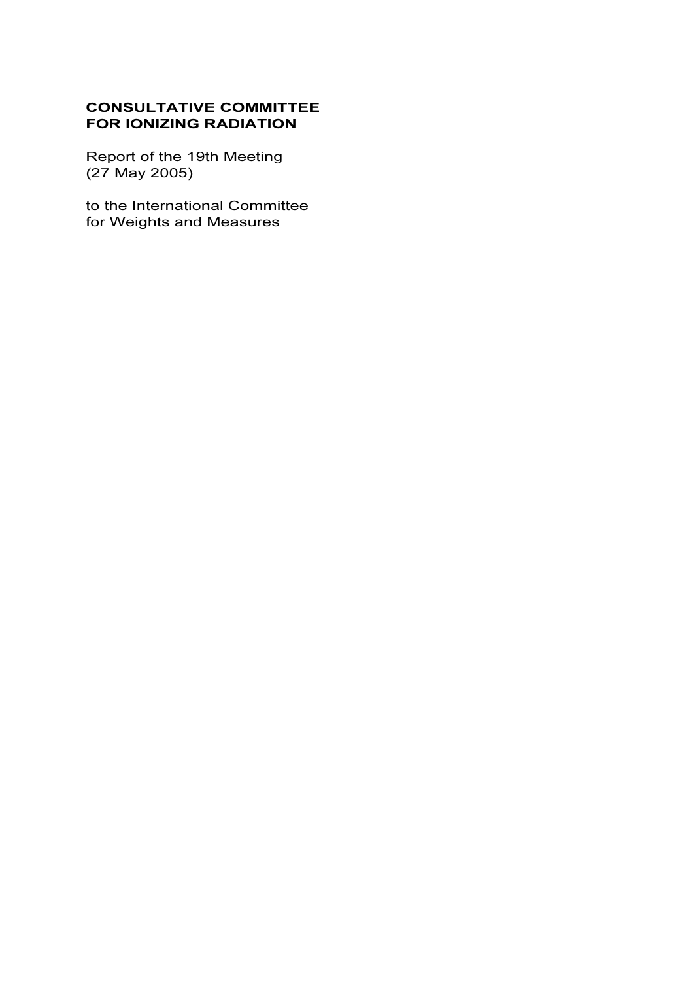# CONSULTATIVE COMMITTEE FOR IONIZING RADIATION

Report of the 19th Meeting (27 May 2005)

to the International Committee for Weights and Measures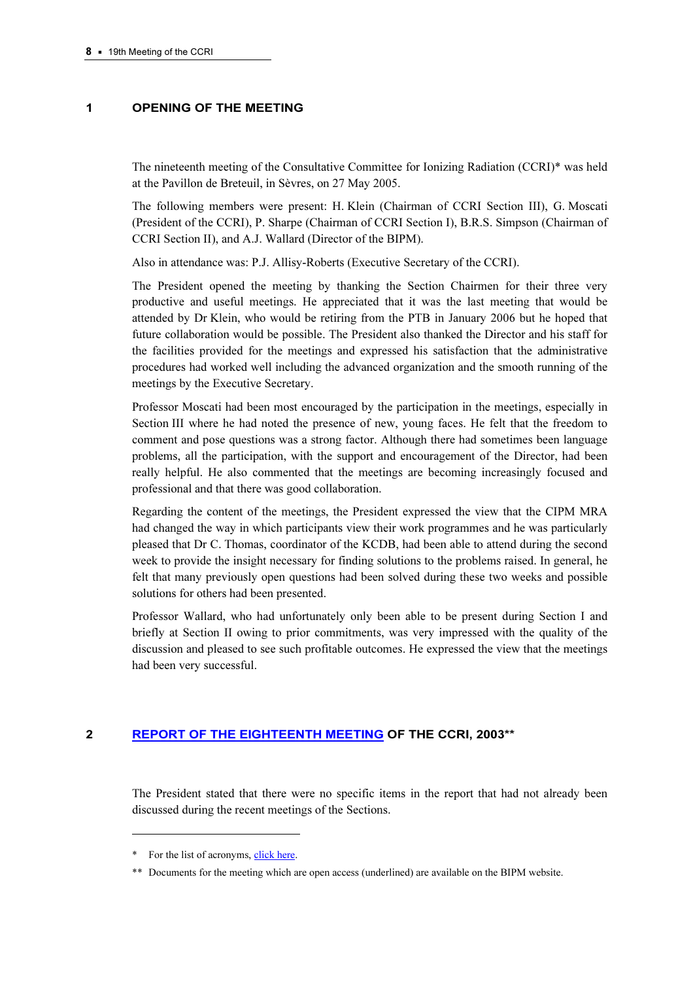## 1 OPENING OF THE MEETING

The nineteenth meeting of the Consultative Committee for Ionizing Radiation (CCRI)\* was held at the Pavillon de Breteuil, in Sèvres, on 27 May 2005.

The following members were present: H. Klein (Chairman of CCRI Section III), G. Moscati (President of the CCRI), P. Sharpe (Chairman of CCRI Section I), B.R.S. Simpson (Chairman of CCRI Section II), and A.J. Wallard (Director of the BIPM).

Also in attendance was: P.J. Allisy-Roberts (Executive Secretary of the CCRI).

The President opened the meeting by thanking the Section Chairmen for their three very productive and useful meetings. He appreciated that it was the last meeting that would be attended by Dr Klein, who would be retiring from the PTB in January 2006 but he hoped that future collaboration would be possible. The President also thanked the Director and his staff for the facilities provided for the meetings and expressed his satisfaction that the administrative procedures had worked well including the advanced organization and the smooth running of the meetings by the Executive Secretary.

Professor Moscati had been most encouraged by the participation in the meetings, especially in Section III where he had noted the presence of new, young faces. He felt that the freedom to comment and pose questions was a strong factor. Although there had sometimes been language problems, all the participation, with the support and encouragement of the Director, had been really helpful. He also commented that the meetings are becoming increasingly focused and professional and that there was good collaboration.

Regarding the content of the meetings, the President expressed the view that the CIPM MRA had changed the way in which participants view their work programmes and he was particularly pleased that Dr C. Thomas, coordinator of the KCDB, had been able to attend during the second week to provide the insight necessary for finding solutions to the problems raised. In general, he felt that many previously open questions had been solved during these two weeks and possible solutions for others had been presented.

Professor Wallard, who had unfortunately only been able to be present during Section I and briefly at Section II owing to prior commitments, was very impressed with the quality of the discussion and pleased to see such profitable outcomes. He expressed the view that the meetings had been very successful.

# 2 [REPORT OF THE EIGHTEENTH MEETING OF T](https://www.bipm.org/en/committees/cc/ccri/publications_cc.html)HE CCRI, 2003\*\*

The President stated that there were no specific items in the report that had not already been discussed during the recent meetings of the Sections.

 $\ddot{ }$ 

<sup>\*</sup> For the list of acronyms, click here.

<sup>\*\*</sup> Documents for the mee[ting which are ope](https://www.bipm.org/en/practical_info/acronyms.html)n access (underlined) are available on the BIPM website.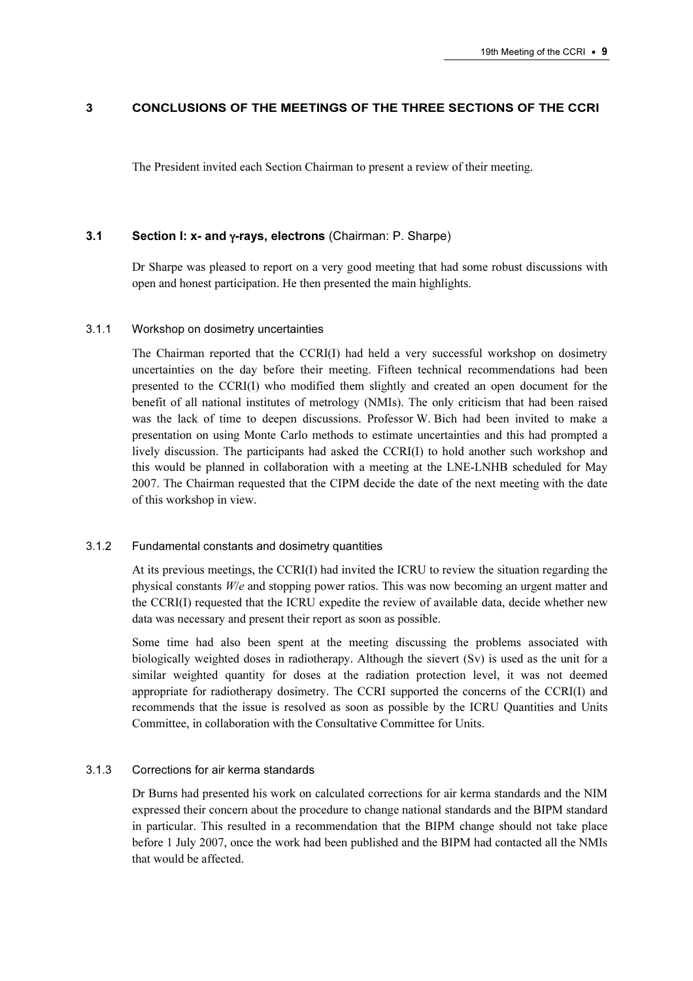## 3 CONCLUSIONS OF THE MEETINGS OF THE THREE SECTIONS OF THE CCRI

The President invited each Section Chairman to present a review of their meeting.

#### 3.1 Section I: x- and γ-rays, electrons (Chairman: P. Sharpe)

Dr Sharpe was pleased to report on a very good meeting that had some robust discussions with open and honest participation. He then presented the main highlights.

#### 3.1.1 Workshop on dosimetry uncertainties

The Chairman reported that the CCRI(I) had held a very successful workshop on dosimetry uncertainties on the day before their meeting. Fifteen technical recommendations had been presented to the CCRI(I) who modified them slightly and created an open document for the benefit of all national institutes of metrology (NMIs). The only criticism that had been raised was the lack of time to deepen discussions. Professor W. Bich had been invited to make a presentation on using Monte Carlo methods to estimate uncertainties and this had prompted a lively discussion. The participants had asked the CCRI(I) to hold another such workshop and this would be planned in collaboration with a meeting at the LNE-LNHB scheduled for May 2007. The Chairman requested that the CIPM decide the date of the next meeting with the date of this workshop in view.

#### 3.1.2 Fundamental constants and dosimetry quantities

At its previous meetings, the CCRI(I) had invited the ICRU to review the situation regarding the physical constants W/e and stopping power ratios. This was now becoming an urgent matter and the CCRI(I) requested that the ICRU expedite the review of available data, decide whether new data was necessary and present their report as soon as possible.

Some time had also been spent at the meeting discussing the problems associated with biologically weighted doses in radiotherapy. Although the sievert (Sv) is used as the unit for a similar weighted quantity for doses at the radiation protection level, it was not deemed appropriate for radiotherapy dosimetry. The CCRI supported the concerns of the CCRI(I) and recommends that the issue is resolved as soon as possible by the ICRU Quantities and Units Committee, in collaboration with the Consultative Committee for Units.

#### 3.1.3 Corrections for air kerma standards

Dr Burns had presented his work on calculated corrections for air kerma standards and the NIM expressed their concern about the procedure to change national standards and the BIPM standard in particular. This resulted in a recommendation that the BIPM change should not take place before 1 July 2007, once the work had been published and the BIPM had contacted all the NMIs that would be affected.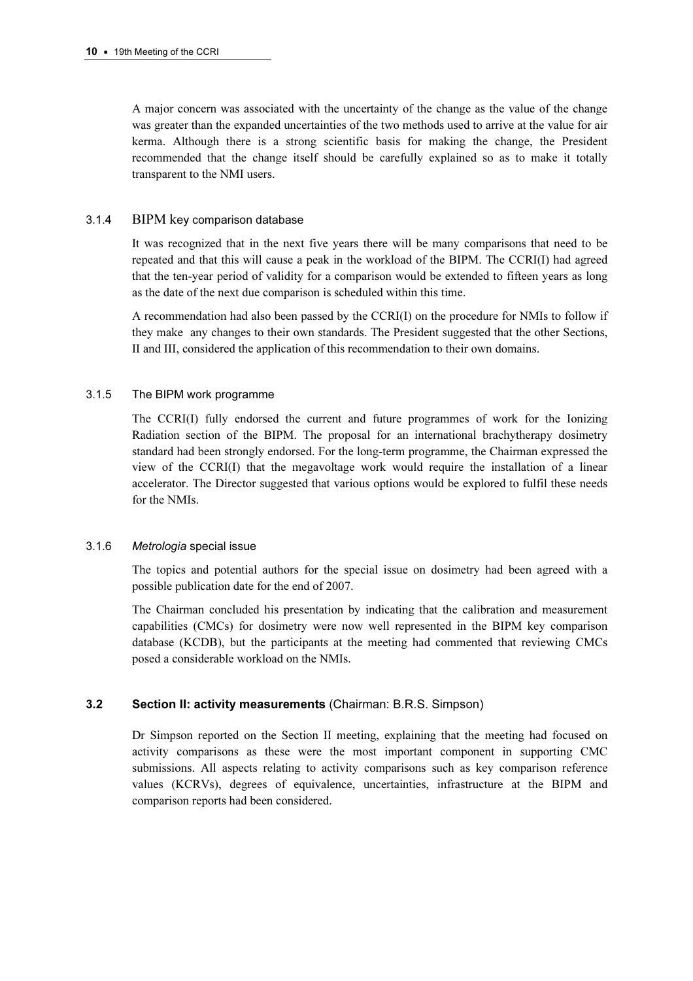A major concern was associated with the uncertainty of the change as the value of the change was greater than the expanded uncertainties of the two methods used to arrive at the value for air kerma. Although there is a strong scientific basis for making the change, the President recommended that the change itself should be carefully explained so as to make it totally transparent to the NMI users.

## 3.1.4 BIPM key comparison database

It was recognized that in the next five years there will be many comparisons that need to be repeated and that this will cause a peak in the workload of the BIPM. The CCRI(I) had agreed that the ten-year period of validity for a comparison would be extended to fifteen years as long as the date of the next due comparison is scheduled within this time.

A recommendation had also been passed by the CCRI(I) on the procedure for NMIs to follow if they make any changes to their own standards. The President suggested that the other Sections, II and III, considered the application of this recommendation to their own domains.

## 3.1.5 The BIPM work programme

The CCRI(I) fully endorsed the current and future programmes of work for the Ionizing Radiation section of the BIPM. The proposal for an international brachytherapy dosimetry standard had been strongly endorsed. For the long-term programme, the Chairman expressed the view of the CCRI(I) that the megavoltage work would require the installation of a linear accelerator. The Director suggested that various options would be explored to fulfil these needs for the NMIs.

#### 3.1.6 Metrologia special issue

The topics and potential authors for the special issue on dosimetry had been agreed with a possible publication date for the end of 2007.

The Chairman concluded his presentation by indicating that the calibration and measurement capabilities (CMCs) for dosimetry were now well represented in the BIPM key comparison database (KCDB), but the participants at the meeting had commented that reviewing CMCs posed a considerable workload on the NMIs.

## 3.2 Section II: activity measurements (Chairman: B.R.S. Simpson)

Dr Simpson reported on the Section II meeting, explaining that the meeting had focused on activity comparisons as these were the most important component in supporting CMC submissions. All aspects relating to activity comparisons such as key comparison reference values (KCRVs), degrees of equivalence, uncertainties, infrastructure at the BIPM and comparison reports had been considered.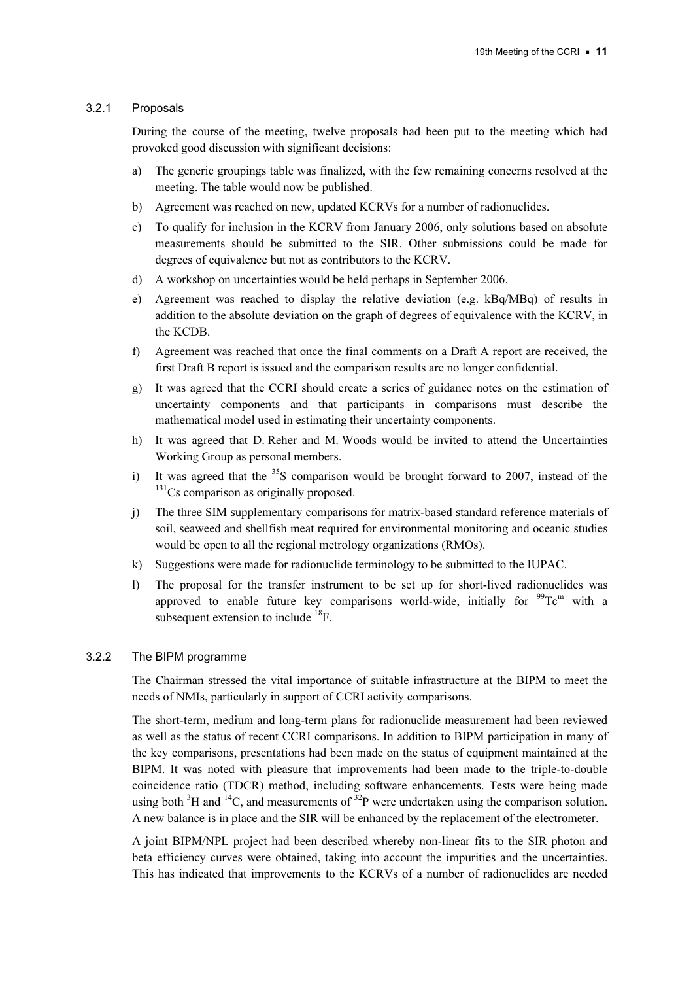## 3.2.1 Proposals

During the course of the meeting, twelve proposals had been put to the meeting which had provoked good discussion with significant decisions:

- a) The generic groupings table was finalized, with the few remaining concerns resolved at the meeting. The table would now be published.
- b) Agreement was reached on new, updated KCRVs for a number of radionuclides.
- c) To qualify for inclusion in the KCRV from January 2006, only solutions based on absolute measurements should be submitted to the SIR. Other submissions could be made for degrees of equivalence but not as contributors to the KCRV.
- d) A workshop on uncertainties would be held perhaps in September 2006.
- e) Agreement was reached to display the relative deviation (e.g. kBq/MBq) of results in addition to the absolute deviation on the graph of degrees of equivalence with the KCRV, in the KCDB.
- f) Agreement was reached that once the final comments on a Draft A report are received, the first Draft B report is issued and the comparison results are no longer confidential.
- g) It was agreed that the CCRI should create a series of guidance notes on the estimation of uncertainty components and that participants in comparisons must describe the mathematical model used in estimating their uncertainty components.
- h) It was agreed that D. Reher and M. Woods would be invited to attend the Uncertainties Working Group as personal members.
- i) It was agreed that the  ${}^{35}S$  comparison would be brought forward to 2007, instead of the  $131$ Cs comparison as originally proposed.
- j) The three SIM supplementary comparisons for matrix-based standard reference materials of soil, seaweed and shellfish meat required for environmental monitoring and oceanic studies would be open to all the regional metrology organizations (RMOs).
- k) Suggestions were made for radionuclide terminology to be submitted to the IUPAC.
- l) The proposal for the transfer instrument to be set up for short-lived radionuclides was approved to enable future key comparisons world-wide, initially for  $\rm{^{99}Tc^m}$  with a subsequent extension to include  ${}^{18}F$ .

#### 3.2.2 The BIPM programme

The Chairman stressed the vital importance of suitable infrastructure at the BIPM to meet the needs of NMIs, particularly in support of CCRI activity comparisons.

The short-term, medium and long-term plans for radionuclide measurement had been reviewed as well as the status of recent CCRI comparisons. In addition to BIPM participation in many of the key comparisons, presentations had been made on the status of equipment maintained at the BIPM. It was noted with pleasure that improvements had been made to the triple-to-double coincidence ratio (TDCR) method, including software enhancements. Tests were being made using both  ${}^{3}H$  and  ${}^{14}C$ , and measurements of  ${}^{32}P$  were undertaken using the comparison solution. A new balance is in place and the SIR will be enhanced by the replacement of the electrometer.

A joint BIPM/NPL project had been described whereby non-linear fits to the SIR photon and beta efficiency curves were obtained, taking into account the impurities and the uncertainties. This has indicated that improvements to the KCRVs of a number of radionuclides are needed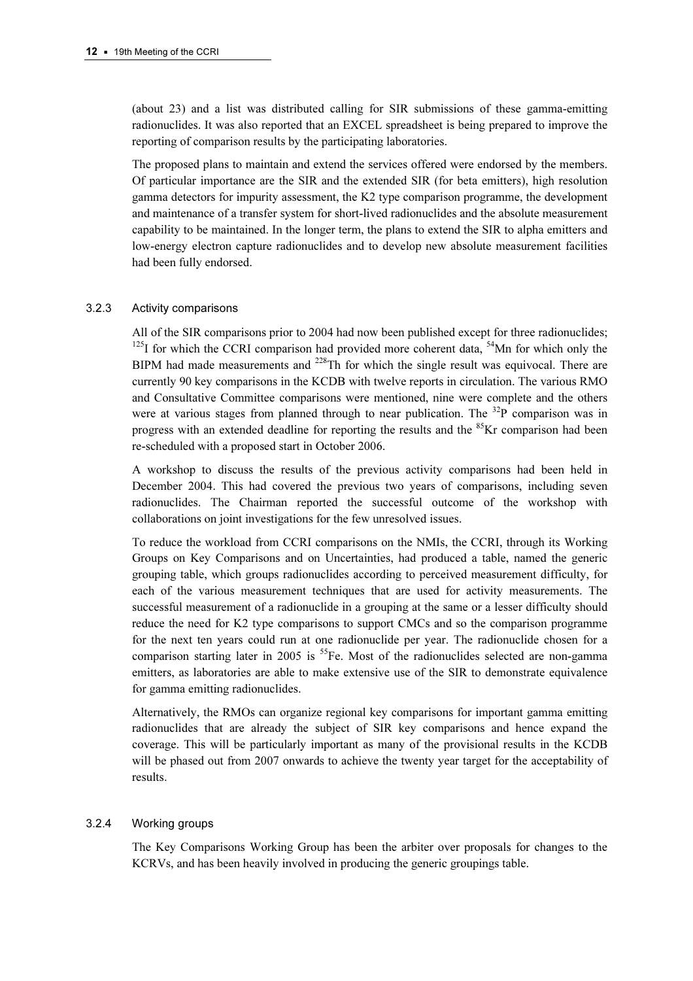(about 23) and a list was distributed calling for SIR submissions of these gamma-emitting radionuclides. It was also reported that an EXCEL spreadsheet is being prepared to improve the reporting of comparison results by the participating laboratories.

The proposed plans to maintain and extend the services offered were endorsed by the members. Of particular importance are the SIR and the extended SIR (for beta emitters), high resolution gamma detectors for impurity assessment, the K2 type comparison programme, the development and maintenance of a transfer system for short-lived radionuclides and the absolute measurement capability to be maintained. In the longer term, the plans to extend the SIR to alpha emitters and low-energy electron capture radionuclides and to develop new absolute measurement facilities had been fully endorsed.

#### 3.2.3 Activity comparisons

All of the SIR comparisons prior to 2004 had now been published except for three radionuclides;  $125$ I for which the CCRI comparison had provided more coherent data,  $54$ Mn for which only the BIPM had made measurements and  $^{228}$ Th for which the single result was equivocal. There are currently 90 key comparisons in the KCDB with twelve reports in circulation. The various RMO and Consultative Committee comparisons were mentioned, nine were complete and the others were at various stages from planned through to near publication. The  $32P$  comparison was in progress with an extended deadline for reporting the results and the  ${}^{85}$ Kr comparison had been re-scheduled with a proposed start in October 2006.

A workshop to discuss the results of the previous activity comparisons had been held in December 2004. This had covered the previous two years of comparisons, including seven radionuclides. The Chairman reported the successful outcome of the workshop with collaborations on joint investigations for the few unresolved issues.

To reduce the workload from CCRI comparisons on the NMIs, the CCRI, through its Working Groups on Key Comparisons and on Uncertainties, had produced a table, named the generic grouping table, which groups radionuclides according to perceived measurement difficulty, for each of the various measurement techniques that are used for activity measurements. The successful measurement of a radionuclide in a grouping at the same or a lesser difficulty should reduce the need for K2 type comparisons to support CMCs and so the comparison programme for the next ten years could run at one radionuclide per year. The radionuclide chosen for a comparison starting later in 2005 is  ${}^{55}Fe$ . Most of the radionuclides selected are non-gamma emitters, as laboratories are able to make extensive use of the SIR to demonstrate equivalence for gamma emitting radionuclides.

Alternatively, the RMOs can organize regional key comparisons for important gamma emitting radionuclides that are already the subject of SIR key comparisons and hence expand the coverage. This will be particularly important as many of the provisional results in the KCDB will be phased out from 2007 onwards to achieve the twenty year target for the acceptability of results.

#### 3.2.4 Working groups

The Key Comparisons Working Group has been the arbiter over proposals for changes to the KCRVs, and has been heavily involved in producing the generic groupings table.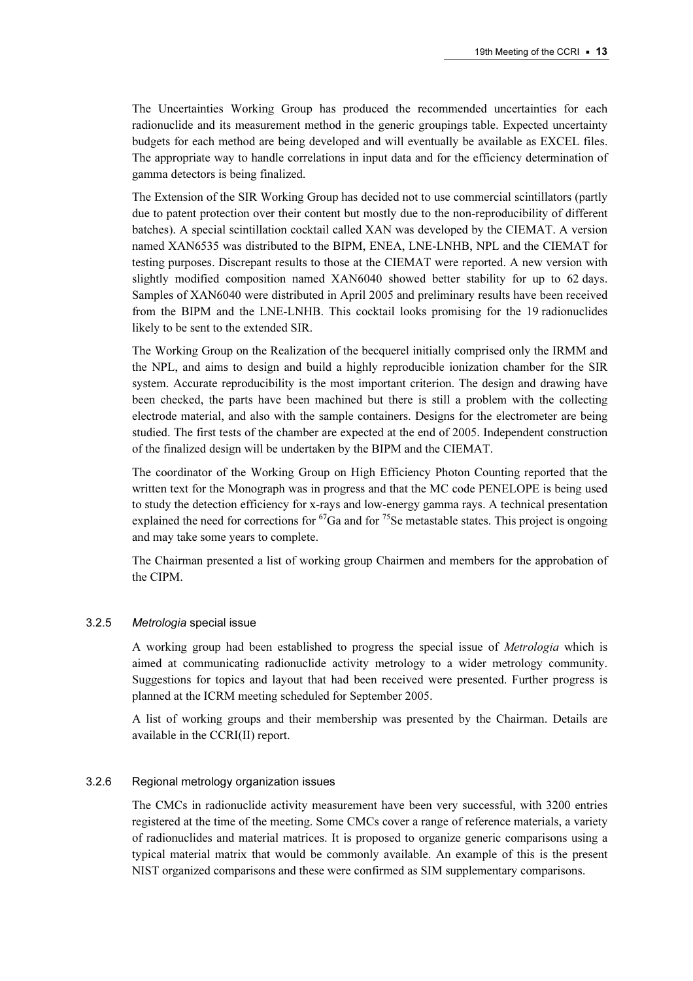The Uncertainties Working Group has produced the recommended uncertainties for each radionuclide and its measurement method in the generic groupings table. Expected uncertainty budgets for each method are being developed and will eventually be available as EXCEL files. The appropriate way to handle correlations in input data and for the efficiency determination of gamma detectors is being finalized.

The Extension of the SIR Working Group has decided not to use commercial scintillators (partly due to patent protection over their content but mostly due to the non-reproducibility of different batches). A special scintillation cocktail called XAN was developed by the CIEMAT. A version named XAN6535 was distributed to the BIPM, ENEA, LNE-LNHB, NPL and the CIEMAT for testing purposes. Discrepant results to those at the CIEMAT were reported. A new version with slightly modified composition named XAN6040 showed better stability for up to 62 days. Samples of XAN6040 were distributed in April 2005 and preliminary results have been received from the BIPM and the LNE-LNHB. This cocktail looks promising for the 19 radionuclides likely to be sent to the extended SIR.

The Working Group on the Realization of the becquerel initially comprised only the IRMM and the NPL, and aims to design and build a highly reproducible ionization chamber for the SIR system. Accurate reproducibility is the most important criterion. The design and drawing have been checked, the parts have been machined but there is still a problem with the collecting electrode material, and also with the sample containers. Designs for the electrometer are being studied. The first tests of the chamber are expected at the end of 2005. Independent construction of the finalized design will be undertaken by the BIPM and the CIEMAT.

The coordinator of the Working Group on High Efficiency Photon Counting reported that the written text for the Monograph was in progress and that the MC code PENELOPE is being used to study the detection efficiency for x-rays and low-energy gamma rays. A technical presentation explained the need for corrections for  ${}^{67}Ga$  and for <sup>75</sup>Se metastable states. This project is ongoing and may take some years to complete.

The Chairman presented a list of working group Chairmen and members for the approbation of the CIPM.

## 3.2.5 Metrologia special issue

A working group had been established to progress the special issue of Metrologia which is aimed at communicating radionuclide activity metrology to a wider metrology community. Suggestions for topics and layout that had been received were presented. Further progress is planned at the ICRM meeting scheduled for September 2005.

A list of working groups and their membership was presented by the Chairman. Details are available in the CCRI(II) report.

#### 3.2.6 Regional metrology organization issues

The CMCs in radionuclide activity measurement have been very successful, with 3200 entries registered at the time of the meeting. Some CMCs cover a range of reference materials, a variety of radionuclides and material matrices. It is proposed to organize generic comparisons using a typical material matrix that would be commonly available. An example of this is the present NIST organized comparisons and these were confirmed as SIM supplementary comparisons.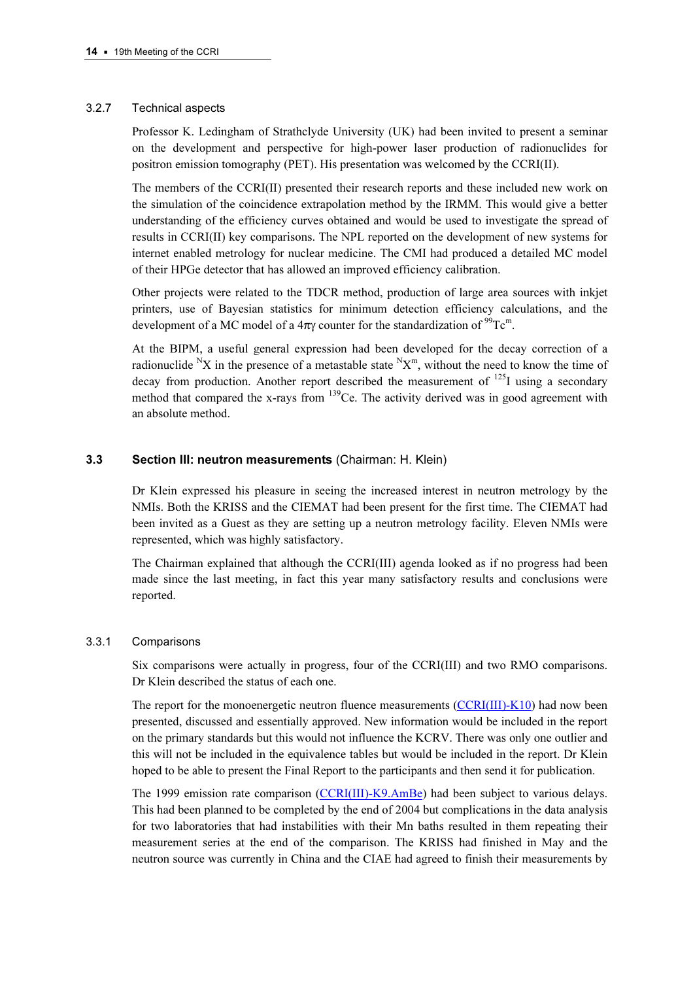## 3.2.7 Technical aspects

Professor K. Ledingham of Strathclyde University (UK) had been invited to present a seminar on the development and perspective for high-power laser production of radionuclides for positron emission tomography (PET). His presentation was welcomed by the CCRI(II).

The members of the CCRI(II) presented their research reports and these included new work on the simulation of the coincidence extrapolation method by the IRMM. This would give a better understanding of the efficiency curves obtained and would be used to investigate the spread of results in CCRI(II) key comparisons. The NPL reported on the development of new systems for internet enabled metrology for nuclear medicine. The CMI had produced a detailed MC model of their HPGe detector that has allowed an improved efficiency calibration.

Other projects were related to the TDCR method, production of large area sources with inkjet printers, use of Bayesian statistics for minimum detection efficiency calculations, and the development of a MC model of a  $4\pi\gamma$  counter for the standardization of <sup>99</sup>Tc<sup>m</sup>.

At the BIPM, a useful general expression had been developed for the decay correction of a radionuclide  $N_X$  in the presence of a metastable state  $N_X^m$ , without the need to know the time of decay from production. Another report described the measurement of  $^{125}I$  using a secondary method that compared the x-rays from  $^{139}$ Ce. The activity derived was in good agreement with an absolute method.

## 3.3 Section III: neutron measurements (Chairman: H. Klein)

Dr Klein expressed his pleasure in seeing the increased interest in neutron metrology by the NMIs. Both the KRISS and the CIEMAT had been present for the first time. The CIEMAT had been invited as a Guest as they are setting up a neutron metrology facility. Eleven NMIs were represented, which was highly satisfactory.

The Chairman explained that although the CCRI(III) agenda looked as if no progress had been made since the last meeting, in fact this year many satisfactory results and conclusions were reported.

## 3.3.1 Comparisons

Six comparisons were actually in progress, four of the CCRI(III) and two RMO comparisons. Dr Klein described the status of each one.

The report for the monoenergetic neutron fluence measure[ments \(CCRI\(III\)-K10\) had n](https://www.bipm.org/exalead_kcdb/exa_kcdb.jsp?_p=AppB&_q=CCRI%28III%29-K10)ow been presented, discussed and essentially approved. New information would be included in the report on the primary standards but this would not influence the KCRV. There was only one outlier and this will not be included in the equivalence tables but would be included in the report. Dr Klein hoped to be able to present the Final Report to the participants and then send it for publication.

The 1999 emission rate compar[ison \(CCRI\(III\)-K9.AmBe\) had](http://kcdb.bipm.org/appendixB/KCDB_ApB_info.asp?cmp_idy=368&cmp_cod=CCRI(III)-K9.AmBe&prov=exalead) been subject to various delays. This had been planned to be completed by the end of 2004 but complications in the data analysis for two laboratories that had instabilities with their Mn baths resulted in them repeating their measurement series at the end of the comparison. The KRISS had finished in May and the neutron source was currently in China and the CIAE had agreed to finish their measurements by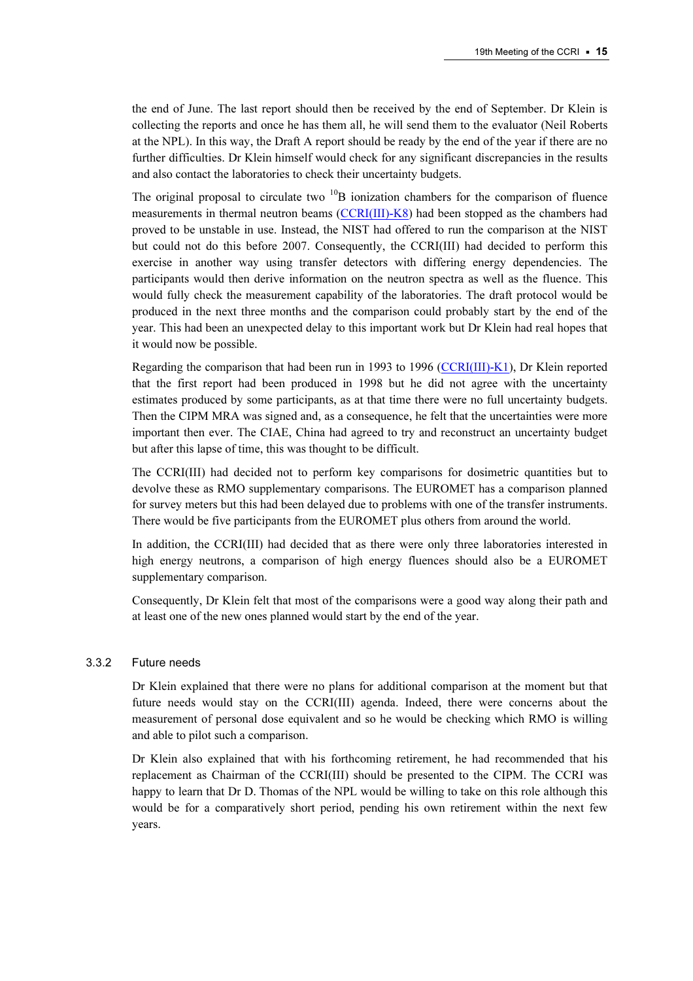the end of June. The last report should then be received by the end of September. Dr Klein is collecting the reports and once he has them all, he will send them to the evaluator (Neil Roberts at the NPL). In this way, the Draft A report should be ready by the end of the year if there are no further difficulties. Dr Klein himself would check for any significant discrepancies in the results and also contact the laboratories to check their uncertainty budgets.

The original proposal to circulate two  $^{10}B$  ionization chambers for the comparison of fluence measurements in thermal neutron b[eams \(CCRI\(III\)-K8\) had bee](http://kcdb.bipm.org/appendixB/KCDB_ApB_info.asp?cmp_idy=367&cmp_cod=CCRI(III)-K8&prov=exalead)n stopped as the chambers had proved to be unstable in use. Instead, the NIST had offered to run the comparison at the NIST but could not do this before 2007. Consequently, the CCRI(III) had decided to perform this exercise in another way using transfer detectors with differing energy dependencies. The participants would then derive information on the neutron spectra as well as the fluence. This would fully check the measurement capability of the laboratories. The draft protocol would be produced in the next three months and the comparison could probably start by the end of the year. This had been an unexpected delay to this important work but Dr Klein had real hopes that it would now be possible.

Regarding the comparison that had been run in 1993 to [1996 \(CCRI\(III\)-K1\), Dr Klein repor](http://kcdb.bipm.org/appendixB/KCDB_ApB_info.asp?cmp_idy=345&cmp_cod=CCRI(III)-K1&prov=exalead)ted that the first report had been produced in 1998 but he did not agree with the uncertainty estimates produced by some participants, as at that time there were no full uncertainty budgets. Then the CIPM MRA was signed and, as a consequence, he felt that the uncertainties were more important then ever. The CIAE, China had agreed to try and reconstruct an uncertainty budget but after this lapse of time, this was thought to be difficult.

The CCRI(III) had decided not to perform key comparisons for dosimetric quantities but to devolve these as RMO supplementary comparisons. The EUROMET has a comparison planned for survey meters but this had been delayed due to problems with one of the transfer instruments. There would be five participants from the EUROMET plus others from around the world.

In addition, the CCRI(III) had decided that as there were only three laboratories interested in high energy neutrons, a comparison of high energy fluences should also be a EUROMET supplementary comparison.

Consequently, Dr Klein felt that most of the comparisons were a good way along their path and at least one of the new ones planned would start by the end of the year.

#### 3.3.2 Future needs

Dr Klein explained that there were no plans for additional comparison at the moment but that future needs would stay on the CCRI(III) agenda. Indeed, there were concerns about the measurement of personal dose equivalent and so he would be checking which RMO is willing and able to pilot such a comparison.

Dr Klein also explained that with his forthcoming retirement, he had recommended that his replacement as Chairman of the CCRI(III) should be presented to the CIPM. The CCRI was happy to learn that Dr D. Thomas of the NPL would be willing to take on this role although this would be for a comparatively short period, pending his own retirement within the next few years.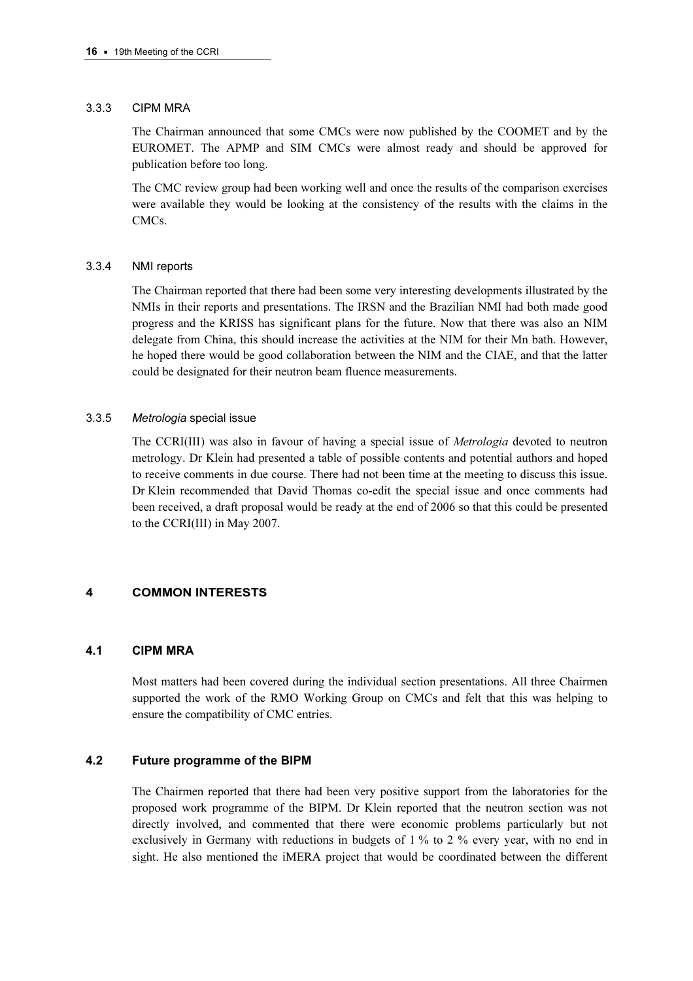## 3.3.3 CIPM MRA

The Chairman announced that some CMCs were now published by the COOMET and by the EUROMET. The APMP and SIM CMCs were almost ready and should be approved for publication before too long.

The CMC review group had been working well and once the results of the comparison exercises were available they would be looking at the consistency of the results with the claims in the CMCs.

## 3.3.4 NMI reports

The Chairman reported that there had been some very interesting developments illustrated by the NMIs in their reports and presentations. The IRSN and the Brazilian NMI had both made good progress and the KRISS has significant plans for the future. Now that there was also an NIM delegate from China, this should increase the activities at the NIM for their Mn bath. However, he hoped there would be good collaboration between the NIM and the CIAE, and that the latter could be designated for their neutron beam fluence measurements.

## 3.3.5 Metrologia special issue

The CCRI(III) was also in favour of having a special issue of Metrologia devoted to neutron metrology. Dr Klein had presented a table of possible contents and potential authors and hoped to receive comments in due course. There had not been time at the meeting to discuss this issue. Dr Klein recommended that David Thomas co-edit the special issue and once comments had been received, a draft proposal would be ready at the end of 2006 so that this could be presented to the CCRI(III) in May 2007.

## 4 COMMON INTERESTS

## 4.1 CIPM MRA

Most matters had been covered during the individual section presentations. All three Chairmen supported the work of the RMO Working Group on CMCs and felt that this was helping to ensure the compatibility of CMC entries.

## 4.2 Future programme of the BIPM

The Chairmen reported that there had been very positive support from the laboratories for the proposed work programme of the BIPM. Dr Klein reported that the neutron section was not directly involved, and commented that there were economic problems particularly but not exclusively in Germany with reductions in budgets of 1 % to 2 % every year, with no end in sight. He also mentioned the iMERA project that would be coordinated between the different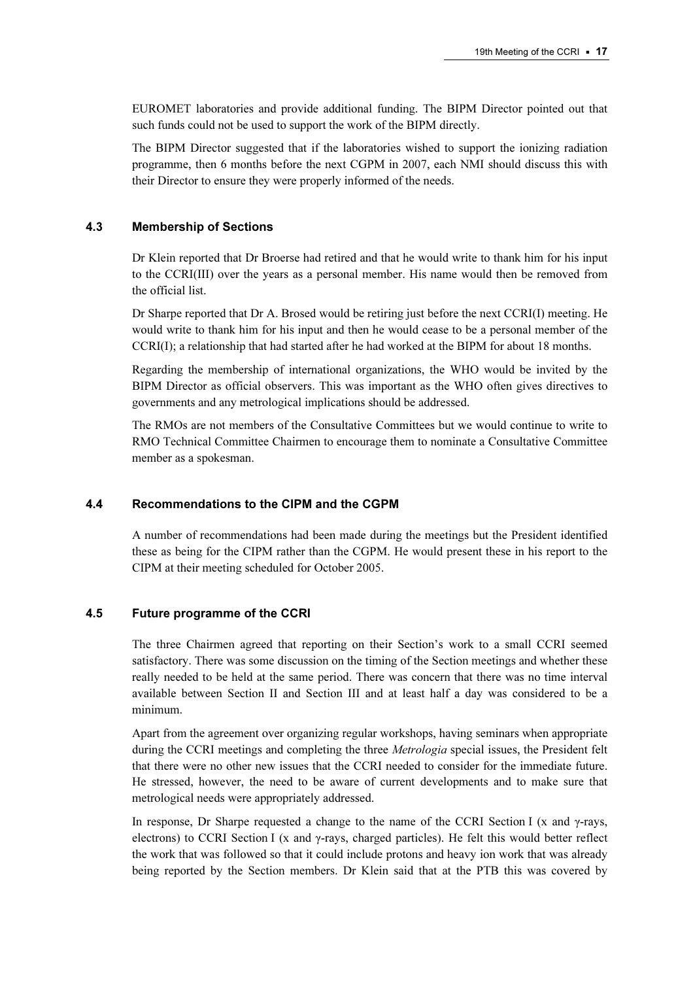EUROMET laboratories and provide additional funding. The BIPM Director pointed out that such funds could not be used to support the work of the BIPM directly.

The BIPM Director suggested that if the laboratories wished to support the ionizing radiation programme, then 6 months before the next CGPM in 2007, each NMI should discuss this with their Director to ensure they were properly informed of the needs.

## 4.3 Membership of Sections

Dr Klein reported that Dr Broerse had retired and that he would write to thank him for his input to the CCRI(III) over the years as a personal member. His name would then be removed from the official list.

Dr Sharpe reported that Dr A. Brosed would be retiring just before the next CCRI(I) meeting. He would write to thank him for his input and then he would cease to be a personal member of the CCRI(I); a relationship that had started after he had worked at the BIPM for about 18 months.

Regarding the membership of international organizations, the WHO would be invited by the BIPM Director as official observers. This was important as the WHO often gives directives to governments and any metrological implications should be addressed.

The RMOs are not members of the Consultative Committees but we would continue to write to RMO Technical Committee Chairmen to encourage them to nominate a Consultative Committee member as a spokesman.

## 4.4 Recommendations to the CIPM and the CGPM

A number of recommendations had been made during the meetings but the President identified these as being for the CIPM rather than the CGPM. He would present these in his report to the CIPM at their meeting scheduled for October 2005.

## 4.5 Future programme of the CCRI

The three Chairmen agreed that reporting on their Section's work to a small CCRI seemed satisfactory. There was some discussion on the timing of the Section meetings and whether these really needed to be held at the same period. There was concern that there was no time interval available between Section II and Section III and at least half a day was considered to be a minimum.

Apart from the agreement over organizing regular workshops, having seminars when appropriate during the CCRI meetings and completing the three *Metrologia* special issues, the President felt that there were no other new issues that the CCRI needed to consider for the immediate future. He stressed, however, the need to be aware of current developments and to make sure that metrological needs were appropriately addressed.

In response, Dr Sharpe requested a change to the name of the CCRI Section I (x and γ-rays, electrons) to CCRI Section I (x and  $\gamma$ -rays, charged particles). He felt this would better reflect the work that was followed so that it could include protons and heavy ion work that was already being reported by the Section members. Dr Klein said that at the PTB this was covered by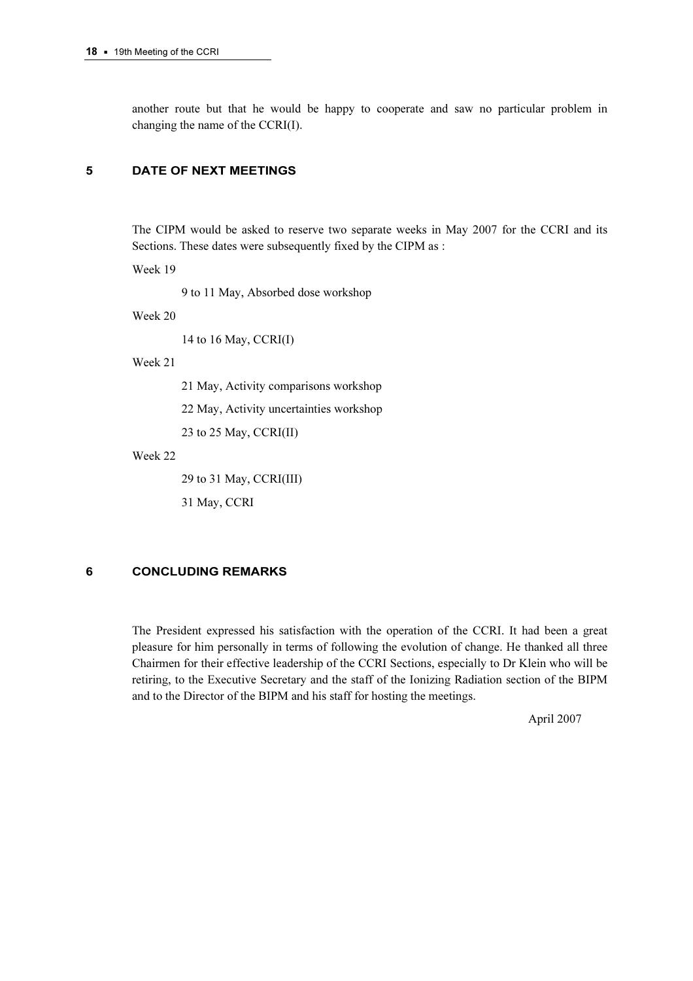another route but that he would be happy to cooperate and saw no particular problem in changing the name of the CCRI(I).

#### 5 DATE OF NEXT MEETINGS

The CIPM would be asked to reserve two separate weeks in May 2007 for the CCRI and its Sections. These dates were subsequently fixed by the CIPM as :

Week 19

9 to 11 May, Absorbed dose workshop

Week 20

14 to 16 May, CCRI(I)

Week 21

21 May, Activity comparisons workshop

22 May, Activity uncertainties workshop

23 to 25 May, CCRI(II)

Week 22

29 to 31 May, CCRI(III)

31 May, CCRI

# 6 CONCLUDING REMARKS

The President expressed his satisfaction with the operation of the CCRI. It had been a great pleasure for him personally in terms of following the evolution of change. He thanked all three Chairmen for their effective leadership of the CCRI Sections, especially to Dr Klein who will be retiring, to the Executive Secretary and the staff of the Ionizing Radiation section of the BIPM and to the Director of the BIPM and his staff for hosting the meetings.

April 2007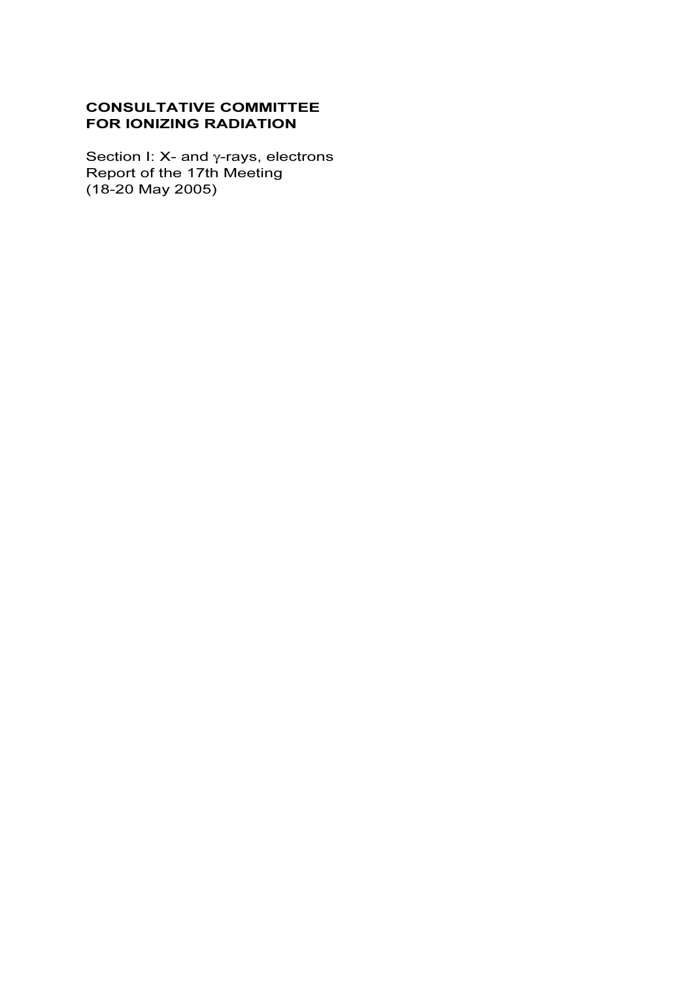# CONSULTATIVE COMMITTEE FOR IONIZING RADIATION

Section I: X- and γ-rays, electrons Report of the 17th Meeting (18-20 May 2005)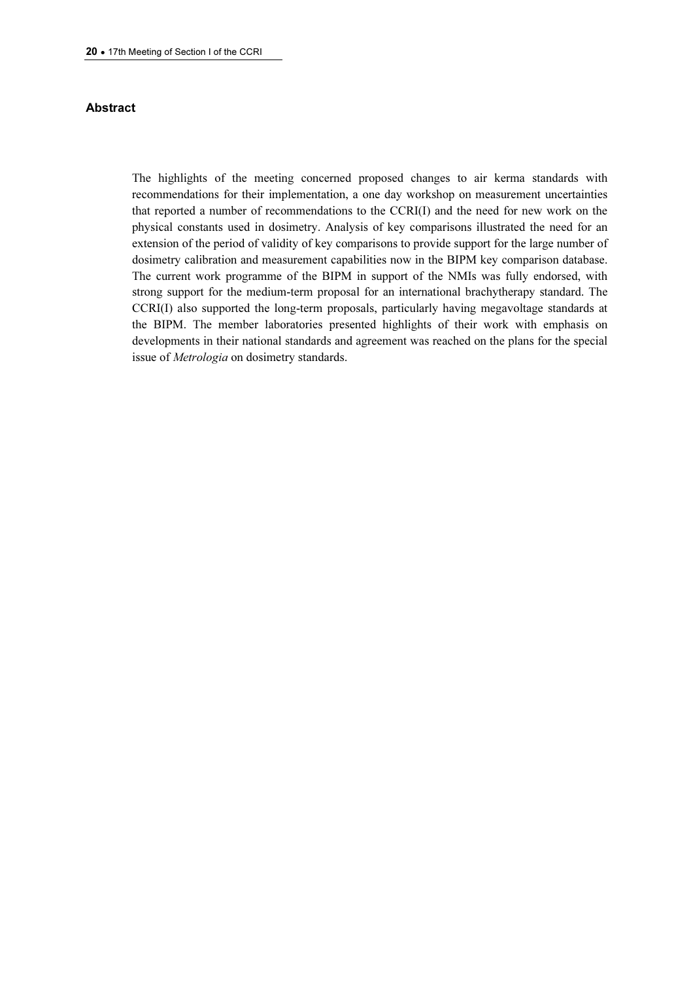## Abstract

The highlights of the meeting concerned proposed changes to air kerma standards with recommendations for their implementation, a one day workshop on measurement uncertainties that reported a number of recommendations to the CCRI(I) and the need for new work on the physical constants used in dosimetry. Analysis of key comparisons illustrated the need for an extension of the period of validity of key comparisons to provide support for the large number of dosimetry calibration and measurement capabilities now in the BIPM key comparison database. The current work programme of the BIPM in support of the NMIs was fully endorsed, with strong support for the medium-term proposal for an international brachytherapy standard. The CCRI(I) also supported the long-term proposals, particularly having megavoltage standards at the BIPM. The member laboratories presented highlights of their work with emphasis on developments in their national standards and agreement was reached on the plans for the special issue of Metrologia on dosimetry standards.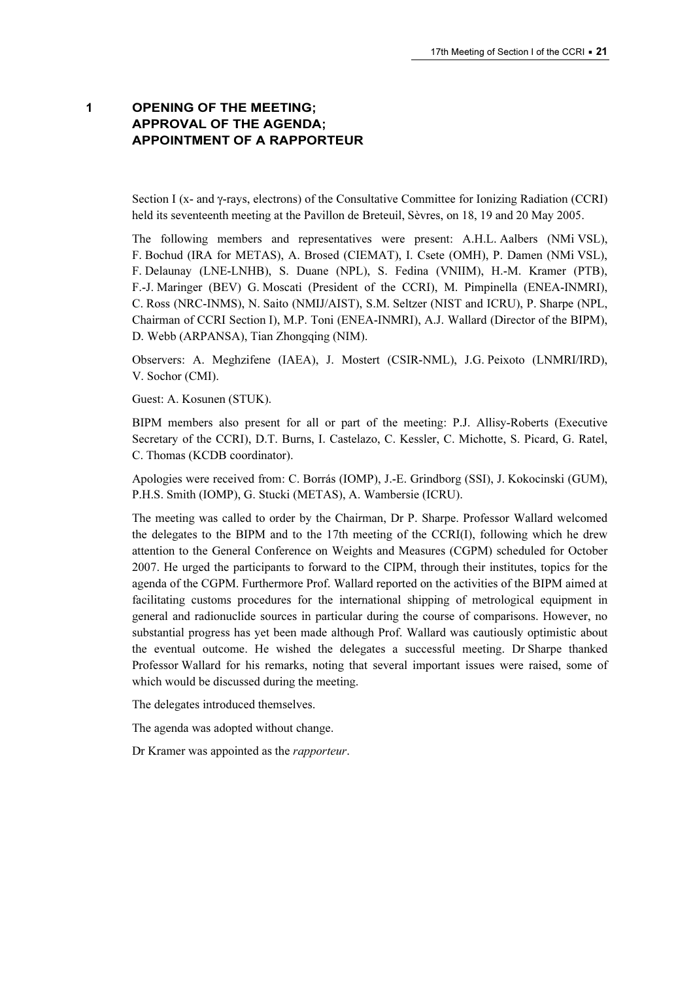# 1 OPENING OF THE MEETING; APPROVAL OF THE AGENDA; APPOINTMENT OF A RAPPORTEUR

Section I (x- and γ-rays, electrons) of the Consultative Committee for Ionizing Radiation (CCRI) held its seventeenth meeting at the Pavillon de Breteuil, Sèvres, on 18, 19 and 20 May 2005.

The following members and representatives were present: A.H.L. Aalbers (NMi VSL), F. Bochud (IRA for METAS), A. Brosed (CIEMAT), I. Csete (OMH), P. Damen (NMi VSL), F. Delaunay (LNE-LNHB), S. Duane (NPL), S. Fedina (VNIIM), H.-M. Kramer (PTB), F.-J. Maringer (BEV) G. Moscati (President of the CCRI), M. Pimpinella (ENEA-INMRI), C. Ross (NRC-INMS), N. Saito (NMIJ/AIST), S.M. Seltzer (NIST and ICRU), P. Sharpe (NPL, Chairman of CCRI Section I), M.P. Toni (ENEA-INMRI), A.J. Wallard (Director of the BIPM), D. Webb (ARPANSA), Tian Zhongqing (NIM).

Observers: A. Meghzifene (IAEA), J. Mostert (CSIR-NML), J.G. Peixoto (LNMRI/IRD), V. Sochor (CMI).

Guest: A. Kosunen (STUK).

BIPM members also present for all or part of the meeting: P.J. Allisy-Roberts (Executive Secretary of the CCRI), D.T. Burns, I. Castelazo, C. Kessler, C. Michotte, S. Picard, G. Ratel, C. Thomas (KCDB coordinator).

Apologies were received from: C. Borrás (IOMP), J.-E. Grindborg (SSI), J. Kokocinski (GUM), P.H.S. Smith (IOMP), G. Stucki (METAS), A. Wambersie (ICRU).

The meeting was called to order by the Chairman, Dr P. Sharpe. Professor Wallard welcomed the delegates to the BIPM and to the 17th meeting of the CCRI(I), following which he drew attention to the General Conference on Weights and Measures (CGPM) scheduled for October 2007. He urged the participants to forward to the CIPM, through their institutes, topics for the agenda of the CGPM. Furthermore Prof. Wallard reported on the activities of the BIPM aimed at facilitating customs procedures for the international shipping of metrological equipment in general and radionuclide sources in particular during the course of comparisons. However, no substantial progress has yet been made although Prof. Wallard was cautiously optimistic about the eventual outcome. He wished the delegates a successful meeting. Dr Sharpe thanked Professor Wallard for his remarks, noting that several important issues were raised, some of which would be discussed during the meeting.

The delegates introduced themselves.

The agenda was adopted without change.

Dr Kramer was appointed as the rapporteur.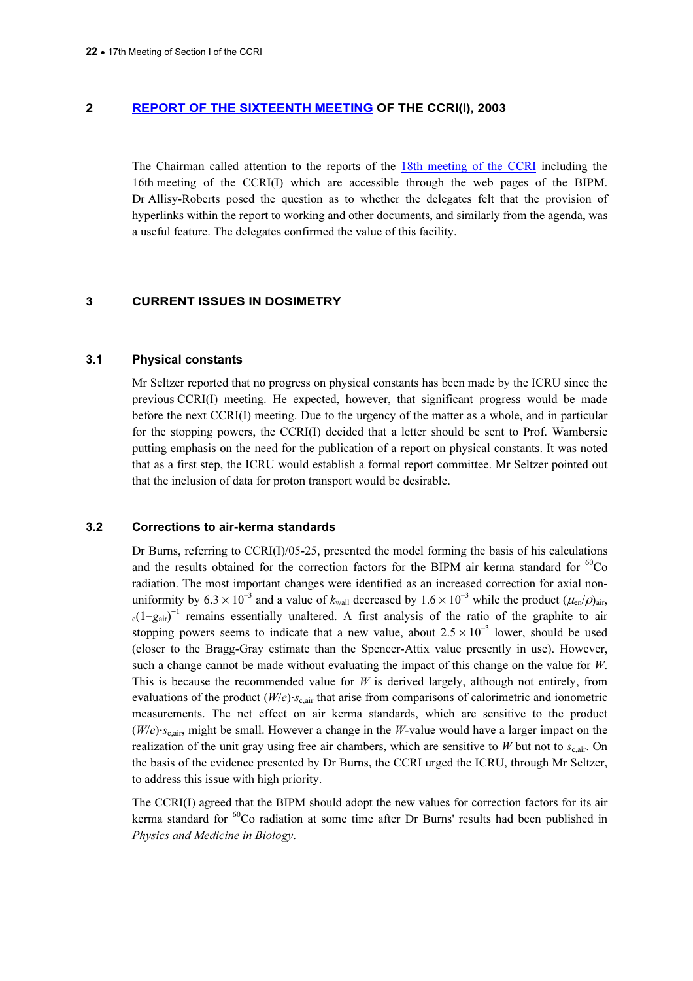## 2 [REPORT OF THE SIXTEENTH MEETING OF THE CC](https://www.bipm.org/en/committees/cc/ccri/publications_cc.html)RI(I), 2003

The Chairman called attention to the reports of [the 18th meeting of the CCRI inclu](https://www.bipm.org/en/committees/cc/ccri/publications_cc.html)ding the 16th meeting of the CCRI(I) which are accessible through the web pages of the BIPM. Dr Allisy-Roberts posed the question as to whether the delegates felt that the provision of hyperlinks within the report to working and other documents, and similarly from the agenda, was a useful feature. The delegates confirmed the value of this facility.

## 3 CURRENT ISSUES IN DOSIMETRY

#### 3.1 Physical constants

Mr Seltzer reported that no progress on physical constants has been made by the ICRU since the previous CCRI(I) meeting. He expected, however, that significant progress would be made before the next CCRI(I) meeting. Due to the urgency of the matter as a whole, and in particular for the stopping powers, the CCRI(I) decided that a letter should be sent to Prof. Wambersie putting emphasis on the need for the publication of a report on physical constants. It was noted that as a first step, the ICRU would establish a formal report committee. Mr Seltzer pointed out that the inclusion of data for proton transport would be desirable.

## 3.2 Corrections to air-kerma standards

Dr Burns, referring to  $CCRI(I)/05-25$ , presented the model forming the basis of his calculations and the results obtained for the correction factors for the BIPM air kerma standard for  ${}^{60}Co$ radiation. The most important changes were identified as an increased correction for axial nonuniformity by  $6.3 \times 10^{-3}$  and a value of  $k_{\text{wall}}$  decreased by  $1.6 \times 10^{-3}$  while the product  $(\mu_{\text{en}}/p_{\text{air}},$  $c(1-g_{air})^{-1}$  remains essentially unaltered. A first analysis of the ratio of the graphite to air stopping powers seems to indicate that a new value, about  $2.5 \times 10^{-3}$  lower, should be used (closer to the Bragg-Gray estimate than the Spencer-Attix value presently in use). However, such a change cannot be made without evaluating the impact of this change on the value for  $W$ . This is because the recommended value for  $W$  is derived largely, although not entirely, from evaluations of the product  $(W/e) \cdot s_{\text{c,air}}$  that arise from comparisons of calorimetric and ionometric measurements. The net effect on air kerma standards, which are sensitive to the product  $(W/e) \cdot s_{\text{c,air}}$ , might be small. However a change in the W-value would have a larger impact on the realization of the unit gray using free air chambers, which are sensitive to W but not to  $s_{c,air}$ . On the basis of the evidence presented by Dr Burns, the CCRI urged the ICRU, through Mr Seltzer, to address this issue with high priority.

The CCRI(I) agreed that the BIPM should adopt the new values for correction factors for its air kerma standard for  ${}^{60}$ Co radiation at some time after Dr Burns' results had been published in Physics and Medicine in Biology.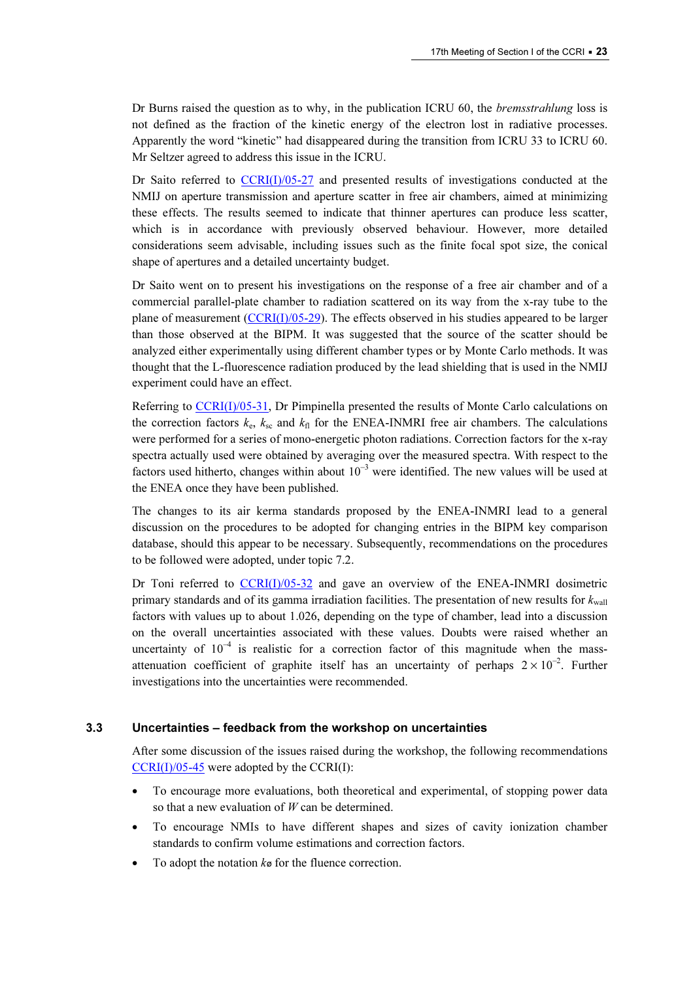Dr Burns raised the question as to why, in the publication ICRU 60, the *bremsstrahlung* loss is not defined as the fraction of the kinetic energy of the electron lost in radiative processes. Apparently the word "kinetic" had disappeared during the transition from ICRU 33 to ICRU 60. Mr Seltzer agreed to address this issue in the ICRU.

Dr Saito refer[red to CCRI\(I\)/05-27 and p](https://www.bipm.org/cc/CCRI(I)/Allowed/17/CCRI(I)05-27.pdf)resented results of investigations conducted at the NMIJ on aperture transmission and aperture scatter in free air chambers, aimed at minimizing these effects. The results seemed to indicate that thinner apertures can produce less scatter, which is in accordance with previously observed behaviour. However, more detailed considerations seem advisable, including issues such as the finite focal spot size, the conical shape of apertures and a detailed uncertainty budget.

Dr Saito went on to present his investigations on the response of a free air chamber and of a commercial parallel-plate chamber to radiation scattered on its way from the x-ray tube to the plane of measurement  $(CCRI(I)/05-29)$ . The effects observed in his studies appeared to be larger than those observed at the BIPM. It was suggested that the source of the scatter should be analyzed either experimentally using different chamber types or by Monte Carlo methods. It was thought that the L-fluorescence radiation produced by the lead shielding that is used in the NMIJ experiment could have an effect.

Refer[ring to CCRI\(I\)/05-31, Dr Pimpin](https://www.bipm.org/cc/CCRI(I)/Allowed/17/CCRI(I)05-31.pdf)ella presented the results of Monte Carlo calculations on the correction factors  $k_e$ ,  $k_{sc}$  and  $k_{fl}$  for the ENEA-INMRI free air chambers. The calculations were performed for a series of mono-energetic photon radiations. Correction factors for the x-ray spectra actually used were obtained by averaging over the measured spectra. With respect to the factors used hitherto, changes within about  $10^{-3}$  were identified. The new values will be used at the ENEA once they have been published.

The changes to its air kerma standards proposed by the ENEA-INMRI lead to a general discussion on the procedures to be adopted for changing entries in the BIPM key comparison database, should this appear to be necessary. Subsequently, recommendations on the procedures to be followed were adopted, under topic 7.2.

Dr Toni referre[d to CCRI\(I\)/05-32 and gave](https://www.bipm.org/cc/CCRI(I)/Allowed/17/CCRI(I)05-32.pdf) an overview of the ENEA-INMRI dosimetric primary standards and of its gamma irradiation facilities. The presentation of new results for  $k_{\text{wall}}$ factors with values up to about 1.026, depending on the type of chamber, lead into a discussion on the overall uncertainties associated with these values. Doubts were raised whether an uncertainty of  $10^{-4}$  is realistic for a correction factor of this magnitude when the massattenuation coefficient of graphite itself has an uncertainty of perhaps  $2 \times 10^{-2}$ . Further investigations into the uncertainties were recommended.

#### 3.3 Uncertainties – feedback from the workshop on uncertainties

After some discussion of the issues raised during the workshop, the following recommendations  $CCRI(I)/05-45$  were adopted by the  $CCRI(I)$ :

- To encourage more evaluations, both theoretical and experimental, of stopping power data so that a new evaluation of  $W$  can be determined.
- To encourage NMIs to have different shapes and sizes of cavity ionization chamber standards to confirm volume estimations and correction factors.
- To adopt the notation  $k\varphi$  for the fluence correction.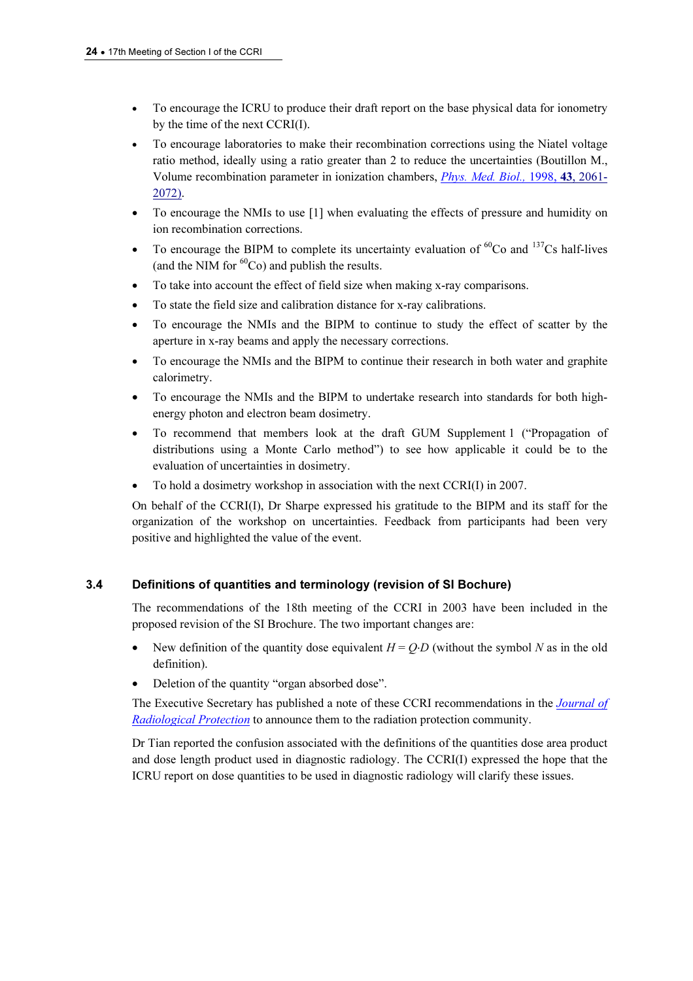- To encourage the ICRU to produce their draft report on the base physical data for ionometry by the time of the next CCRI(I).
- To encourage laboratories to make their recombination corrections using the Niatel voltage ratio method, ideally using a ratio greater than 2 to red[uce the uncertainties \(Boutillon M.,](http://www.iop.org/EJ/abstract/0031-9155/43/8/005/)  Volume recombination parameter in ionization chambers, Phys. Med. Biol., 1998, 43, 2061- 2072).
- [To encourage](http://www.iop.org/EJ/abstract/0031-9155/43/8/005/) the NMIs to use [1] when evaluating the effects of pressure and humidity on ion recombination corrections.
- To encourage the BIPM to complete its uncertainty evaluation of  ${}^{60}Co$  and  ${}^{137}Cs$  half-lives (and the NIM for  ${}^{60}Co$ ) and publish the results.
- To take into account the effect of field size when making x-ray comparisons.
- To state the field size and calibration distance for x-ray calibrations.
- To encourage the NMIs and the BIPM to continue to study the effect of scatter by the aperture in x-ray beams and apply the necessary corrections.
- To encourage the NMIs and the BIPM to continue their research in both water and graphite calorimetry.
- To encourage the NMIs and the BIPM to undertake research into standards for both highenergy photon and electron beam dosimetry.
- To recommend that members look at the draft GUM Supplement 1 ("Propagation of distributions using a Monte Carlo method") to see how applicable it could be to the evaluation of uncertainties in dosimetry.
- To hold a dosimetry workshop in association with the next CCRI(I) in 2007.

On behalf of the CCRI(I), Dr Sharpe expressed his gratitude to the BIPM and its staff for the organization of the workshop on uncertainties. Feedback from participants had been very positive and highlighted the value of the event.

# 3.4 Definitions of quantities and terminology (revision of SI Bochure)

The recommendations of the 18th meeting of the CCRI in 2003 have been included in the proposed revision of the SI Brochure. The two important changes are:

- New definition of the quantity dose equivalent  $H = Q \cdot D$  (without the symbol N as in the old definition).
- Deletion of the quantity "organ absorbed dose".

[The Executive Secretary has](http://www.iop.org/EJ/journal/0952-4746) published a note of these CCRI recommendations in the *Journal of* **Radiological Protection** to announce them to the radiation protection community.

Dr Tian reported the confusion associated with the definitions of the quantities dose area product and dose length product used in diagnostic radiology. The CCRI(I) expressed the hope that the ICRU report on dose quantities to be used in diagnostic radiology will clarify these issues.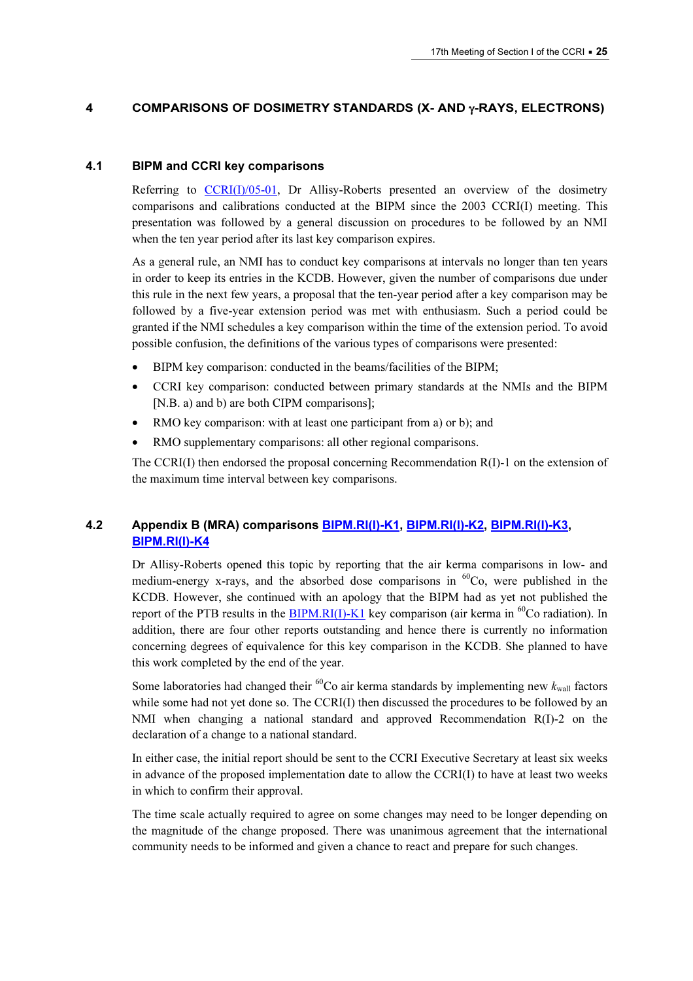## 4 COMPARISONS OF DOSIMETRY STANDARDS (X- AND γ-RAYS, ELECTRONS)

## 4.1 BIPM and CCRI key comparisons

Ref[erring to CCRI\(I\)/05-01, Dr Allisy](https://www.bipm.org/cc/CCRI(I)/Allowed/17/CCRI(I)05-01.pdf)-Roberts presented an overview of the dosimetry comparisons and calibrations conducted at the BIPM since the 2003 CCRI(I) meeting. This presentation was followed by a general discussion on procedures to be followed by an NMI when the ten year period after its last key comparison expires.

As a general rule, an NMI has to conduct key comparisons at intervals no longer than ten years in order to keep its entries in the KCDB. However, given the number of comparisons due under this rule in the next few years, a proposal that the ten-year period after a key comparison may be followed by a five-year extension period was met with enthusiasm. Such a period could be granted if the NMI schedules a key comparison within the time of the extension period. To avoid possible confusion, the definitions of the various types of comparisons were presented:

- BIPM key comparison: conducted in the beams/facilities of the BIPM;
- CCRI key comparison: conducted between primary standards at the NMIs and the BIPM [N.B. a) and b) are both CIPM comparisons];
- RMO key comparison: with at least one participant from a) or b); and
- RMO supplementary comparisons: all other regional comparisons.

The CCRI(I) then endorsed the proposal concerning Recommendation  $R(I)-1$  on the extension of the maximum time interval between key comparisons.

# 4.2 [Appendix B \(MR](http://kcdb.bipm.org/appendixB/KCDB_ApB_info.asp?cmp_idy=383&cmp_cod=BIPM%2ERI%28I%29%2DK4&page=1&search=2&cmp_cod_search=BIPM%2ERI%28I%29%2DK4&met_idy=&bra_idy=&epo_idy=&cmt_idy=&ett_idy_org=&lab_idy=&cou_cod=)A) compariso[ns BIPM.RI\(I\)-K1,](http://kcdb.bipm.org/appendixB/KCDB_ApB_info.asp?cmp_idy=371&cmp_cod=BIPM.RI(I)-K1&prov=exalead) [BIPM.RI\(I\)-K2,](http://kcdb.bipm.org/appendixB/KCDB_ApB_info.asp?cmp_idy=381&cmp_cod=BIPM%2ERI%28I%29%2DK2&page=1&search=2&cmp_cod_search=BIPM%2ERI%28I%29%2DK2&met_idy=&bra_idy=&epo_idy=&cmt_idy=&ett_idy_org=&lab_idy=&cou_cod=) [BIPM.RI\(I\)-K3,](http://kcdb.bipm.org/appendixB/KCDB_ApB_info.asp?cmp_idy=382&cmp_cod=BIPM%2ERI%28I%29%2DK3&page=1&search=2&cmp_cod_search=BIPM%2ERI%28I%29%2DK3&met_idy=&bra_idy=&epo_idy=&cmt_idy=&ett_idy_org=&lab_idy=&cou_cod=)  BIPM.RI(I)-K4

Dr Allisy-Roberts opened this topic by reporting that the air kerma comparisons in low- and medium-energy x-rays, and the absorbed dose comparisons in  ${}^{60}Co$ , were published in the KCDB. However, she continued with an apology that the BIPM had as yet not published the report of the PTB results in the **BIPM.RI(I)-K1** key comparison (air kerma in  ${}^{60}$ Co radiation). In addition, there are four other reports outstanding and hence there is currently no information concerning degrees of equivalence for this key comparison in the KCDB. She planned to have this work completed by the end of the year.

Some laboratories had changed their <sup>60</sup>Co air kerma standards by implementing new  $k_{\text{wall}}$  factors while some had not yet done so. The CCRI(I) then discussed the procedures to be followed by an NMI when changing a national standard and approved Recommendation R(I)-2 on the declaration of a change to a national standard.

In either case, the initial report should be sent to the CCRI Executive Secretary at least six weeks in advance of the proposed implementation date to allow the CCRI(I) to have at least two weeks in which to confirm their approval.

The time scale actually required to agree on some changes may need to be longer depending on the magnitude of the change proposed. There was unanimous agreement that the international community needs to be informed and given a chance to react and prepare for such changes.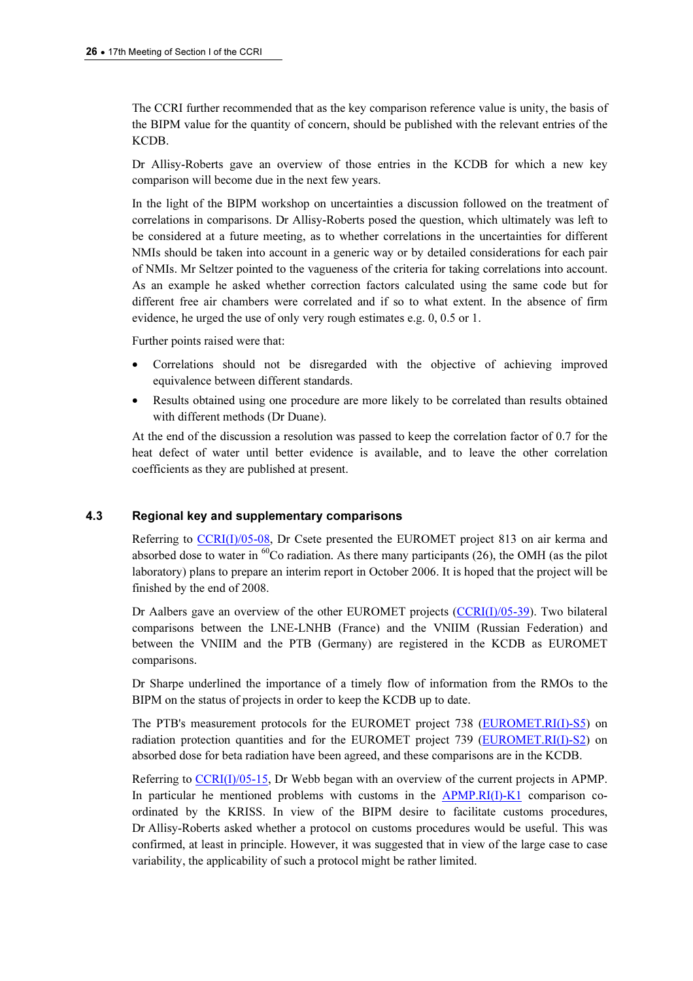The CCRI further recommended that as the key comparison reference value is unity, the basis of the BIPM value for the quantity of concern, should be published with the relevant entries of the KCDB.

Dr Allisy-Roberts gave an overview of those entries in the KCDB for which a new key comparison will become due in the next few years.

In the light of the BIPM workshop on uncertainties a discussion followed on the treatment of correlations in comparisons. Dr Allisy-Roberts posed the question, which ultimately was left to be considered at a future meeting, as to whether correlations in the uncertainties for different NMIs should be taken into account in a generic way or by detailed considerations for each pair of NMIs. Mr Seltzer pointed to the vagueness of the criteria for taking correlations into account. As an example he asked whether correction factors calculated using the same code but for different free air chambers were correlated and if so to what extent. In the absence of firm evidence, he urged the use of only very rough estimates e.g. 0, 0.5 or 1.

Further points raised were that:

- Correlations should not be disregarded with the objective of achieving improved equivalence between different standards.
- Results obtained using one procedure are more likely to be correlated than results obtained with different methods (Dr Duane).

At the end of the discussion a resolution was passed to keep the correlation factor of 0.7 for the heat defect of water until better evidence is available, and to leave the other correlation coefficients as they are published at present.

## 4.3 Regional key and supplementary comparisons

Referri[ng to CCRI\(I\)/05-08, Dr C](https://www.bipm.org/cc/CCRI(I)/Allowed/17/CCRI(I)05-08.pdf)sete presented the EUROMET project 813 on air kerma and absorbed dose to water in  ${}^{60}$ Co radiation. As there many participants (26), the OMH (as the pilot laboratory) plans to prepare an interim report in October 2006. It is hoped that the project will be finished by the end of 2008.

Dr Aalbers gave an overview of the other EUROMET p[rojects \(CCRI\(I\)/05-39\). Two](https://www.bipm.org/cc/CCRI(I)/Allowed/17/CCRI(I)05-39.pdf) bilateral comparisons between the LNE-LNHB (France) and the VNIIM (Russian Federation) and between the VNIIM and the PTB (Germany) are registered in the KCDB as EUROMET comparisons.

Dr Sharpe underlined the importance of a timely flow of information from the RMOs to the BIPM on the status of projects in order to keep the KCDB up to date.

The PTB's measurement protocols for the EUROMET project 73[8 \(EUROMET.RI\(I\)-S5\) on](http://kcdb.bipm.org/appendixB/KCDB_ApB_info.asp?cmp_idy=584&cmp_cod=EUROMET.RI(I)-S5&prov=exalead)  radiation protection quantities and for the EUROMET project 73[9 \(EUROMET.RI\(I\)-S2\) on](http://kcdb.bipm.org/appendixB/KCDB_ApB_info.asp?cmp_idy=564&cmp_cod=EUROMET%2ERI%28I%29%2DS2&page=1&search=2&cmp_cod_search=EUROMET%2ERI%28I%29%2DS2&met_idy=&bra_idy=&epo_idy=&cmt_idy=&ett_idy_org=&lab_idy=&cou_cod=)  absorbed dose for beta radiation have been agreed, and these comparisons are in the KCDB.

Referring to CCRI(I)/05-15, Dr Webb began with an overview of the current projects in APMP. In particul[ar he mentioned pr](https://www.bipm.org/cc/CCRI(I)/Allowed/17/CCRI(I)05-15.pdf)oblems with customs in the **APMP.RI(I)-K1** comparison coordinated by the KRISS. In view of the BIPM desire to facilitate customs procedures, Dr Allisy-Roberts asked whether a protocol on customs procedures would be useful. This was confirmed, at least in principle. However, it was suggested that in view of the large case to case variability, the applicability of such a protocol might be rather limited.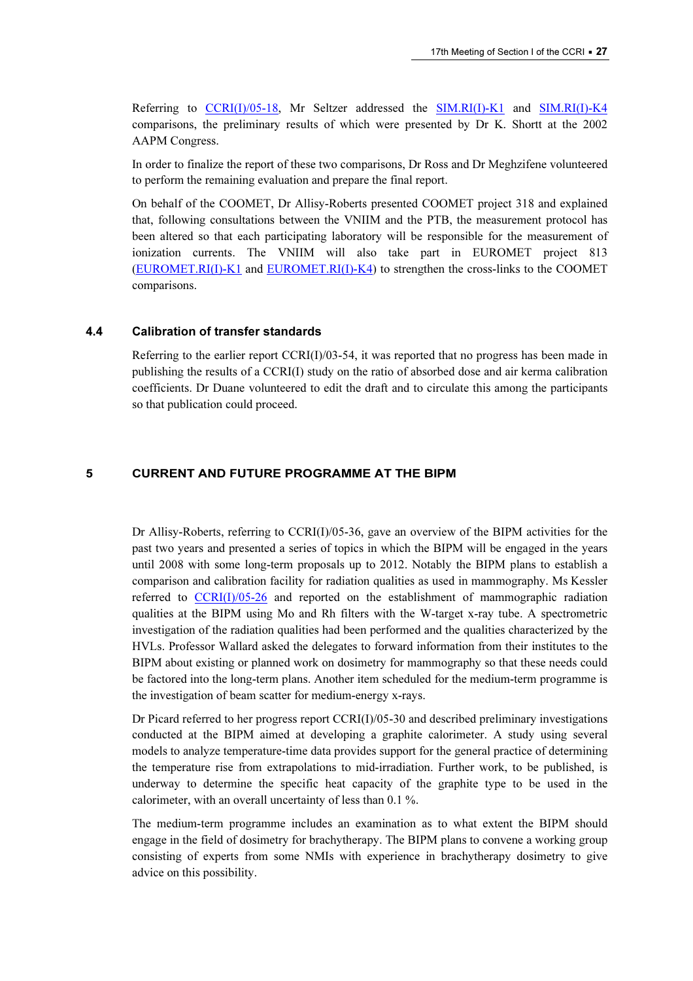Referrin[g to CCRI\(I\)/05-18, Mr](https://www.bipm.org/cc/CCRI(I)/Allowed/17/CCRI(I)05-18.pdf) Seltzer addressed [the SIM.RI\(I\)-K1 a](http://kcdb.bipm.org/appendixB/KCDB_ApB_info.asp?cmp_idy=567&cmp_cod=SIM%2ERI%28I%29%2DK1&page=1&search=2&cmp_cod_search=SIM%2ERI%28I%29%2DK1&met_idy=&bra_idy=&epo_idy=&cmt_idy=&ett_idy_org=&lab_idy=&cou_cod=)nd SIM.RI(I)-K4 comparisons, the preliminary results of which were presented by Dr K. Sh[ortt at the 2002](http://kcdb.bipm.org/appendixB/KCDB_ApB_info.asp?cmp_idy=568&cmp_cod=SIM%2ERI%28I%29%2DK4&page=1&search=2&cmp_cod_search=SIM%2ERI%28I%29%2DK4&met_idy=&bra_idy=&epo_idy=&cmt_idy=&ett_idy_org=&lab_idy=&cou_cod=)  AAPM Congress.

In order to finalize the report of these two comparisons, Dr Ross and Dr Meghzifene volunteered to perform the remaining evaluation and prepare the final report.

On behalf of the COOMET, Dr Allisy-Roberts presented COOMET project 318 and explained that, following consultations between the VNIIM and the PTB, the measurement protocol has been altered so that each participating laboratory will be responsible for the measurement of ionization currents. The VNIIM will also take part in EUROMET project 813 [\(EUROMET.RI\(I\)-K1 an](http://kcdb.bipm.org/appendixB/KCDB_ApB_info.asp?cmp_idy=645&cmp_cod=EUROMET%2ERI%28I%29%2DK1&page=1&search=2&cmp_cod_search=EUROMET%2ERI%28I%29%2DK1&met_idy=&bra_idy=&epo_idy=&cmt_idy=&ett_idy_org=&lab_idy=&cou_cod=)d [EUROMET.RI\(I\)-K4\) to st](http://kcdb.bipm.org/appendixB/KCDB_ApB_info.asp?cmp_idy=646&cmp_cod=EUROMET%2ERI%28I%29%2DK4&page=1&search=2&cmp_cod_search=EUROMET%2ERI%28I%29%2DK4&met_idy=&bra_idy=&epo_idy=&cmt_idy=&ett_idy_org=&lab_idy=&cou_cod=)rengthen the cross-links to the COOMET comparisons.

#### 4.4 Calibration of transfer standards

Referring to the earlier report  $CCRI(I)/03-54$ , it was reported that no progress has been made in publishing the results of a CCRI(I) study on the ratio of absorbed dose and air kerma calibration coefficients. Dr Duane volunteered to edit the draft and to circulate this among the participants so that publication could proceed.

#### 5 CURRENT AND FUTURE PROGRAMME AT THE BIPM

Dr Allisy-Roberts, referring to CCRI(I)/05-36, gave an overview of the BIPM activities for the past two years and presented a series of topics in which the BIPM will be engaged in the years until 2008 with some long-term proposals up to 2012. Notably the BIPM plans to establish a compa[rison and calibration facility f](https://www.bipm.org/cc/CCRI(I)/Allowed/17/CCRI(I)05-26.pdf)or radiation qualities as used in mammography. Ms Kessler referred to CCRI(I)/05-26 and reported on the establishment of mammographic radiation qualities at the BIPM using Mo and Rh filters with the W-target x-ray tube. A spectrometric investigation of the radiation qualities had been performed and the qualities characterized by the HVLs. Professor Wallard asked the delegates to forward information from their institutes to the BIPM about existing or planned work on dosimetry for mammography so that these needs could be factored into the long-term plans. Another item scheduled for the medium-term programme is the investigation of beam scatter for medium-energy x-rays.

Dr Picard referred to her progress report CCRI(I)/05-30 and described preliminary investigations conducted at the BIPM aimed at developing a graphite calorimeter. A study using several models to analyze temperature-time data provides support for the general practice of determining the temperature rise from extrapolations to mid-irradiation. Further work, to be published, is underway to determine the specific heat capacity of the graphite type to be used in the calorimeter, with an overall uncertainty of less than 0.1 %.

The medium-term programme includes an examination as to what extent the BIPM should engage in the field of dosimetry for brachytherapy. The BIPM plans to convene a working group consisting of experts from some NMIs with experience in brachytherapy dosimetry to give advice on this possibility.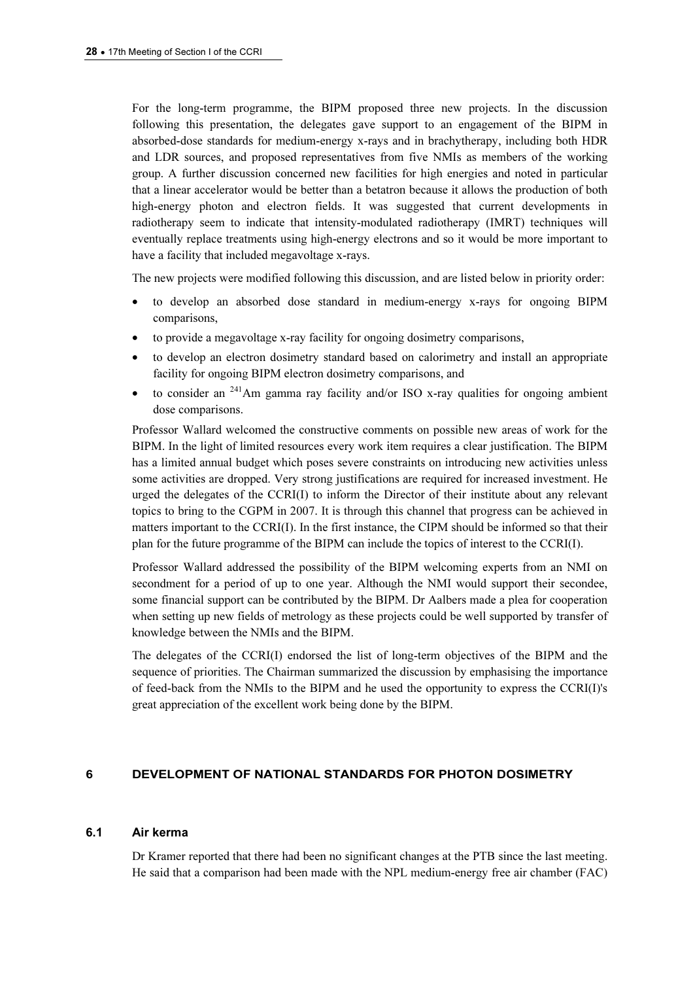For the long-term programme, the BIPM proposed three new projects. In the discussion following this presentation, the delegates gave support to an engagement of the BIPM in absorbed-dose standards for medium-energy x-rays and in brachytherapy, including both HDR and LDR sources, and proposed representatives from five NMIs as members of the working group. A further discussion concerned new facilities for high energies and noted in particular that a linear accelerator would be better than a betatron because it allows the production of both high-energy photon and electron fields. It was suggested that current developments in radiotherapy seem to indicate that intensity-modulated radiotherapy (IMRT) techniques will eventually replace treatments using high-energy electrons and so it would be more important to have a facility that included megavoltage x-rays.

The new projects were modified following this discussion, and are listed below in priority order:

- to develop an absorbed dose standard in medium-energy x-rays for ongoing BIPM comparisons,
- to provide a megavoltage x-ray facility for ongoing dosimetry comparisons,
- to develop an electron dosimetry standard based on calorimetry and install an appropriate facility for ongoing BIPM electron dosimetry comparisons, and
- to consider an  $^{241}$ Am gamma ray facility and/or ISO x-ray qualities for ongoing ambient dose comparisons.

Professor Wallard welcomed the constructive comments on possible new areas of work for the BIPM. In the light of limited resources every work item requires a clear justification. The BIPM has a limited annual budget which poses severe constraints on introducing new activities unless some activities are dropped. Very strong justifications are required for increased investment. He urged the delegates of the CCRI(I) to inform the Director of their institute about any relevant topics to bring to the CGPM in 2007. It is through this channel that progress can be achieved in matters important to the CCRI(I). In the first instance, the CIPM should be informed so that their plan for the future programme of the BIPM can include the topics of interest to the CCRI(I).

Professor Wallard addressed the possibility of the BIPM welcoming experts from an NMI on secondment for a period of up to one year. Although the NMI would support their secondee, some financial support can be contributed by the BIPM. Dr Aalbers made a plea for cooperation when setting up new fields of metrology as these projects could be well supported by transfer of knowledge between the NMIs and the BIPM.

The delegates of the CCRI(I) endorsed the list of long-term objectives of the BIPM and the sequence of priorities. The Chairman summarized the discussion by emphasising the importance of feed-back from the NMIs to the BIPM and he used the opportunity to express the CCRI(I)'s great appreciation of the excellent work being done by the BIPM.

## 6 DEVELOPMENT OF NATIONAL STANDARDS FOR PHOTON DOSIMETRY

#### 6.1 Air kerma

Dr Kramer reported that there had been no significant changes at the PTB since the last meeting. He said that a comparison had been made with the NPL medium-energy free air chamber (FAC)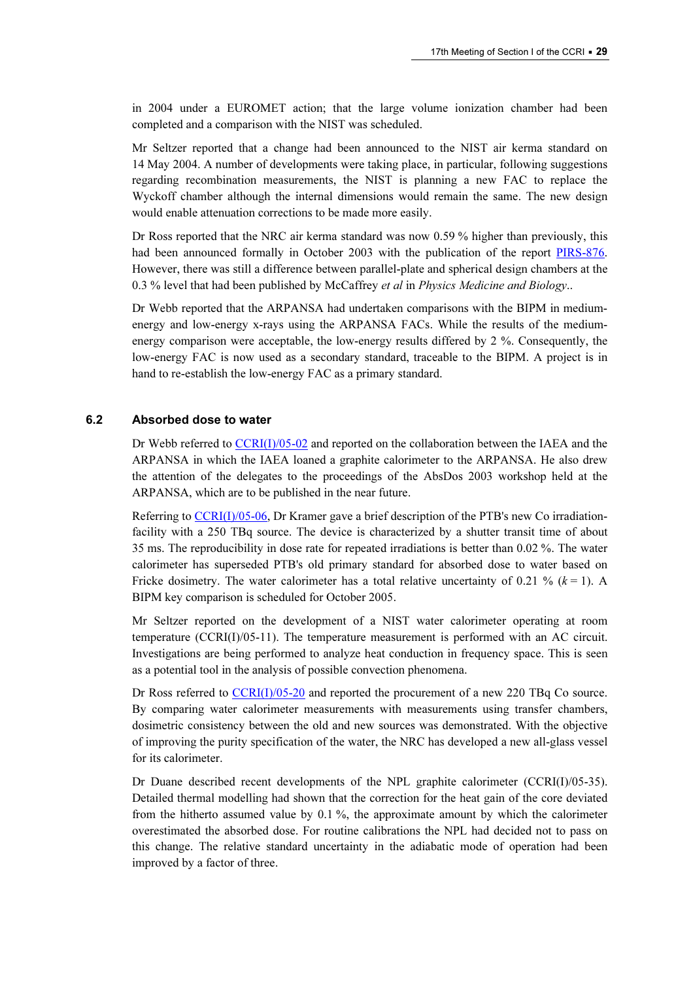in 2004 under a EUROMET action; that the large volume ionization chamber had been completed and a comparison with the NIST was scheduled.

Mr Seltzer reported that a change had been announced to the NIST air kerma standard on 14 May 2004. A number of developments were taking place, in particular, following suggestions regarding recombination measurements, the NIST is planning a new FAC to replace the Wyckoff chamber although the internal dimensions would remain the same. The new design would enable attenuation corrections to be made more easily.

Dr Ross reported that the NRC air kerma standard was now 0.59 % higher than previously, this had been announced formally in October 2003 with the publication of the report PIRS-876. However, there was still a difference between parallel-plate and spherical desig[n chambers at the](http://www.irs.inms.nrc.ca/papers/PIRS876/pirs876.pdf)  0.3 % level that had been published by McCaffrey et al in Physics Medicine and Biology..

Dr Webb reported that the ARPANSA had undertaken comparisons with the BIPM in mediumenergy and low-energy x-rays using the ARPANSA FACs. While the results of the mediumenergy comparison were acceptable, the low-energy results differed by 2 %. Consequently, the low-energy FAC is now used as a secondary standard, traceable to the BIPM. A project is in hand to re-establish the low-energy FAC as a primary standard.

## 6.2 Absorbed dose to water

Dr Webb referr[ed to CCRI\(I\)/05-02 and reported](https://www.bipm.org/cc/CCRI(I)/Allowed/17/CCRI(I)05-02.pdf) on the collaboration between the IAEA and the ARPANSA in which the IAEA loaned a graphite calorimeter to the ARPANSA. He also drew the attention of the delegates to the proceedings of the AbsDos 2003 workshop held at the ARPANSA, which are to be published in the near future.

Referri[ng to CCRI\(I\)/05-06, Dr Kra](https://www.bipm.org/cc/CCRI(I)/Allowed/17/CCRI(I)05-06.pdf)mer gave a brief description of the PTB's new Co irradiationfacility with a 250 TBq source. The device is characterized by a shutter transit time of about 35 ms. The reproducibility in dose rate for repeated irradiations is better than 0.02 %. The water calorimeter has superseded PTB's old primary standard for absorbed dose to water based on Fricke dosimetry. The water calorimeter has a total relative uncertainty of 0.21 % ( $k = 1$ ). A BIPM key comparison is scheduled for October 2005.

Mr Seltzer reported on the development of a NIST water calorimeter operating at room temperature (CCRI(I)/05-11). The temperature measurement is performed with an AC circuit. Investigations are being performed to analyze heat conduction in frequency space. This is seen as a potential tool in the analysis of possible convection phenomena.

Dr Ross refer[red to CCRI\(I\)/05-20 and rep](https://www.bipm.org/cc/CCRI(I)/Allowed/17/CCRI(I)05-20.pdf)orted the procurement of a new 220 TBq Co source. By comparing water calorimeter measurements with measurements using transfer chambers, dosimetric consistency between the old and new sources was demonstrated. With the objective of improving the purity specification of the water, the NRC has developed a new all-glass vessel for its calorimeter.

Dr Duane described recent developments of the NPL graphite calorimeter (CCRI(I)/05-35). Detailed thermal modelling had shown that the correction for the heat gain of the core deviated from the hitherto assumed value by 0.1 %, the approximate amount by which the calorimeter overestimated the absorbed dose. For routine calibrations the NPL had decided not to pass on this change. The relative standard uncertainty in the adiabatic mode of operation had been improved by a factor of three.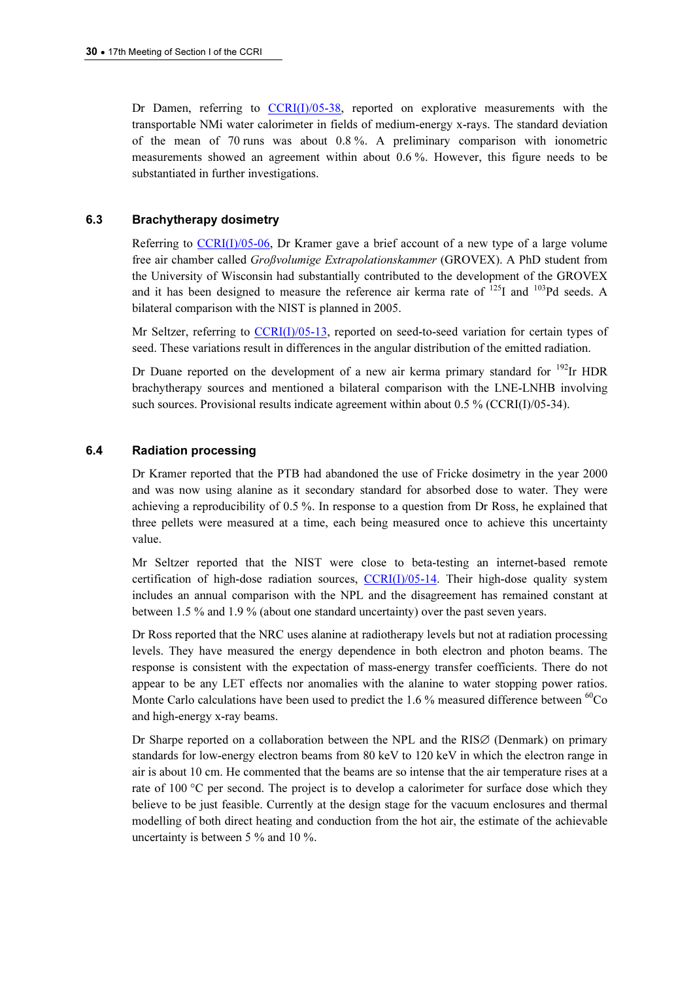Dr Damen, referring [to CCRI\(I\)/05-38, repor](https://www.bipm.org/cc/CCRI(I)/Allowed/17/CCRI(I)05-38.pdf)ted on explorative measurements with the transportable NMi water calorimeter in fields of medium-energy x-rays. The standard deviation of the mean of 70 runs was about 0.8 %. A preliminary comparison with ionometric measurements showed an agreement within about 0.6 %. However, this figure needs to be substantiated in further investigations.

#### 6.3 Brachytherapy dosimetry

Referring to  $CCRI(I)/05-06$ , Dr Kramer gave a brief account of a new type of a large volume free air chamber called Großvolumige Extrapolationskammer (GROVEX). A PhD student from the University of Wisconsin had substantially contributed to the development of the GROVEX and it has been designed to measure the reference air kerma rate of  $^{125}I$  and  $^{103}Pd$  seeds. A bilateral comparison with the NIST is planned in 2005.

Mr Seltzer, refer[ring to CCRI\(I\)/05-13, repo](https://www.bipm.org/cc/CCRI(I)/Allowed/17/CCRI(I)05-13.pdf)rted on seed-to-seed variation for certain types of seed. These variations result in differences in the angular distribution of the emitted radiation.

Dr Duane reported on the development of a new air kerma primary standard for  $^{192}$ Ir HDR brachytherapy sources and mentioned a bilateral comparison with the LNE-LNHB involving such sources. Provisional results indicate agreement within about 0.5 % (CCRI(I)/05-34).

#### 6.4 Radiation processing

Dr Kramer reported that the PTB had abandoned the use of Fricke dosimetry in the year 2000 and was now using alanine as it secondary standard for absorbed dose to water. They were achieving a reproducibility of 0.5 %. In response to a question from Dr Ross, he explained that three pellets were measured at a time, each being measured once to achieve this uncertainty value.

Mr Seltzer reported that the NIST were close to beta-testing an internet-based remote certification of high-dose radiation sources,  $CCRI(I)/05-14$ . Their high-dose quality system includes an annual comparison with the NPL and the disagreement has remained constant at between 1.5 % and 1.9 % (about one standard uncertainty) over the past seven years.

Dr Ross reported that the NRC uses alanine at radiotherapy levels but not at radiation processing levels. They have measured the energy dependence in both electron and photon beams. The response is consistent with the expectation of mass-energy transfer coefficients. There do not appear to be any LET effects nor anomalies with the alanine to water stopping power ratios. Monte Carlo calculations have been used to predict the 1.6 % measured difference between  ${}^{60}Co$ and high-energy x-ray beams.

Dr Sharpe reported on a collaboration between the NPL and the RIS∅ (Denmark) on primary standards for low-energy electron beams from 80 keV to 120 keV in which the electron range in air is about 10 cm. He commented that the beams are so intense that the air temperature rises at a rate of 100 °C per second. The project is to develop a calorimeter for surface dose which they believe to be just feasible. Currently at the design stage for the vacuum enclosures and thermal modelling of both direct heating and conduction from the hot air, the estimate of the achievable uncertainty is between 5 % and 10 %.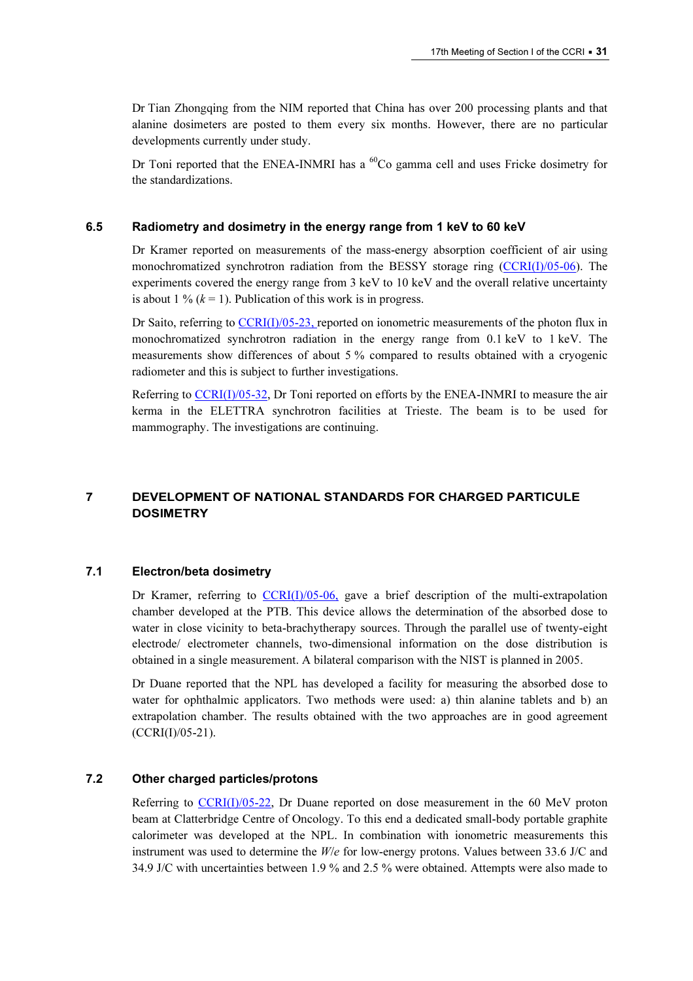Dr Tian Zhongqing from the NIM reported that China has over 200 processing plants and that alanine dosimeters are posted to them every six months. However, there are no particular developments currently under study.

Dr Toni reported that the ENEA-INMRI has a  ${}^{60}Co$  gamma cell and uses Fricke dosimetry for the standardizations.

## 6.5 Radiometry and dosimetry in the energy range from 1 keV to 60 keV

Dr Kramer reported on measurements of the mass-energy absorption coefficient of air using monochromatized synchrotron radiation from the BESSY storage ring (CCRI(I)/05-06). The experiments covered the energy range from 3 keV to 10 keV an[d the overall relative uncertainty](https://www.bipm.org/cc/CCRI(I)/Allowed/17/CCRI(I)05-06.pdf)  is about 1 %  $(k = 1)$ . Publication of this work is in progress.

Dr Saito, referrin[g to CCRI\(I\)/05-23, report](https://www.bipm.org/cc/CCRI(I)/Allowed/17/CCRI(I)05-23.pdf)ed on ionometric measurements of the photon flux in monochromatized synchrotron radiation in the energy range from 0.1 keV to 1 keV. The measurements show differences of about 5 % compared to results obtained with a cryogenic radiometer and this is subject to further investigations.

Referri[ng to CCRI\(I\)/05-32, Dr Ton](https://www.bipm.org/cc/CCRI(I)/Allowed/17/CCRI(I)05-32.pdf)i reported on efforts by the ENEA-INMRI to measure the air kerma in the ELETTRA synchrotron facilities at Trieste. The beam is to be used for mammography. The investigations are continuing.

# 7 DEVELOPMENT OF NATIONAL STANDARDS FOR CHARGED PARTICULE **DOSIMETRY**

## 7.1 Electron/beta dosimetry

Dr Kramer, referring t[o CCRI\(I\)/05-06, gave a brief](https://www.bipm.org/cc/CCRI(I)/Allowed/17/CCRI(I)05-06.pdf) description of the multi-extrapolation chamber developed at the PTB. This device allows the determination of the absorbed dose to water in close vicinity to beta-brachytherapy sources. Through the parallel use of twenty-eight electrode/ electrometer channels, two-dimensional information on the dose distribution is obtained in a single measurement. A bilateral comparison with the NIST is planned in 2005.

Dr Duane reported that the NPL has developed a facility for measuring the absorbed dose to water for ophthalmic applicators. Two methods were used: a) thin alanine tablets and b) an extrapolation chamber. The results obtained with the two approaches are in good agreement (CCRI(I)/05-21).

#### 7.2 Other charged particles/protons

Referring to  $CCRI(J)/05-22$ , Dr Duane reported on dose measurement in the 60 MeV proton beam at Clatterbridge Centre of Oncology. To this end a dedicated small-body portable graphite calorimeter was developed at the NPL. In combination with ionometric measurements this instrument was used to determine the  $W/e$  for low-energy protons. Values between 33.6 J/C and 34.9 J/C with uncertainties between 1.9 % and 2.5 % were obtained. Attempts were also made to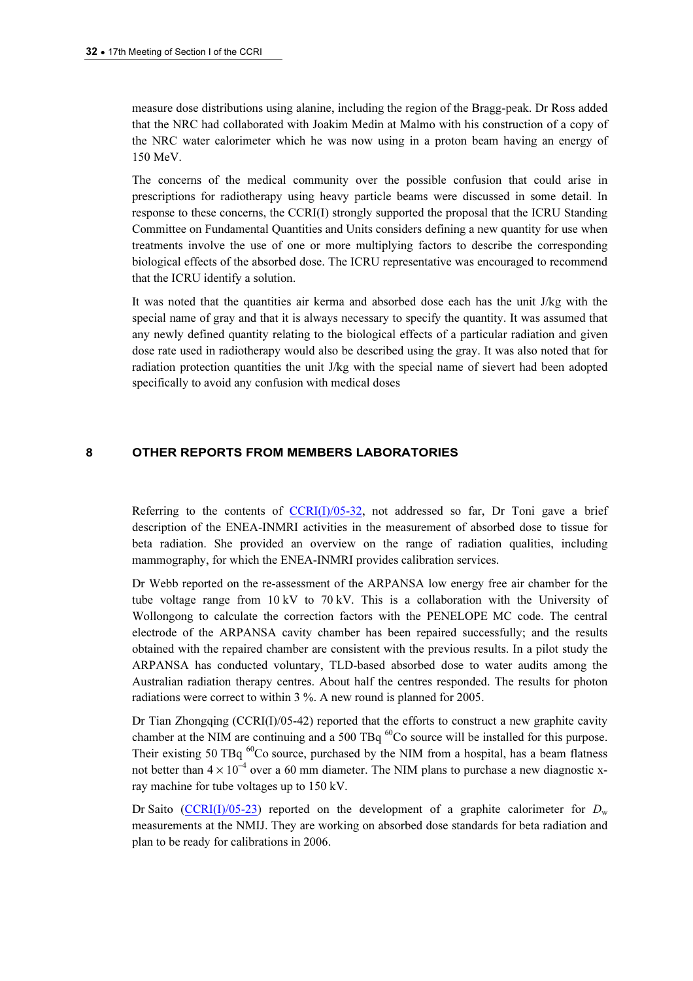measure dose distributions using alanine, including the region of the Bragg-peak. Dr Ross added that the NRC had collaborated with Joakim Medin at Malmo with his construction of a copy of the NRC water calorimeter which he was now using in a proton beam having an energy of 150 MeV.

The concerns of the medical community over the possible confusion that could arise in prescriptions for radiotherapy using heavy particle beams were discussed in some detail. In response to these concerns, the CCRI(I) strongly supported the proposal that the ICRU Standing Committee on Fundamental Quantities and Units considers defining a new quantity for use when treatments involve the use of one or more multiplying factors to describe the corresponding biological effects of the absorbed dose. The ICRU representative was encouraged to recommend that the ICRU identify a solution.

It was noted that the quantities air kerma and absorbed dose each has the unit J/kg with the special name of gray and that it is always necessary to specify the quantity. It was assumed that any newly defined quantity relating to the biological effects of a particular radiation and given dose rate used in radiotherapy would also be described using the gray. It was also noted that for radiation protection quantities the unit J/kg with the special name of sievert had been adopted specifically to avoid any confusion with medical doses

## 8 OTHER REPORTS FROM MEMBERS LABORATORIES

Referring to the contents of  $CCRI(I)/05-32$ , not addressed so far, Dr Toni gave a brief description of the ENEA-INMRI activities in the measurement of absorbed dose to tissue for beta radiation. She provided an overview on the range of radiation qualities, including mammography, for which the ENEA-INMRI provides calibration services.

Dr Webb reported on the re-assessment of the ARPANSA low energy free air chamber for the tube voltage range from 10 kV to 70 kV. This is a collaboration with the University of Wollongong to calculate the correction factors with the PENELOPE MC code. The central electrode of the ARPANSA cavity chamber has been repaired successfully; and the results obtained with the repaired chamber are consistent with the previous results. In a pilot study the ARPANSA has conducted voluntary, TLD-based absorbed dose to water audits among the Australian radiation therapy centres. About half the centres responded. The results for photon radiations were correct to within 3 %. A new round is planned for 2005.

Dr Tian Zhongqing ( $CCRI(I)/05-42$ ) reported that the efforts to construct a new graphite cavity chamber at the NIM are continuing and a 500 TBq  ${}^{60}Co$  source will be installed for this purpose. Their existing 50 TBq  $^{60}$ Co source, purchased by the NIM from a hospital, has a beam flatness not better than  $4 \times 10^{-4}$  over a 60 mm diameter. The NIM plans to purchase a new diagnostic xray machine for tube voltages up to 150 kV.

Dr [Saito \(CCRI\(I\)/05-23\) reporte](https://www.bipm.org/cc/CCRI(I)/Allowed/17/CCRI(I)05-23.pdf)d on the development of a graphite calorimeter for  $D_w$ measurements at the NMIJ. They are working on absorbed dose standards for beta radiation and plan to be ready for calibrations in 2006.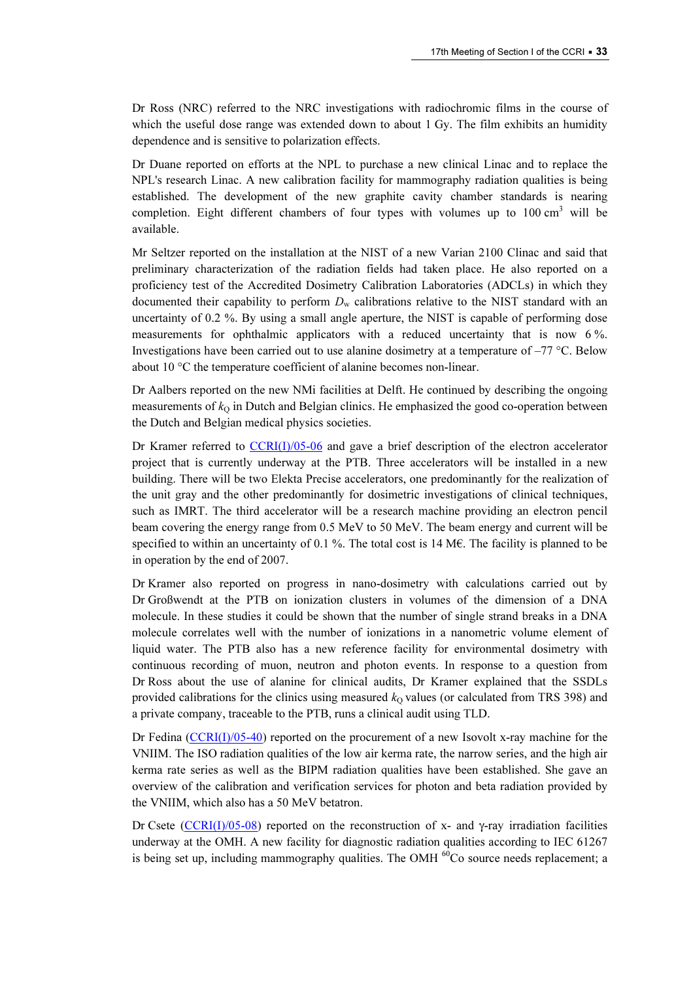Dr Ross (NRC) referred to the NRC investigations with radiochromic films in the course of which the useful dose range was extended down to about 1 Gy. The film exhibits an humidity dependence and is sensitive to polarization effects.

Dr Duane reported on efforts at the NPL to purchase a new clinical Linac and to replace the NPL's research Linac. A new calibration facility for mammography radiation qualities is being established. The development of the new graphite cavity chamber standards is nearing completion. Eight different chambers of four types with volumes up to  $100 \text{ cm}^3$  will be available.

Mr Seltzer reported on the installation at the NIST of a new Varian 2100 Clinac and said that preliminary characterization of the radiation fields had taken place. He also reported on a proficiency test of the Accredited Dosimetry Calibration Laboratories (ADCLs) in which they documented their capability to perform  $D_w$  calibrations relative to the NIST standard with an uncertainty of 0.2 %. By using a small angle aperture, the NIST is capable of performing dose measurements for ophthalmic applicators with a reduced uncertainty that is now 6 %. Investigations have been carried out to use alanine dosimetry at a temperature of  $-77$  °C. Below about 10 °C the temperature coefficient of alanine becomes non-linear.

Dr Aalbers reported on the new NMi facilities at Delft. He continued by describing the ongoing measurements of  $k<sub>Q</sub>$  in Dutch and Belgian clinics. He emphasized the good co-operation between the Dutch and Belgian medical physics societies.

Dr Kramer referred to  $CCRI(J)/05-06$  and gave a brief description of the electron accelerator project that is currently underway at the PTB. Three accelerators will be installed in a new building. There will be two Elekta Precise accelerators, one predominantly for the realization of the unit gray and the other predominantly for dosimetric investigations of clinical techniques, such as IMRT. The third accelerator will be a research machine providing an electron pencil beam covering the energy range from 0.5 MeV to 50 MeV. The beam energy and current will be specified to within an uncertainty of 0.1 %. The total cost is 14 ME. The facility is planned to be in operation by the end of 2007.

Dr Kramer also reported on progress in nano-dosimetry with calculations carried out by Dr Großwendt at the PTB on ionization clusters in volumes of the dimension of a DNA molecule. In these studies it could be shown that the number of single strand breaks in a DNA molecule correlates well with the number of ionizations in a nanometric volume element of liquid water. The PTB also has a new reference facility for environmental dosimetry with continuous recording of muon, neutron and photon events. In response to a question from Dr Ross about the use of alanine for clinical audits, Dr Kramer explained that the SSDLs provided calibrations for the clinics using measured  $k<sub>0</sub>$  values (or calculated from TRS 398) and a private company, traceable to the PTB, runs a clinical audit using TLD.

Dr Fe[dina \(CCRI\(I\)/05-40\) reported on](https://www.bipm.org/cc/CCRI(I)/Allowed/17/CCRI(I)05-40.pdf) the procurement of a new Isovolt x-ray machine for the VNIIM. The ISO radiation qualities of the low air kerma rate, the narrow series, and the high air kerma rate series as well as the BIPM radiation qualities have been established. She gave an overview of the calibration and verification services for photon and beta radiation provided by the VNIIM, which also has a 50 MeV betatron.

Dr [Csete \(CCRI\(I\)/05-08\) reporte](https://www.bipm.org/cc/CCRI(I)/Allowed/17/CCRI(I)05-08.pdf)d on the reconstruction of x- and γ-ray irradiation facilities underway at the OMH. A new facility for diagnostic radiation qualities according to IEC 61267 is being set up, including mammography qualities. The OMH  $^{60}$ Co source needs replacement; a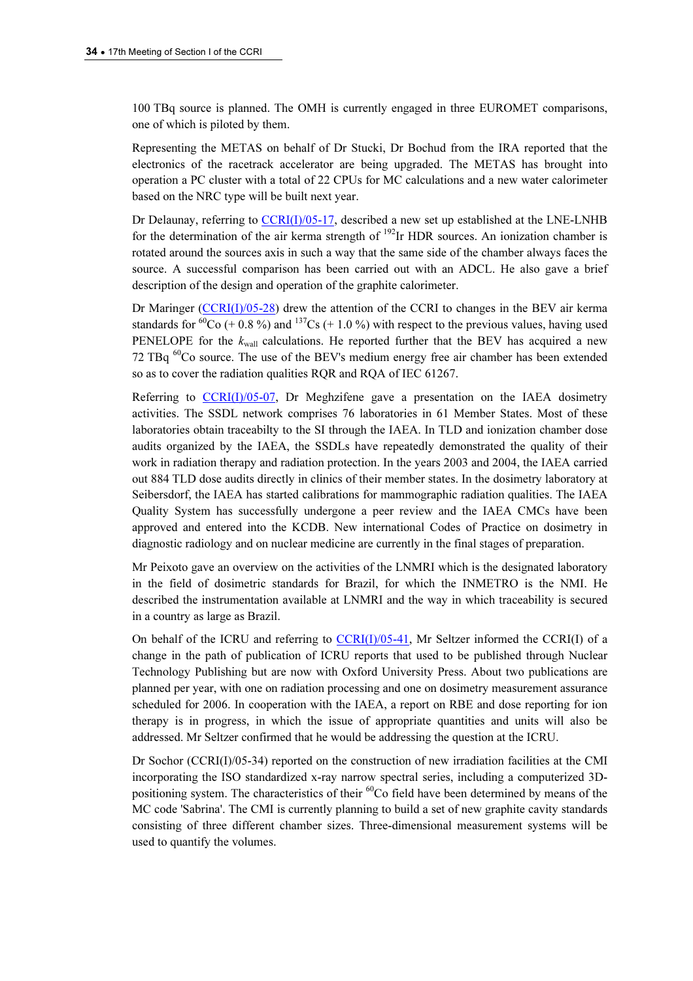100 TBq source is planned. The OMH is currently engaged in three EUROMET comparisons, one of which is piloted by them.

Representing the METAS on behalf of Dr Stucki, Dr Bochud from the IRA reported that the electronics of the racetrack accelerator are being upgraded. The METAS has brought into operation a PC cluster with a total of 22 CPUs for MC calculations and a new water calorimeter based on the NRC type will be built next year.

Dr Delaunay, referring to  $CCRI(J)/05-17$ , described a new set up established at the LNE-LNHB for the determination of the air kerma strength of  $192$ Ir HDR sources. An ionization chamber is rotated around the sources axis in such a way that the same side of the chamber always faces the source. A successful comparison has been carried out with an ADCL. He also gave a brief description of the design and operation of the graphite calorimeter.

Dr Mari[nger \(CCRI\(I\)/05-28\) drew the atte](https://www.bipm.org/cc/CCRI(I)/Allowed/17/CCRI(I)05-28.pdf)ntion of the CCRI to changes in the BEV air kerma standards for <sup>60</sup>Co (+ 0.8 %) and <sup>137</sup>Cs (+ 1.0 %) with respect to the previous values, having used PENELOPE for the  $k_{\text{wall}}$  calculations. He reported further that the BEV has acquired a new 72 TBq  ${}^{60}$ Co source. The use of the BEV's medium energy free air chamber has been extended so as to cover the radiation qualities RQR and RQA of IEC 61267.

Referring to  $CCRI(I)/05-07$ , Dr Meghzifene gave a presentation on the IAEA dosimetry activities. The SSDL network comprises 76 laboratories in 61 Member States. Most of these laboratories obtain traceabilty to the SI through the IAEA. In TLD and ionization chamber dose audits organized by the IAEA, the SSDLs have repeatedly demonstrated the quality of their work in radiation therapy and radiation protection. In the years 2003 and 2004, the IAEA carried out 884 TLD dose audits directly in clinics of their member states. In the dosimetry laboratory at Seibersdorf, the IAEA has started calibrations for mammographic radiation qualities. The IAEA Quality System has successfully undergone a peer review and the IAEA CMCs have been approved and entered into the KCDB. New international Codes of Practice on dosimetry in diagnostic radiology and on nuclear medicine are currently in the final stages of preparation.

Mr Peixoto gave an overview on the activities of the LNMRI which is the designated laboratory in the field of dosimetric standards for Brazil, for which the INMETRO is the NMI. He described the instrumentation available at LNMRI and the way in which traceability is secured in a country as large as Brazil.

On behalf of the ICRU and referring to  $\frac{CCRI(I)/05-41}{D}$ , Mr Seltzer informed the CCRI(I) of a change in the path of publication of ICRU reports that used to be published through Nuclear Technology Publishing but are now with Oxford University Press. About two publications are planned per year, with one on radiation processing and one on dosimetry measurement assurance scheduled for 2006. In cooperation with the IAEA, a report on RBE and dose reporting for ion therapy is in progress, in which the issue of appropriate quantities and units will also be addressed. Mr Seltzer confirmed that he would be addressing the question at the ICRU.

Dr Sochor (CCRI(I)/05-34) reported on the construction of new irradiation facilities at the CMI incorporating the ISO standardized x-ray narrow spectral series, including a computerized 3Dpositioning system. The characteristics of their <sup>60</sup>Co field have been determined by means of the MC code 'Sabrina'. The CMI is currently planning to build a set of new graphite cavity standards consisting of three different chamber sizes. Three-dimensional measurement systems will be used to quantify the volumes.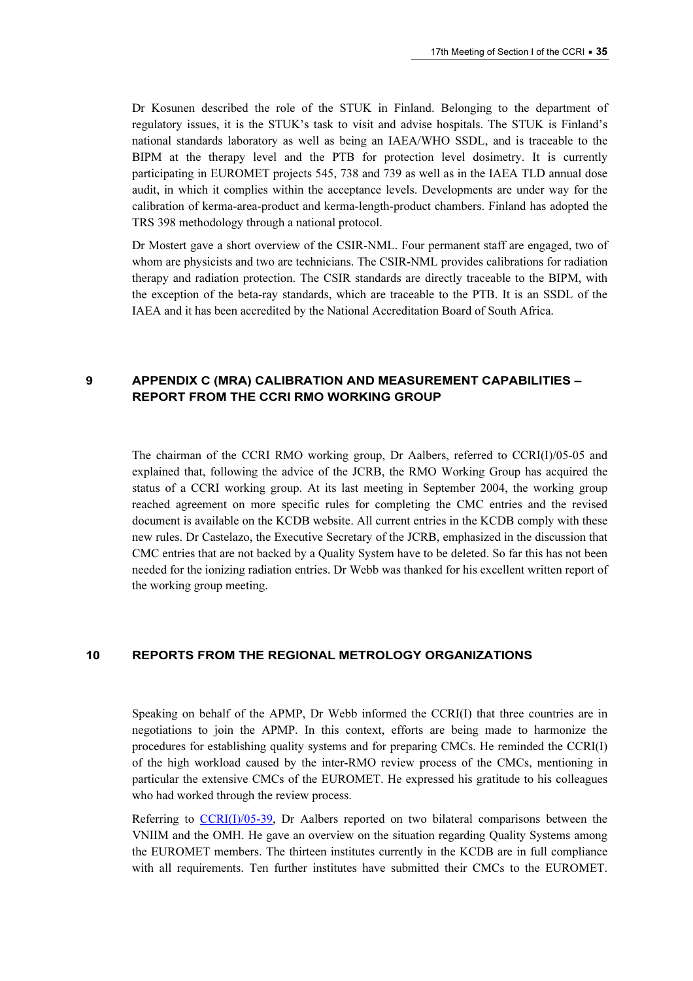Dr Kosunen described the role of the STUK in Finland. Belonging to the department of regulatory issues, it is the STUK's task to visit and advise hospitals. The STUK is Finland's national standards laboratory as well as being an IAEA/WHO SSDL, and is traceable to the BIPM at the therapy level and the PTB for protection level dosimetry. It is currently participating in EUROMET projects 545, 738 and 739 as well as in the IAEA TLD annual dose audit, in which it complies within the acceptance levels. Developments are under way for the calibration of kerma-area-product and kerma-length-product chambers. Finland has adopted the TRS 398 methodology through a national protocol.

Dr Mostert gave a short overview of the CSIR-NML. Four permanent staff are engaged, two of whom are physicists and two are technicians. The CSIR-NML provides calibrations for radiation therapy and radiation protection. The CSIR standards are directly traceable to the BIPM, with the exception of the beta-ray standards, which are traceable to the PTB. It is an SSDL of the IAEA and it has been accredited by the National Accreditation Board of South Africa.

## 9 APPENDIX C (MRA) CALIBRATION AND MEASUREMENT CAPABILITIES – REPORT FROM THE CCRI RMO WORKING GROUP

The chairman of the CCRI RMO working group, Dr Aalbers, referred to CCRI(I)/05-05 and explained that, following the advice of the JCRB, the RMO Working Group has acquired the status of a CCRI working group. At its last meeting in September 2004, the working group reached agreement on more specific rules for completing the CMC entries and the revised document is available on the KCDB website. All current entries in the KCDB comply with these new rules. Dr Castelazo, the Executive Secretary of the JCRB, emphasized in the discussion that CMC entries that are not backed by a Quality System have to be deleted. So far this has not been needed for the ionizing radiation entries. Dr Webb was thanked for his excellent written report of the working group meeting.

## 10 REPORTS FROM THE REGIONAL METROLOGY ORGANIZATIONS

Speaking on behalf of the APMP, Dr Webb informed the CCRI(I) that three countries are in negotiations to join the APMP. In this context, efforts are being made to harmonize the procedures for establishing quality systems and for preparing CMCs. He reminded the CCRI(I) of the high workload caused by the inter-RMO review process of the CMCs, mentioning in particular the extensive CMCs of the EUROMET. He expressed his gratitude to his colleagues who had worked through the review process.

Referring to  $CCRI(J)/05-39$ , Dr Aalbers reported on two bilateral comparisons between the VNIIM and the OMH. He gave an overview on the situation regarding Quality Systems among the EUROMET members. The thirteen institutes currently in the KCDB are in full compliance with all requirements. Ten further institutes have submitted their CMCs to the EUROMET.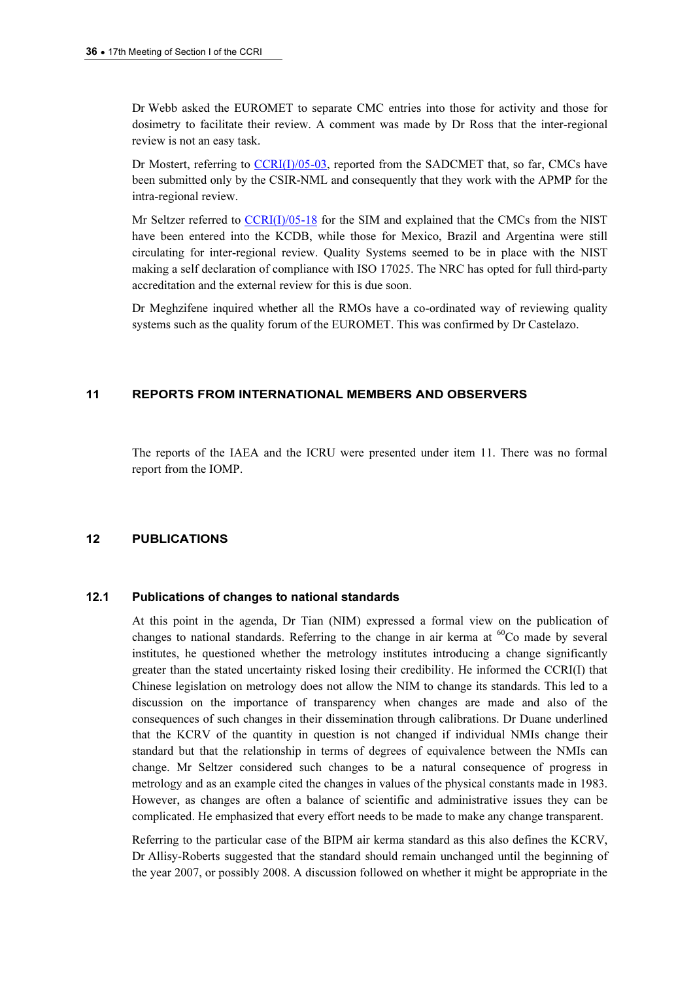Dr Webb asked the EUROMET to separate CMC entries into those for activity and those for dosimetry to facilitate their review. A comment was made by Dr Ross that the inter-regional review is not an easy task.

Dr Mostert, referring to CCRI(I)/05-03, reported from the SADCMET that, so far, CMCs have been submitted only by the CSIR-NML and consequently that they work with the APMP for the intra-regional review.

Mr Seltzer referred to CCRI(I)/05-18 for the SIM and explained that the CMCs from the NIST have been entered into the KCDB, while those for Mexico, Brazil and Argentina were still circulating for inter-regional review. Quality Systems seemed to be in place with the NIST making a self declaration of compliance with ISO 17025. The NRC has opted for full third-party accreditation and the external review for this is due soon.

Dr Meghzifene inquired whether all the RMOs have a co-ordinated way of reviewing quality systems such as the quality forum of the EUROMET. This was confirmed by Dr Castelazo.

## 11 REPORTS FROM INTERNATIONAL MEMBERS AND OBSERVERS

The reports of the IAEA and the ICRU were presented under item 11. There was no formal report from the IOMP.

#### 12 PUBLICATIONS

## 12.1 Publications of changes to national standards

At this point in the agenda, Dr Tian (NIM) expressed a formal view on the publication of changes to national standards. Referring to the change in air kerma at  ${}^{60}Co$  made by several institutes, he questioned whether the metrology institutes introducing a change significantly greater than the stated uncertainty risked losing their credibility. He informed the CCRI(I) that Chinese legislation on metrology does not allow the NIM to change its standards. This led to a discussion on the importance of transparency when changes are made and also of the consequences of such changes in their dissemination through calibrations. Dr Duane underlined that the KCRV of the quantity in question is not changed if individual NMIs change their standard but that the relationship in terms of degrees of equivalence between the NMIs can change. Mr Seltzer considered such changes to be a natural consequence of progress in metrology and as an example cited the changes in values of the physical constants made in 1983. However, as changes are often a balance of scientific and administrative issues they can be complicated. He emphasized that every effort needs to be made to make any change transparent.

Referring to the particular case of the BIPM air kerma standard as this also defines the KCRV, Dr Allisy-Roberts suggested that the standard should remain unchanged until the beginning of the year 2007, or possibly 2008. A discussion followed on whether it might be appropriate in the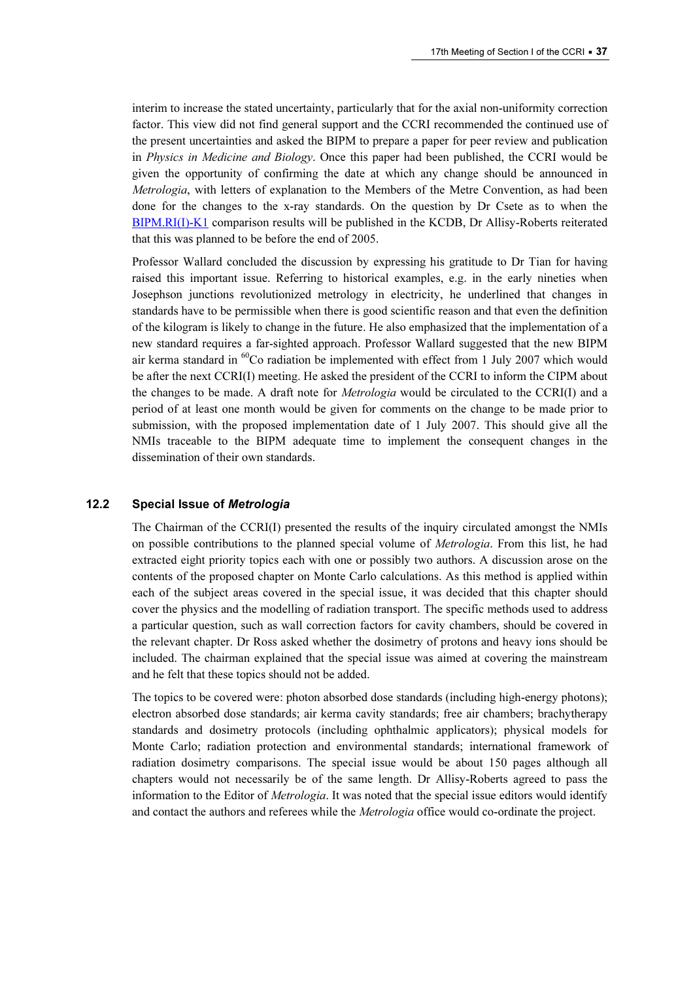interim to increase the stated uncertainty, particularly that for the axial non-uniformity correction factor. This view did not find general support and the CCRI recommended the continued use of the present uncertainties and asked the BIPM to prepare a paper for peer review and publication in Physics in Medicine and Biology. Once this paper had been published, the CCRI would be given the opportunity of confirming the date at which any change should be announced in Metrologia, with letters of explanation to the Members of the Metre Convention, as had been done for the changes to the x-ray standards. On the question by Dr Csete as to when the [BIPM.RI\(I\)-K1 compariso](http://kcdb.bipm.org/appendixB/KCDB_ApB_info.asp?cmp_idy=371&cmp_cod=BIPM.RI(I)-K1&prov=exalead)n results will be published in the KCDB, Dr Allisy-Roberts reiterated that this was planned to be before the end of 2005.

Professor Wallard concluded the discussion by expressing his gratitude to Dr Tian for having raised this important issue. Referring to historical examples, e.g. in the early nineties when Josephson junctions revolutionized metrology in electricity, he underlined that changes in standards have to be permissible when there is good scientific reason and that even the definition of the kilogram is likely to change in the future. He also emphasized that the implementation of a new standard requires a far-sighted approach. Professor Wallard suggested that the new BIPM air kerma standard in  ${}^{60}$ Co radiation be implemented with effect from 1 July 2007 which would be after the next CCRI(I) meeting. He asked the president of the CCRI to inform the CIPM about the changes to be made. A draft note for *Metrologia* would be circulated to the CCRI(I) and a period of at least one month would be given for comments on the change to be made prior to submission, with the proposed implementation date of 1 July 2007. This should give all the NMIs traceable to the BIPM adequate time to implement the consequent changes in the dissemination of their own standards.

#### 12.2 Special Issue of Metrologia

The Chairman of the CCRI(I) presented the results of the inquiry circulated amongst the NMIs on possible contributions to the planned special volume of Metrologia. From this list, he had extracted eight priority topics each with one or possibly two authors. A discussion arose on the contents of the proposed chapter on Monte Carlo calculations. As this method is applied within each of the subject areas covered in the special issue, it was decided that this chapter should cover the physics and the modelling of radiation transport. The specific methods used to address a particular question, such as wall correction factors for cavity chambers, should be covered in the relevant chapter. Dr Ross asked whether the dosimetry of protons and heavy ions should be included. The chairman explained that the special issue was aimed at covering the mainstream and he felt that these topics should not be added.

The topics to be covered were: photon absorbed dose standards (including high-energy photons); electron absorbed dose standards; air kerma cavity standards; free air chambers; brachytherapy standards and dosimetry protocols (including ophthalmic applicators); physical models for Monte Carlo; radiation protection and environmental standards; international framework of radiation dosimetry comparisons. The special issue would be about 150 pages although all chapters would not necessarily be of the same length. Dr Allisy-Roberts agreed to pass the information to the Editor of Metrologia. It was noted that the special issue editors would identify and contact the authors and referees while the *Metrologia* office would co-ordinate the project.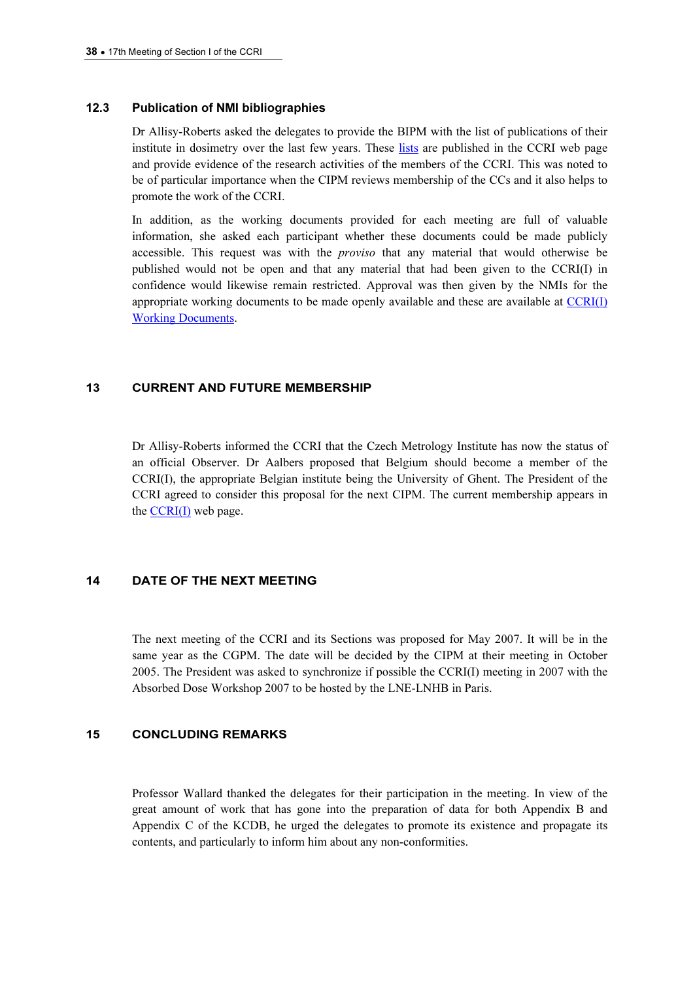#### 12.3 Publication of NMI bibliographies

Dr Allisy-Roberts asked the delegates to provide the BIPM with the list of publications of their institute in dosimetry over the last few years. [These lists are pub](https://www.bipm.org/en/committees/cc/ccri/publications_cc.html)lished in the CCRI web page and provide evidence of the research activities of the members of the CCRI. This was noted to be of particular importance when the CIPM reviews membership of the CCs and it also helps to promote the work of the CCRI.

In addition, as the working documents provided for each meeting are full of valuable information, she asked each participant whether these documents could be made publicly accessible. This request was with the *proviso* that any material that would otherwise be published would not be open and that any material that had been given to the CCRI(I) in confidence would likewise remain restricted. Approval was then given by the [NMIs for the](https://www.bipm.org/cc/AllowedDocuments.jsp?cc=CCRI(I))  [appropriate working document](https://www.bipm.org/cc/AllowedDocuments.jsp?cc=CCRI(I))s to be made openly available and these are available at  $CCRI(I)$ Working Documents.

## 13 CURRENT AND FUTURE MEMBERSHIP

Dr Allisy-Roberts informed the CCRI that the Czech Metrology Institute has now the status of an official Observer. Dr Aalbers proposed that Belgium should become a member of the CCRI(I), the appropriate Belgian institute being the University of Ghent. The President of the CCRI agreed to consider this proposal for the next CIPM. The current membership appears in the  $CCRI(I)$  web page.

## 14 DATE OF THE NEXT MEETING

The next meeting of the CCRI and its Sections was proposed for May 2007. It will be in the same year as the CGPM. The date will be decided by the CIPM at their meeting in October 2005. The President was asked to synchronize if possible the CCRI(I) meeting in 2007 with the Absorbed Dose Workshop 2007 to be hosted by the LNE-LNHB in Paris.

## 15 CONCLUDING REMARKS

Professor Wallard thanked the delegates for their participation in the meeting. In view of the great amount of work that has gone into the preparation of data for both Appendix B and Appendix C of the KCDB, he urged the delegates to promote its existence and propagate its contents, and particularly to inform him about any non-conformities.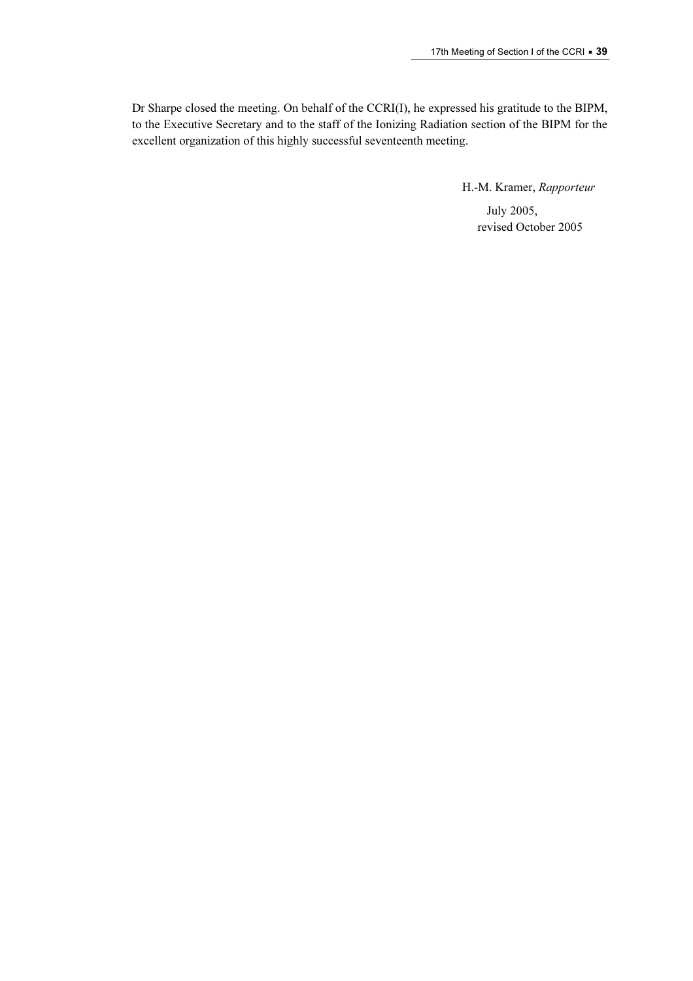Dr Sharpe closed the meeting. On behalf of the CCRI(I), he expressed his gratitude to the BIPM, to the Executive Secretary and to the staff of the Ionizing Radiation section of the BIPM for the excellent organization of this highly successful seventeenth meeting.

> H.-M. Kramer, Rapporteur July 2005, revised October 2005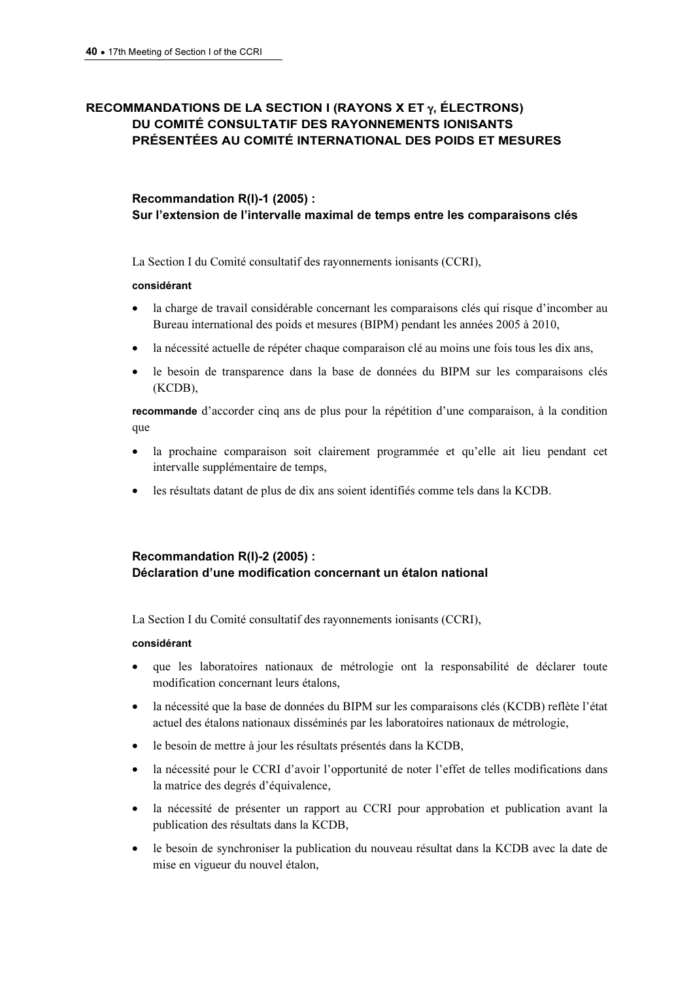# RECOMMANDATIONS DE LA SECTION I (RAYONS X ET  $\gamma$ , ÉLECTRONS) DU COMITÉ CONSULTATIF DES RAYONNEMENTS IONISANTS PRÉSENTÉES AU COMITÉ INTERNATIONAL DES POIDS ET MESURES

# Recommandation R(I)-1 (2005) : Sur l'extension de l'intervalle maximal de temps entre les comparaisons clés

La Section I du Comité consultatif des rayonnements ionisants (CCRI),

#### considérant

- la charge de travail considérable concernant les comparaisons clés qui risque d'incomber au Bureau international des poids et mesures (BIPM) pendant les années 2005 à 2010,
- la nécessité actuelle de répéter chaque comparaison clé au moins une fois tous les dix ans,
- le besoin de transparence dans la base de données du BIPM sur les comparaisons clés (KCDB),

recommande d'accorder cinq ans de plus pour la répétition d'une comparaison, à la condition que

- la prochaine comparaison soit clairement programmée et qu'elle ait lieu pendant cet intervalle supplémentaire de temps,
- les résultats datant de plus de dix ans soient identifiés comme tels dans la KCDB.

# Recommandation R(I)-2 (2005) : Déclaration d'une modification concernant un étalon national

La Section I du Comité consultatif des rayonnements ionisants (CCRI),

## considérant

- que les laboratoires nationaux de métrologie ont la responsabilité de déclarer toute modification concernant leurs étalons,
- la nécessité que la base de données du BIPM sur les comparaisons clés (KCDB) reflète l'état actuel des étalons nationaux disséminés par les laboratoires nationaux de métrologie,
- le besoin de mettre à jour les résultats présentés dans la KCDB,
- la nécessité pour le CCRI d'avoir l'opportunité de noter l'effet de telles modifications dans la matrice des degrés d'équivalence,
- la nécessité de présenter un rapport au CCRI pour approbation et publication avant la publication des résultats dans la KCDB,
- le besoin de synchroniser la publication du nouveau résultat dans la KCDB avec la date de mise en vigueur du nouvel étalon,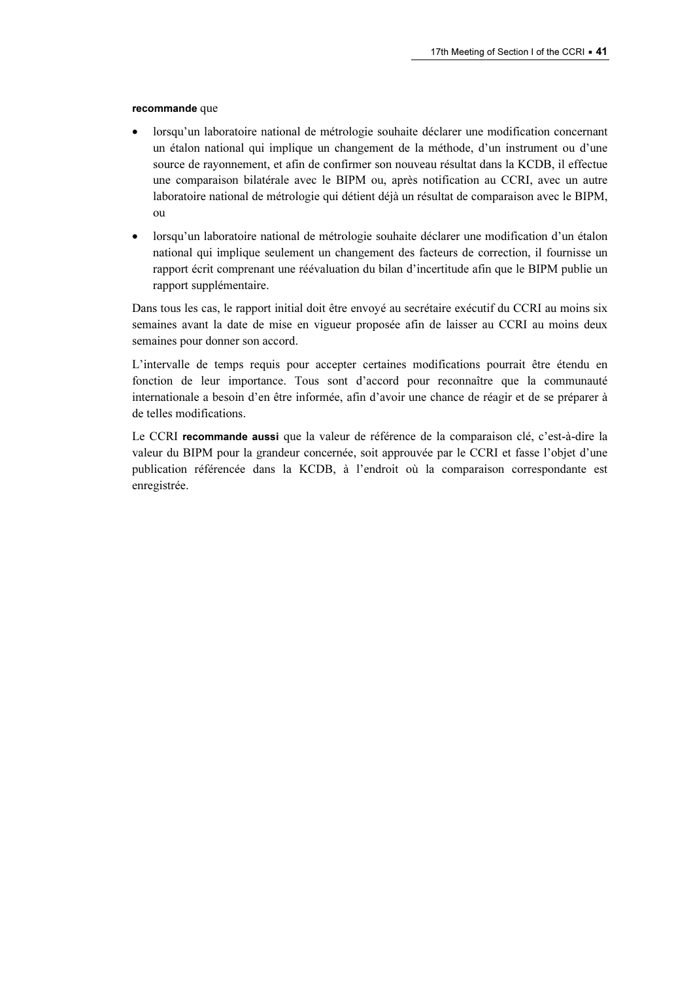#### recommande que

- lorsqu'un laboratoire national de métrologie souhaite déclarer une modification concernant un étalon national qui implique un changement de la méthode, d'un instrument ou d'une source de rayonnement, et afin de confirmer son nouveau résultat dans la KCDB, il effectue une comparaison bilatérale avec le BIPM ou, après notification au CCRI, avec un autre laboratoire national de métrologie qui détient déjà un résultat de comparaison avec le BIPM, ou
- lorsqu'un laboratoire national de métrologie souhaite déclarer une modification d'un étalon national qui implique seulement un changement des facteurs de correction, il fournisse un rapport écrit comprenant une réévaluation du bilan d'incertitude afin que le BIPM publie un rapport supplémentaire.

Dans tous les cas, le rapport initial doit être envoyé au secrétaire exécutif du CCRI au moins six semaines avant la date de mise en vigueur proposée afin de laisser au CCRI au moins deux semaines pour donner son accord.

L'intervalle de temps requis pour accepter certaines modifications pourrait être étendu en fonction de leur importance. Tous sont d'accord pour reconnaître que la communauté internationale a besoin d'en être informée, afin d'avoir une chance de réagir et de se préparer à de telles modifications.

Le CCRI recommande aussi que la valeur de référence de la comparaison clé, c'est-à-dire la valeur du BIPM pour la grandeur concernée, soit approuvée par le CCRI et fasse l'objet d'une publication référencée dans la KCDB, à l'endroit où la comparaison correspondante est enregistrée.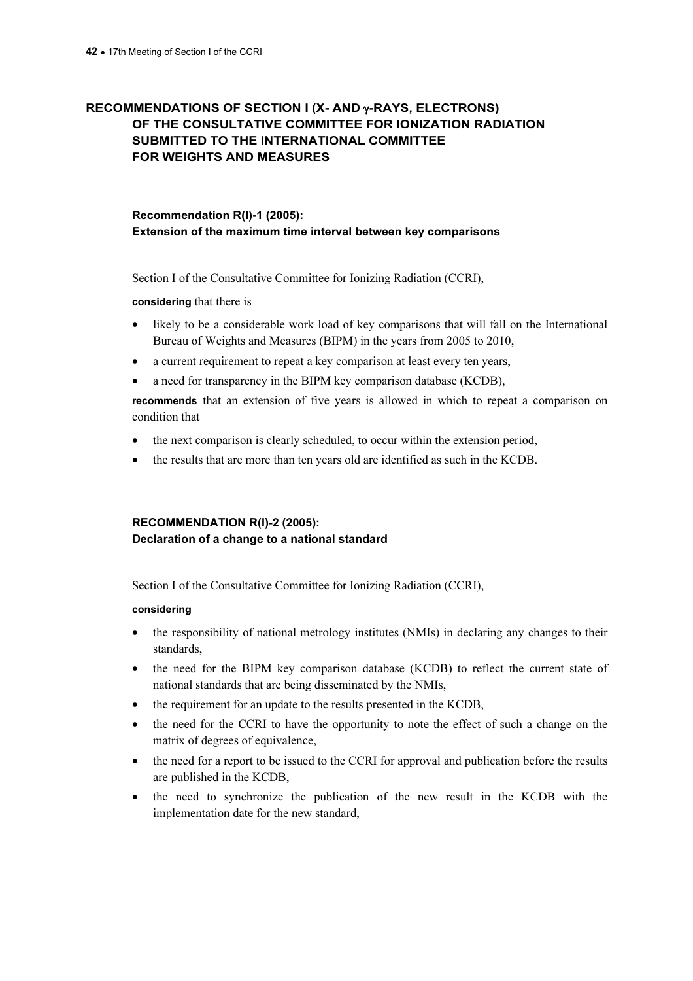# RECOMMENDATIONS OF SECTION I (X- AND γ-RAYS, ELECTRONS) OF THE CONSULTATIVE COMMITTEE FOR IONIZATION RADIATION SUBMITTED TO THE INTERNATIONAL COMMITTEE FOR WEIGHTS AND MEASURES

# Recommendation R(I)-1 (2005): Extension of the maximum time interval between key comparisons

Section I of the Consultative Committee for Ionizing Radiation (CCRI),

considering that there is

- likely to be a considerable work load of key comparisons that will fall on the International Bureau of Weights and Measures (BIPM) in the years from 2005 to 2010,
- a current requirement to repeat a key comparison at least every ten years,
- a need for transparency in the BIPM key comparison database (KCDB),

recommends that an extension of five years is allowed in which to repeat a comparison on condition that

- the next comparison is clearly scheduled, to occur within the extension period,
- the results that are more than ten years old are identified as such in the KCDB.

## RECOMMENDATION R(I)-2 (2005): Declaration of a change to a national standard

Section I of the Consultative Committee for Ionizing Radiation (CCRI),

## considering

- the responsibility of national metrology institutes (NMIs) in declaring any changes to their standards,
- the need for the BIPM key comparison database (KCDB) to reflect the current state of national standards that are being disseminated by the NMIs,
- the requirement for an update to the results presented in the KCDB,
- the need for the CCRI to have the opportunity to note the effect of such a change on the matrix of degrees of equivalence,
- the need for a report to be issued to the CCRI for approval and publication before the results are published in the KCDB,
- the need to synchronize the publication of the new result in the KCDB with the implementation date for the new standard,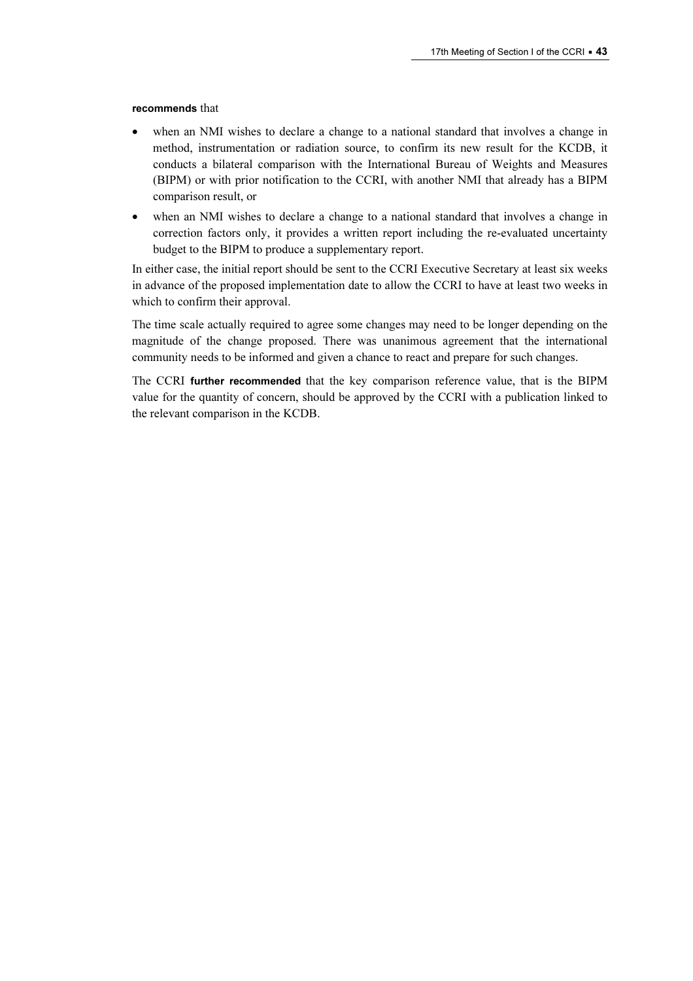#### recommends that

- when an NMI wishes to declare a change to a national standard that involves a change in method, instrumentation or radiation source, to confirm its new result for the KCDB, it conducts a bilateral comparison with the International Bureau of Weights and Measures (BIPM) or with prior notification to the CCRI, with another NMI that already has a BIPM comparison result, or
- when an NMI wishes to declare a change to a national standard that involves a change in correction factors only, it provides a written report including the re-evaluated uncertainty budget to the BIPM to produce a supplementary report.

In either case, the initial report should be sent to the CCRI Executive Secretary at least six weeks in advance of the proposed implementation date to allow the CCRI to have at least two weeks in which to confirm their approval.

The time scale actually required to agree some changes may need to be longer depending on the magnitude of the change proposed. There was unanimous agreement that the international community needs to be informed and given a chance to react and prepare for such changes.

The CCRI further recommended that the key comparison reference value, that is the BIPM value for the quantity of concern, should be approved by the CCRI with a publication linked to the relevant comparison in the KCDB.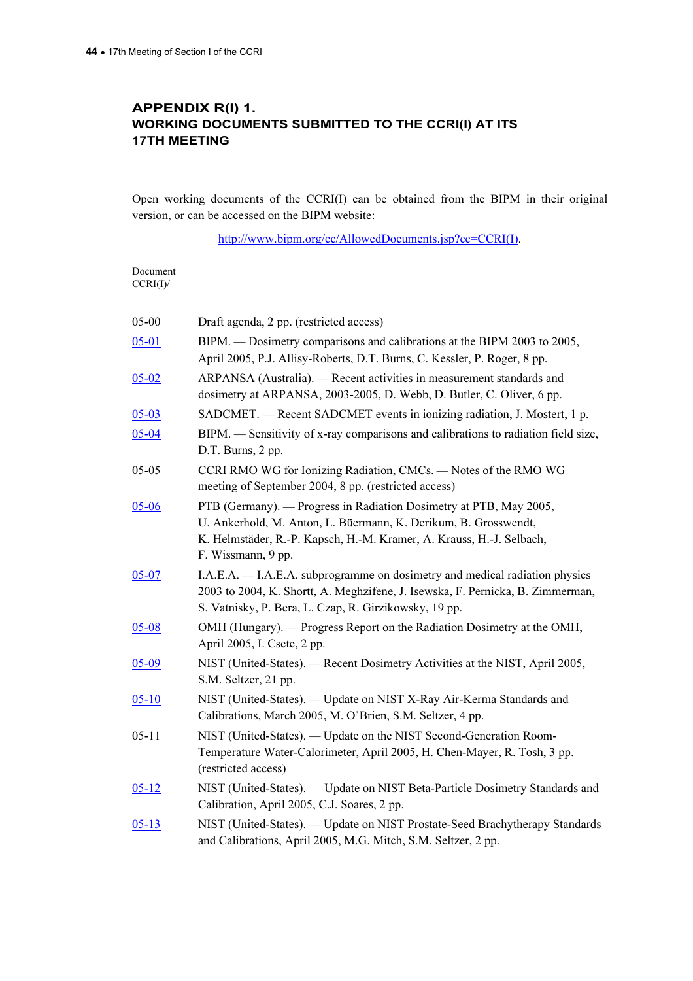# APPENDIX R(I) 1. WORKING DOCUMENTS SUBMITTED TO THE CCRI(I) AT ITS 17TH MEETING

Open working documents of the CCRI(I) can be obtained from the BIPM in their original version, or can be accessed on the BIPM website:

[http://www.bipm.org/cc/AllowedDocuments.jsp?cc=CCRI\(I\).](https://www.bipm.org/cc/AllowedDocuments.jsp?cc=CCRI(I)) 

| Document<br>CCRI(I) |                                                                                                                                                                                                                                     |
|---------------------|-------------------------------------------------------------------------------------------------------------------------------------------------------------------------------------------------------------------------------------|
| 05-00               | Draft agenda, 2 pp. (restricted access)                                                                                                                                                                                             |
| $05 - 01$           | BIPM. — Dosimetry comparisons and calibrations at the BIPM 2003 to 2005,<br>April 2005, P.J. Allisy-Roberts, D.T. Burns, C. Kessler, P. Roger, 8 pp.                                                                                |
| $05 - 02$           | ARPANSA (Australia). — Recent activities in measurement standards and<br>dosimetry at ARPANSA, 2003-2005, D. Webb, D. Butler, C. Oliver, 6 pp.                                                                                      |
| $05 - 03$           | SADCMET. - Recent SADCMET events in ionizing radiation, J. Mostert, 1 p.                                                                                                                                                            |
| $05 - 04$           | BIPM. — Sensitivity of x-ray comparisons and calibrations to radiation field size,<br>D.T. Burns, 2 pp.                                                                                                                             |
| $05 - 05$           | CCRI RMO WG for Ionizing Radiation, CMCs. - Notes of the RMO WG<br>meeting of September 2004, 8 pp. (restricted access)                                                                                                             |
| $05 - 06$           | PTB (Germany). — Progress in Radiation Dosimetry at PTB, May 2005,<br>U. Ankerhold, M. Anton, L. Büermann, K. Derikum, B. Grosswendt,<br>K. Helmstäder, R.-P. Kapsch, H.-M. Kramer, A. Krauss, H.-J. Selbach,<br>F. Wissmann, 9 pp. |
| $05 - 07$           | I.A.E.A. - I.A.E.A. subprogramme on dosimetry and medical radiation physics<br>2003 to 2004, K. Shortt, A. Meghzifene, J. Isewska, F. Pernicka, B. Zimmerman,<br>S. Vatnisky, P. Bera, L. Czap, R. Girzikowsky, 19 pp.              |
| $05 - 08$           | OMH (Hungary). — Progress Report on the Radiation Dosimetry at the OMH,<br>April 2005, I. Csete, 2 pp.                                                                                                                              |
| $05 - 09$           | NIST (United-States). - Recent Dosimetry Activities at the NIST, April 2005,<br>S.M. Seltzer, 21 pp.                                                                                                                                |
| $05 - 10$           | NIST (United-States). — Update on NIST X-Ray Air-Kerma Standards and<br>Calibrations, March 2005, M. O'Brien, S.M. Seltzer, 4 pp.                                                                                                   |
| $05 - 11$           | NIST (United-States). — Update on the NIST Second-Generation Room-<br>Temperature Water-Calorimeter, April 2005, H. Chen-Mayer, R. Tosh, 3 pp.<br>(restricted access)                                                               |
| $05 - 12$           | NIST (United-States). — Update on NIST Beta-Particle Dosimetry Standards and<br>Calibration, April 2005, C.J. Soares, 2 pp.                                                                                                         |
| $05 - 13$           | NIST (United-States). - Update on NIST Prostate-Seed Brachytherapy Standards<br>and Calibrations, April 2005, M.G. Mitch, S.M. Seltzer, 2 pp.                                                                                       |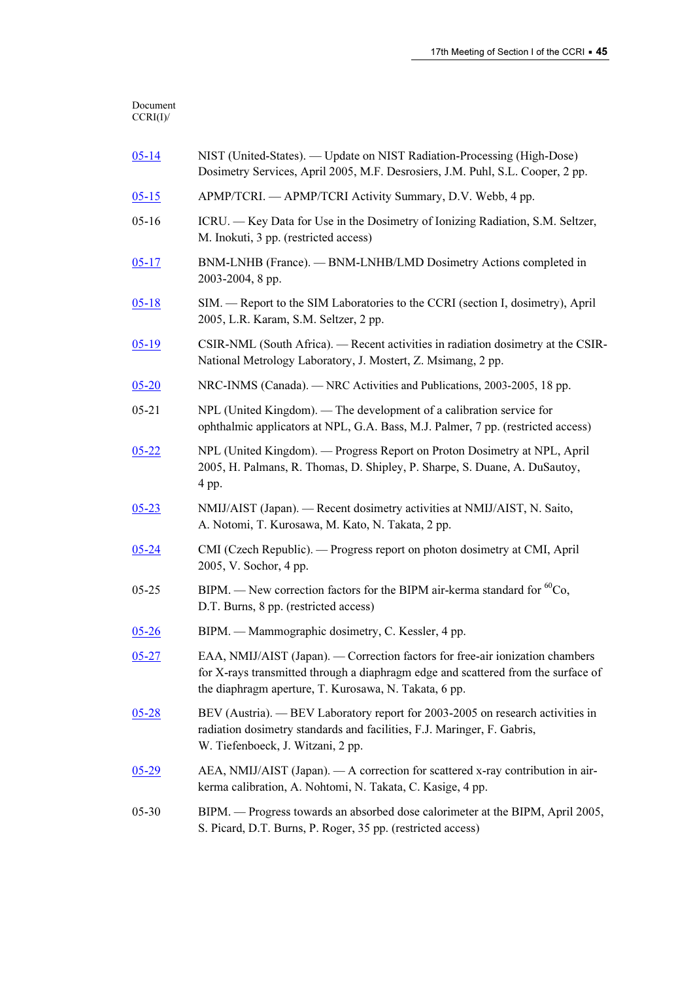| $05 - 14$ | NIST (United-States). — Update on NIST Radiation-Processing (High-Dose)<br>Dosimetry Services, April 2005, M.F. Desrosiers, J.M. Puhl, S.L. Cooper, 2 pp.                                                                   |
|-----------|-----------------------------------------------------------------------------------------------------------------------------------------------------------------------------------------------------------------------------|
| $05 - 15$ | APMP/TCRI. — APMP/TCRI Activity Summary, D.V. Webb, 4 pp.                                                                                                                                                                   |
| $05 - 16$ | ICRU. - Key Data for Use in the Dosimetry of Ionizing Radiation, S.M. Seltzer,<br>M. Inokuti, 3 pp. (restricted access)                                                                                                     |
| $05 - 17$ | BNM-LNHB (France). — BNM-LNHB/LMD Dosimetry Actions completed in<br>2003-2004, 8 pp.                                                                                                                                        |
| $05 - 18$ | SIM. — Report to the SIM Laboratories to the CCRI (section I, dosimetry), April<br>2005, L.R. Karam, S.M. Seltzer, 2 pp.                                                                                                    |
| $05-19$   | CSIR-NML (South Africa). — Recent activities in radiation dosimetry at the CSIR-<br>National Metrology Laboratory, J. Mostert, Z. Msimang, 2 pp.                                                                            |
| $05 - 20$ | NRC-INMS (Canada). — NRC Activities and Publications, 2003-2005, 18 pp.                                                                                                                                                     |
| $05 - 21$ | NPL (United Kingdom). - The development of a calibration service for<br>ophthalmic applicators at NPL, G.A. Bass, M.J. Palmer, 7 pp. (restricted access)                                                                    |
| $05 - 22$ | NPL (United Kingdom). — Progress Report on Proton Dosimetry at NPL, April<br>2005, H. Palmans, R. Thomas, D. Shipley, P. Sharpe, S. Duane, A. DuSautoy,<br>4 pp.                                                            |
| $05 - 23$ | NMIJ/AIST (Japan). — Recent dosimetry activities at NMIJ/AIST, N. Saito,<br>A. Notomi, T. Kurosawa, M. Kato, N. Takata, 2 pp.                                                                                               |
| $05 - 24$ | CMI (Czech Republic). — Progress report on photon dosimetry at CMI, April<br>2005, V. Sochor, 4 pp.                                                                                                                         |
| $05 - 25$ | BIPM. — New correction factors for the BIPM air-kerma standard for ${}^{60}Co$ ,<br>D.T. Burns, 8 pp. (restricted access)                                                                                                   |
| $05 - 26$ | BIPM. — Mammographic dosimetry, C. Kessler, 4 pp.                                                                                                                                                                           |
| $05 - 27$ | EAA, NMIJ/AIST (Japan). — Correction factors for free-air ionization chambers<br>for X-rays transmitted through a diaphragm edge and scattered from the surface of<br>the diaphragm aperture, T. Kurosawa, N. Takata, 6 pp. |
| $05 - 28$ | BEV (Austria). — BEV Laboratory report for 2003-2005 on research activities in<br>radiation dosimetry standards and facilities, F.J. Maringer, F. Gabris,<br>W. Tiefenboeck, J. Witzani, 2 pp.                              |
| $05 - 29$ | AEA, NMIJ/AIST (Japan). - A correction for scattered x-ray contribution in air-<br>kerma calibration, A. Nohtomi, N. Takata, C. Kasige, 4 pp.                                                                               |
| $05 - 30$ | BIPM. - Progress towards an absorbed dose calorimeter at the BIPM, April 2005,<br>S. Picard, D.T. Burns, P. Roger, 35 pp. (restricted access)                                                                               |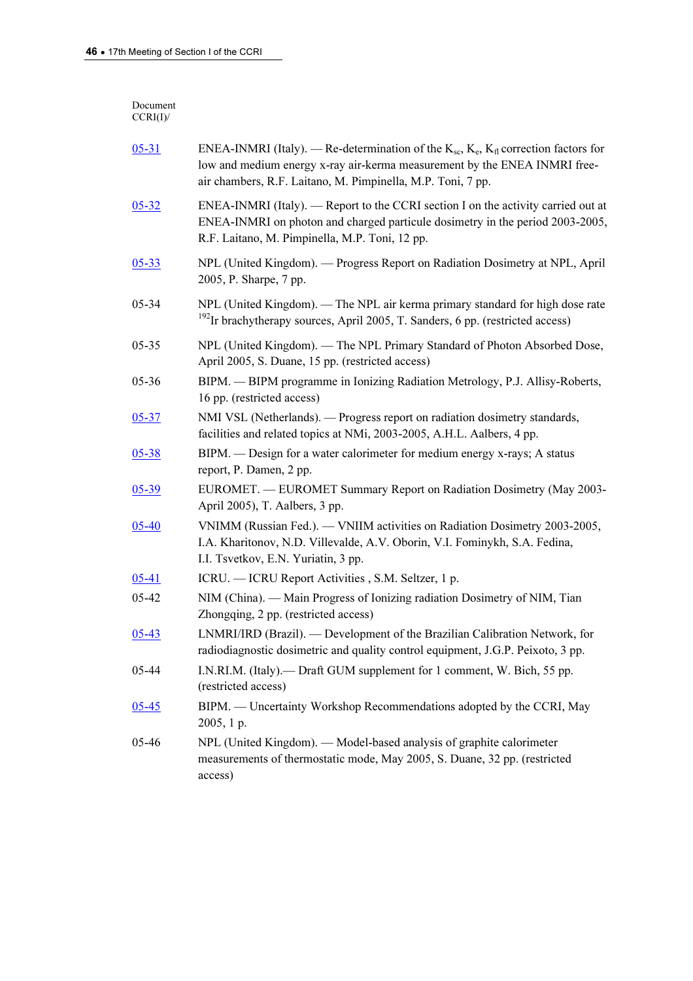#### Document CCRI(I)/

| $05 - 31$ | ENEA-INMRI (Italy). — Re-determination of the $K_{sc}$ , $K_e$ , $K_{fl}$ correction factors for<br>low and medium energy x-ray air-kerma measurement by the ENEA INMRI free-<br>air chambers, R.F. Laitano, M. Pimpinella, M.P. Toni, 7 pp. |
|-----------|----------------------------------------------------------------------------------------------------------------------------------------------------------------------------------------------------------------------------------------------|
| $05 - 32$ | ENEA-INMRI (Italy). — Report to the CCRI section I on the activity carried out at<br>ENEA-INMRI on photon and charged particule dosimetry in the period 2003-2005,<br>R.F. Laitano, M. Pimpinella, M.P. Toni, 12 pp.                         |
| $05 - 33$ | NPL (United Kingdom). - Progress Report on Radiation Dosimetry at NPL, April<br>2005, P. Sharpe, 7 pp.                                                                                                                                       |
| $05 - 34$ | NPL (United Kingdom). — The NPL air kerma primary standard for high dose rate<br><sup>192</sup> Ir brachytherapy sources, April 2005, T. Sanders, 6 pp. (restricted access)                                                                  |
| $05 - 35$ | NPL (United Kingdom). — The NPL Primary Standard of Photon Absorbed Dose,<br>April 2005, S. Duane, 15 pp. (restricted access)                                                                                                                |
| 05-36     | BIPM. - BIPM programme in Ionizing Radiation Metrology, P.J. Allisy-Roberts,<br>16 pp. (restricted access)                                                                                                                                   |
| $05 - 37$ | NMI VSL (Netherlands). — Progress report on radiation dosimetry standards,<br>facilities and related topics at NMi, 2003-2005, A.H.L. Aalbers, 4 pp.                                                                                         |
| $05 - 38$ | BIPM. — Design for a water calorimeter for medium energy x-rays; A status<br>report, P. Damen, 2 pp.                                                                                                                                         |
| $05 - 39$ | EUROMET. — EUROMET Summary Report on Radiation Dosimetry (May 2003-<br>April 2005), T. Aalbers, 3 pp.                                                                                                                                        |
| $05 - 40$ | VNIMM (Russian Fed.). — VNIIM activities on Radiation Dosimetry 2003-2005,<br>I.A. Kharitonov, N.D. Villevalde, A.V. Oborin, V.I. Fominykh, S.A. Fedina,<br>I.I. Tsvetkov, E.N. Yuriatin, 3 pp.                                              |
| $05 - 41$ | ICRU. — ICRU Report Activities, S.M. Seltzer, 1 p.                                                                                                                                                                                           |
| 05-42     | NIM (China). — Main Progress of Ionizing radiation Dosimetry of NIM, Tian<br>Zhongqing, 2 pp. (restricted access)                                                                                                                            |
| $05 - 43$ | LNMRI/IRD (Brazil). — Development of the Brazilian Calibration Network, for<br>radiodiagnostic dosimetric and quality control equipment, J.G.P. Peixoto, 3 pp.                                                                               |
| 05-44     | I.N.RI.M. (Italy).— Draft GUM supplement for 1 comment, W. Bich, 55 pp.<br>(restricted access)                                                                                                                                               |
| $05 - 45$ | BIPM. — Uncertainty Workshop Recommendations adopted by the CCRI, May<br>2005, 1 p.                                                                                                                                                          |
| 05-46     | NPL (United Kingdom). — Model-based analysis of graphite calorimeter<br>measurements of thermostatic mode, May 2005, S. Duane, 32 pp. (restricted<br>access)                                                                                 |
|           |                                                                                                                                                                                                                                              |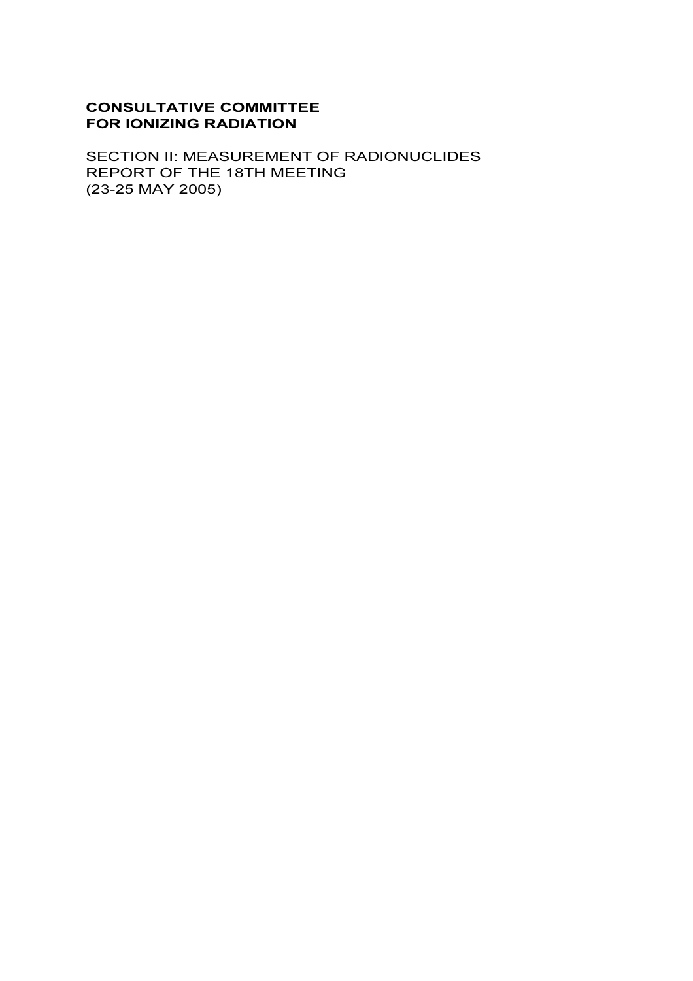# CONSULTATIVE COMMITTEE FOR IONIZING RADIATION

SECTION II: MEASUREMENT OF RADIONUCLIDES REPORT OF THE 18TH MEETING (23-25 MAY 2005)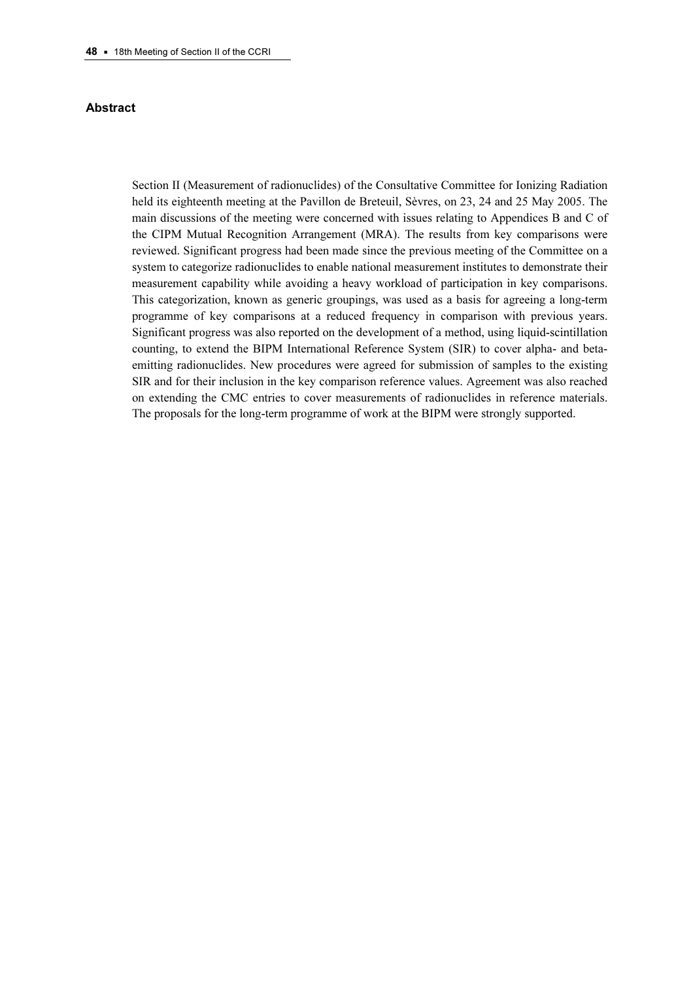#### Abstract

Section II (Measurement of radionuclides) of the Consultative Committee for Ionizing Radiation held its eighteenth meeting at the Pavillon de Breteuil, Sèvres, on 23, 24 and 25 May 2005. The main discussions of the meeting were concerned with issues relating to Appendices B and C of the CIPM Mutual Recognition Arrangement (MRA). The results from key comparisons were reviewed. Significant progress had been made since the previous meeting of the Committee on a system to categorize radionuclides to enable national measurement institutes to demonstrate their measurement capability while avoiding a heavy workload of participation in key comparisons. This categorization, known as generic groupings, was used as a basis for agreeing a long-term programme of key comparisons at a reduced frequency in comparison with previous years. Significant progress was also reported on the development of a method, using liquid-scintillation counting, to extend the BIPM International Reference System (SIR) to cover alpha- and betaemitting radionuclides. New procedures were agreed for submission of samples to the existing SIR and for their inclusion in the key comparison reference values. Agreement was also reached on extending the CMC entries to cover measurements of radionuclides in reference materials. The proposals for the long-term programme of work at the BIPM were strongly supported.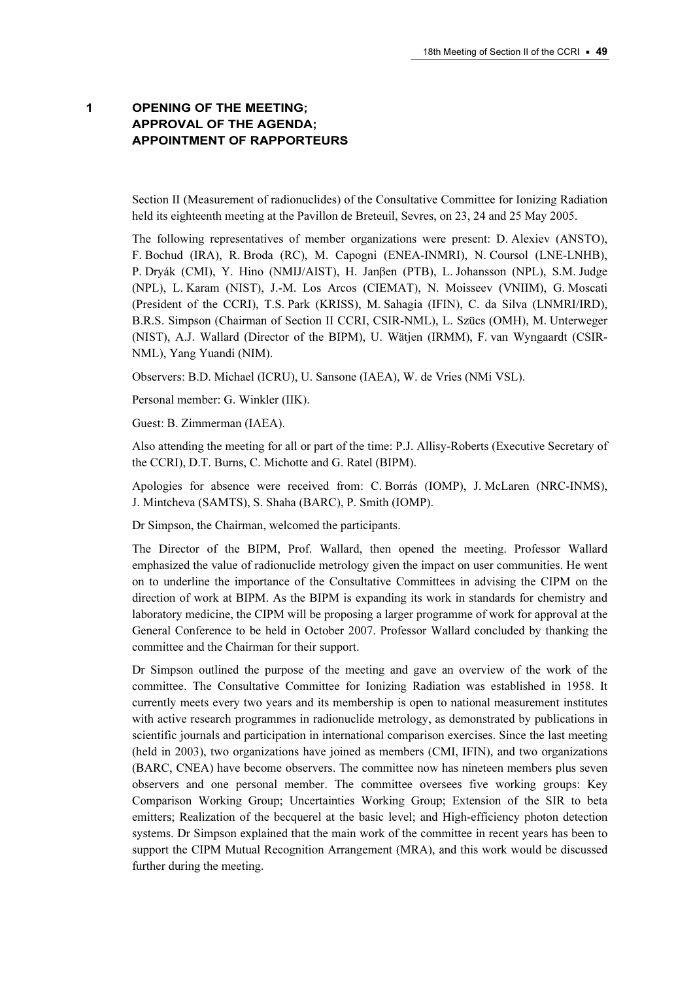# 1 OPENING OF THE MEETING; APPROVAL OF THE AGENDA; APPOINTMENT OF RAPPORTEURS

Section II (Measurement of radionuclides) of the Consultative Committee for Ionizing Radiation held its eighteenth meeting at the Pavillon de Breteuil, Sevres, on 23, 24 and 25 May 2005.

The following representatives of member organizations were present: D. Alexiev (ANSTO), F. Bochud (IRA), R. Broda (RC), M. Capogni (ENEA-INMRI), N. Coursol (LNE-LNHB), P. Dryák (CMI), Y. Hino (NMIJ/AIST), H. Janβen (PTB), L. Johansson (NPL), S.M. Judge (NPL), L. Karam (NIST), J.-M. Los Arcos (CIEMAT), N. Moisseev (VNIIM), G. Moscati (President of the CCRI), T.S. Park (KRISS), M. Sahagia (IFIN), C. da Silva (LNMRI/IRD), B.R.S. Simpson (Chairman of Section II CCRI, CSIR-NML), L. Szücs (OMH), M. Unterweger (NIST), A.J. Wallard (Director of the BIPM), U. Wätjen (IRMM), F. van Wyngaardt (CSIR-NML), Yang Yuandi (NIM).

Observers: B.D. Michael (ICRU), U. Sansone (IAEA), W. de Vries (NMi VSL).

Personal member: G. Winkler (IIK).

Guest: B. Zimmerman (IAEA).

Also attending the meeting for all or part of the time: P.J. Allisy-Roberts (Executive Secretary of the CCRI), D.T. Burns, C. Michotte and G. Ratel (BIPM).

Apologies for absence were received from: C. Borrás (IOMP), J. McLaren (NRC-INMS), J. Mintcheva (SAMTS), S. Shaha (BARC), P. Smith (IOMP).

Dr Simpson, the Chairman, welcomed the participants.

The Director of the BIPM, Prof. Wallard, then opened the meeting. Professor Wallard emphasized the value of radionuclide metrology given the impact on user communities. He went on to underline the importance of the Consultative Committees in advising the CIPM on the direction of work at BIPM. As the BIPM is expanding its work in standards for chemistry and laboratory medicine, the CIPM will be proposing a larger programme of work for approval at the General Conference to be held in October 2007. Professor Wallard concluded by thanking the committee and the Chairman for their support.

Dr Simpson outlined the purpose of the meeting and gave an overview of the work of the committee. The Consultative Committee for Ionizing Radiation was established in 1958. It currently meets every two years and its membership is open to national measurement institutes with active research programmes in radionuclide metrology, as demonstrated by publications in scientific journals and participation in international comparison exercises. Since the last meeting (held in 2003), two organizations have joined as members (CMI, IFIN), and two organizations (BARC, CNEA) have become observers. The committee now has nineteen members plus seven observers and one personal member. The committee oversees five working groups: Key Comparison Working Group; Uncertainties Working Group; Extension of the SIR to beta emitters; Realization of the becquerel at the basic level; and High-efficiency photon detection systems. Dr Simpson explained that the main work of the committee in recent years has been to support the CIPM Mutual Recognition Arrangement (MRA), and this work would be discussed further during the meeting.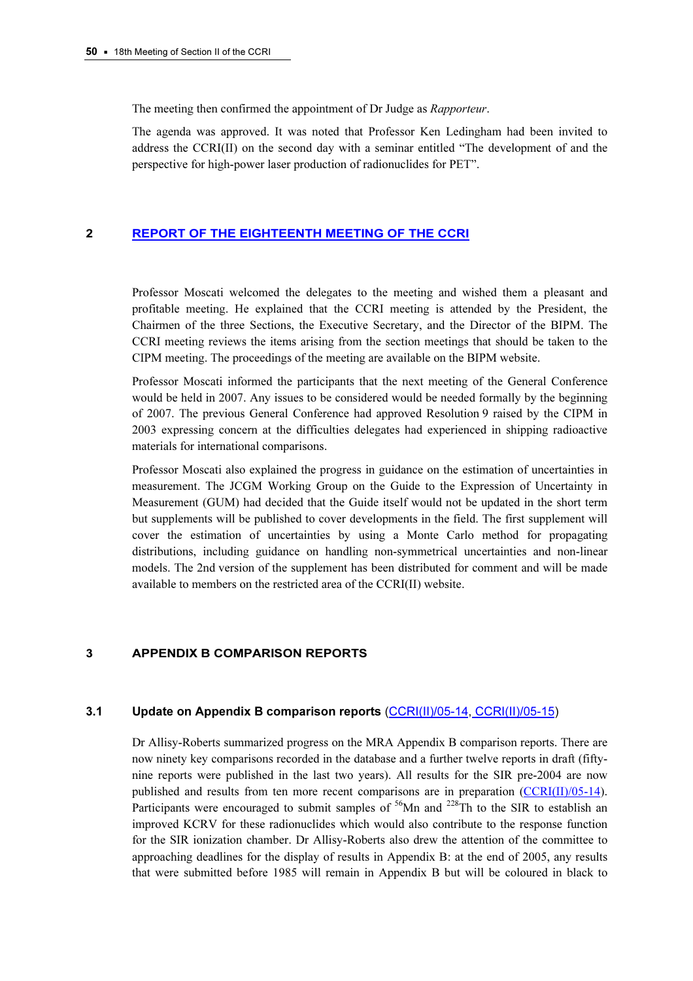The meeting then confirmed the appointment of Dr Judge as Rapporteur.

The agenda was approved. It was noted that Professor Ken Ledingham had been invited to address the CCRI(II) on the second day with a seminar entitled "The development of and the perspective for high-power laser production of radionuclides for PET".

## 2 [REPORT OF THE EIGHTEENTH MEETING OF THE CCRI](https://www.bipm.org/en/committees/cc/ccri/publications_cc.html)

Professor Moscati welcomed the delegates to the meeting and wished them a pleasant and profitable meeting. He explained that the CCRI meeting is attended by the President, the Chairmen of the three Sections, the Executive Secretary, and the Director of the BIPM. The CCRI meeting reviews the items arising from the section meetings that should be taken to the CIPM meeting. The proceedings of the meeting are available on the BIPM website.

Professor Moscati informed the participants that the next meeting of the General Conference would be held in 2007. Any issues to be considered would be needed formally by the beginning of 2007. The previous General Conference had approved Resolution 9 raised by the CIPM in 2003 expressing concern at the difficulties delegates had experienced in shipping radioactive materials for international comparisons.

Professor Moscati also explained the progress in guidance on the estimation of uncertainties in measurement. The JCGM Working Group on the Guide to the Expression of Uncertainty in Measurement (GUM) had decided that the Guide itself would not be updated in the short term but supplements will be published to cover developments in the field. The first supplement will cover the estimation of uncertainties by using a Monte Carlo method for propagating distributions, including guidance on handling non-symmetrical uncertainties and non-linear models. The 2nd version of the supplement has been distributed for comment and will be made available to members on the restricted area of the CCRI(II) website.

#### 3 APPENDIX B COMPARISON REPORTS

## 3.1 Update on Appendix B comparison reports [\(CCRI\(II\)/05-14,](https://www.bipm.org/cc/CCRI(II)/Allowed/18/CCRI(II)05-14.pdf) [CCRI\(II\)/05-15\)](https://www.bipm.org/cc/CCRI(II)/Allowed/18/CCRI(II)05-15.pdf)

Dr Allisy-Roberts summarized progress on the MRA Appendix B comparison reports. There are now ninety key comparisons recorded in the database and a further twelve reports in draft (fiftynine reports were published in the last two years). All results for the SIR pre-2004 are now published and results from ten more recent comparisons are in preparati[on \(CCRI\(II\)/05-14\).](https://www.bipm.org/cc/CCRI(II)/Allowed/18/CCRI(II)05-14.pdf)  Participants were encouraged to submit samples of  $56$ Mn and  $228$ Th to the SIR to establish an improved KCRV for these radionuclides which would also contribute to the response function for the SIR ionization chamber. Dr Allisy-Roberts also drew the attention of the committee to approaching deadlines for the display of results in Appendix B: at the end of 2005, any results that were submitted before 1985 will remain in Appendix B but will be coloured in black to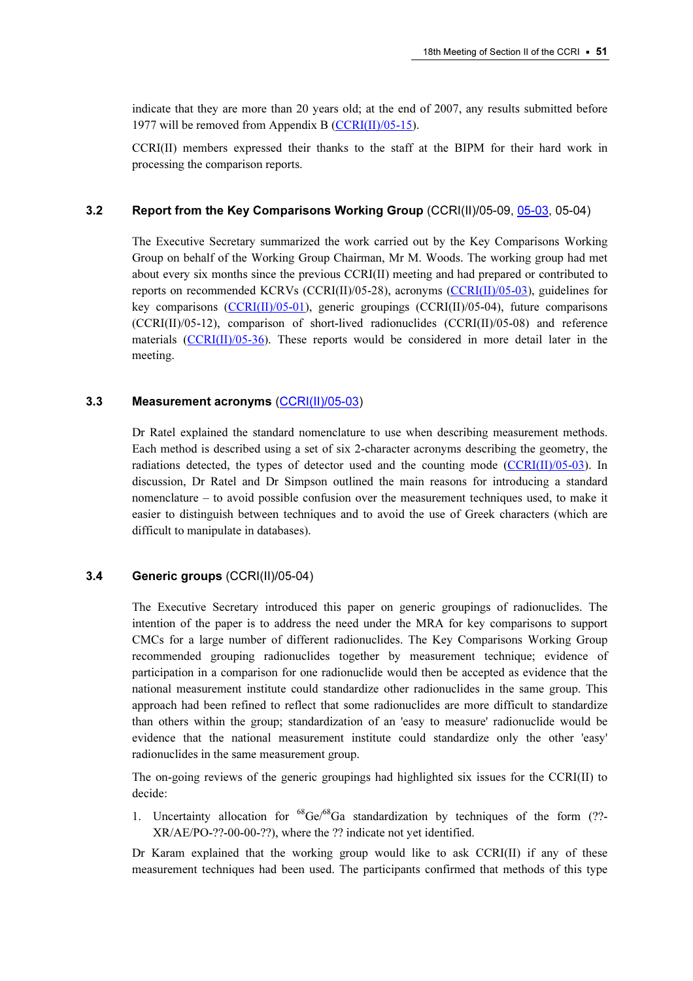indicate that they are more than 20 years old; at the end of 2007, any results submitted before 1977 will be removed from Appendix B ( $CCRI(II)/05-15$ ).

CCRI(II) members expressed their thanks to the staff at the BIPM for their hard work in processing the comparison reports.

## 3.2 Report from the Key Comparisons Working Group (CCRI(II)/05-0[9, 05-03, 0](https://www.bipm.org/cc/CCRI(II)/Allowed/18/CCRI(II)05-03.pdf)5-04)

The Executive Secretary summarized the work carried out by the Key Comparisons Working Group on behalf of the Working Group Chairman, Mr M. Woods. The working group had met about every six months since the previous CCRI(II) meeting and had prepared or contributed to reports on recommended KCRVs (CCRI(II)/05-28), acrony[ms \(CCRI\(II\)/05-03\), gui](https://www.bipm.org/cc/CCRI(II)/Allowed/18/CCRI(II)05-03.pdf)delines for key comparison[s \(CCRI\(II\)/05-01\), ge](https://www.bipm.org/cc/CCRI(II)/Allowed/18/CCRI(II)05-01.pdf)neric groupings (CCRI(II)/05-04), future comparisons  $(CCRI(II)/05-12)$ , comparison of short-lived radionuclides  $(CCRI(II)/05-08)$  and reference materials  $(CCRI(II)/05-36)$ . These reports would be considered in more detail later in the meeting.

## 3.3 Measurement acronyms [\(CCRI\(II\)/05-03\)](https://www.bipm.org/cc/CCRI(II)/Allowed/18/CCRI(II)05-03.pdf)

Dr Ratel explained the standard nomenclature to use when describing measurement methods. Each method is described using a set of six 2-character acronyms describing the geometry, the radiations detected, the types of detector used and the counting mode  $(CCRI(II)/05-03)$ . In discussion, Dr Ratel and Dr Simpson outlined the main reasons for [introducing a standard](https://www.bipm.org/cc/CCRI(II)/Allowed/18/CCRI(II)05-03.pdf)  nomenclature – to avoid possible confusion over the measurement techniques used, to make it easier to distinguish between techniques and to avoid the use of Greek characters (which are difficult to manipulate in databases).

## 3.4 Generic groups (CCRI(II)/05-04)

The Executive Secretary introduced this paper on generic groupings of radionuclides. The intention of the paper is to address the need under the MRA for key comparisons to support CMCs for a large number of different radionuclides. The Key Comparisons Working Group recommended grouping radionuclides together by measurement technique; evidence of participation in a comparison for one radionuclide would then be accepted as evidence that the national measurement institute could standardize other radionuclides in the same group. This approach had been refined to reflect that some radionuclides are more difficult to standardize than others within the group; standardization of an 'easy to measure' radionuclide would be evidence that the national measurement institute could standardize only the other 'easy' radionuclides in the same measurement group.

The on-going reviews of the generic groupings had highlighted six issues for the CCRI(II) to decide:

1. Uncertainty allocation for  ${}^{68}Ge/{}^{68}Ga$  standardization by techniques of the form (??-XR/AE/PO-??-00-00-??), where the ?? indicate not yet identified.

Dr Karam explained that the working group would like to ask CCRI(II) if any of these measurement techniques had been used. The participants confirmed that methods of this type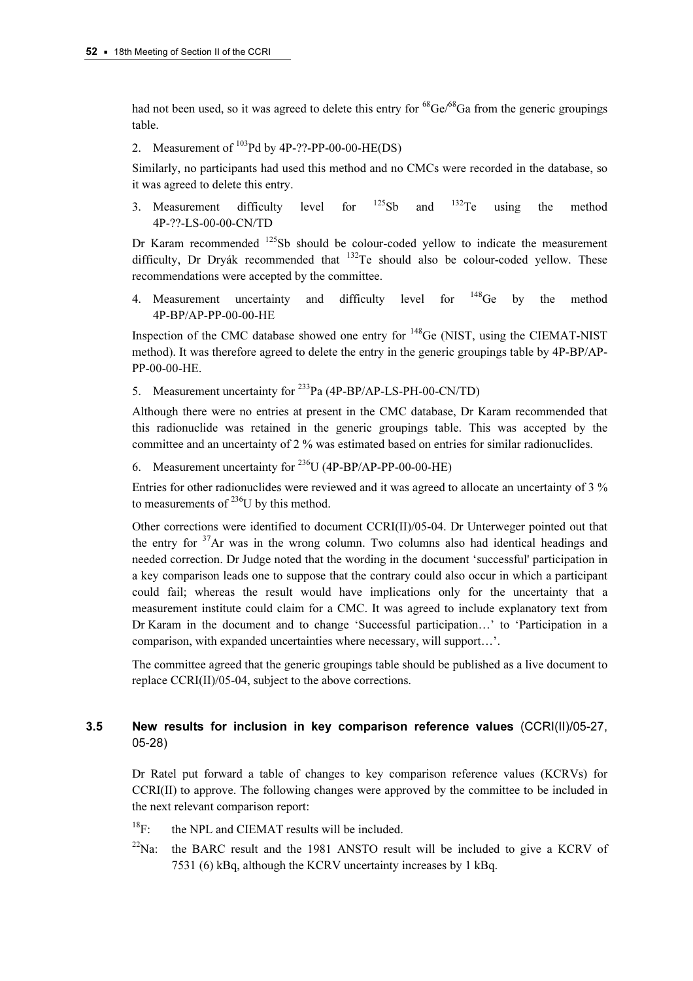had not been used, so it was agreed to delete this entry for  ${}^{68}Ge/{}^{68}Ga$  from the generic groupings table.

2. Measurement of  $^{103}$ Pd by 4P-??-PP-00-00-HE(DS)

Similarly, no participants had used this method and no CMCs were recorded in the database, so it was agreed to delete this entry.

3. Measurement difficulty level for  $125Sb$  and  $132Te$  using the method 4P-??-LS-00-00-CN/TD

Dr Karam recommended  $125Sb$  should be colour-coded yellow to indicate the measurement difficulty, Dr Dryák recommended that  $^{132}$ Te should also be colour-coded yellow. These recommendations were accepted by the committee.

4. Measurement uncertainty and difficulty level for <sup>148</sup>Ge by the method 4P-BP/AP-PP-00-00-HE

Inspection of the CMC database showed one entry for <sup>148</sup>Ge (NIST, using the CIEMAT-NIST method). It was therefore agreed to delete the entry in the generic groupings table by 4P-BP/AP-PP-00-00-HE.

5. Measurement uncertainty for <sup>233</sup>Pa (4P-BP/AP-LS-PH-00-CN/TD)

Although there were no entries at present in the CMC database, Dr Karam recommended that this radionuclide was retained in the generic groupings table. This was accepted by the committee and an uncertainty of 2 % was estimated based on entries for similar radionuclides.

6. Measurement uncertainty for  $^{236}$ U (4P-BP/AP-PP-00-00-HE)

Entries for other radionuclides were reviewed and it was agreed to allocate an uncertainty of 3 % to measurements of  $^{236}$ U by this method.

Other corrections were identified to document CCRI(II)/05-04. Dr Unterweger pointed out that the entry for  $37$ Ar was in the wrong column. Two columns also had identical headings and needed correction. Dr Judge noted that the wording in the document 'successful' participation in a key comparison leads one to suppose that the contrary could also occur in which a participant could fail; whereas the result would have implications only for the uncertainty that a measurement institute could claim for a CMC. It was agreed to include explanatory text from Dr Karam in the document and to change 'Successful participation…' to 'Participation in a comparison, with expanded uncertainties where necessary, will support…'.

The committee agreed that the generic groupings table should be published as a live document to replace CCRI(II)/05-04, subject to the above corrections.

# 3.5 New results for inclusion in key comparison reference values (CCRI(II)/05-27, 05-28)

Dr Ratel put forward a table of changes to key comparison reference values (KCRVs) for CCRI(II) to approve. The following changes were approved by the committee to be included in the next relevant comparison report:

- $^{18}$ F: the NPL and CIEMAT results will be included.
- $^{22}$ Na: the BARC result and the 1981 ANSTO result will be included to give a KCRV of 7531 (6) kBq, although the KCRV uncertainty increases by 1 kBq.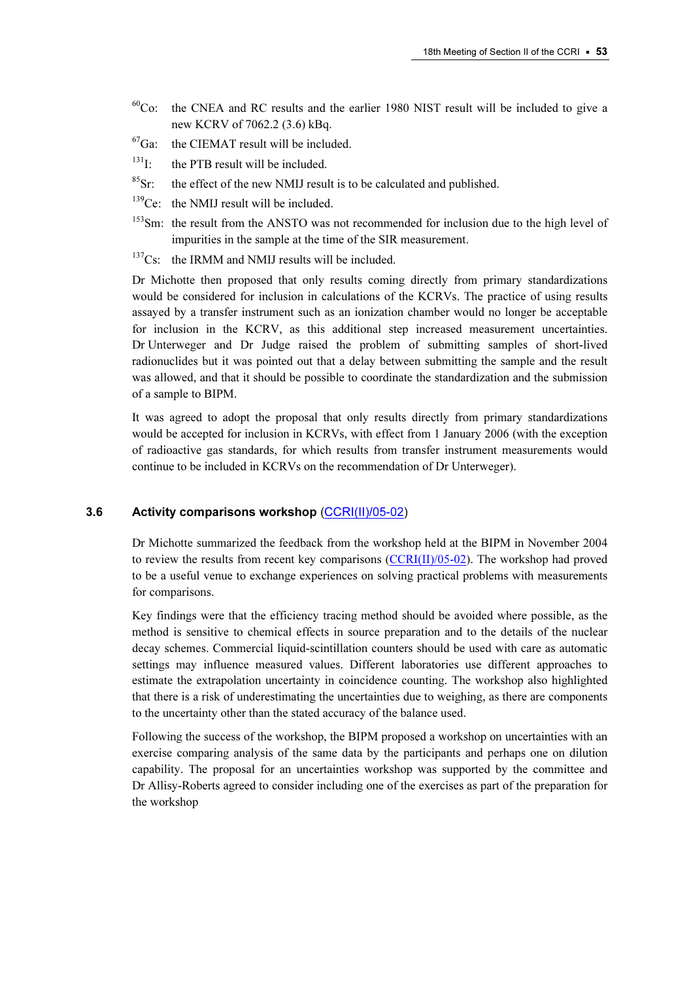- $60^{\circ}$ Co: the CNEA and RC results and the earlier 1980 NIST result will be included to give a new KCRV of 7062.2 (3.6) kBq.
- ${}^{67}$ Ga: the CIEMAT result will be included.
- $^{131}$ I: the PTB result will be included.
- ${}^{85}$ Sr: the effect of the new NMIJ result is to be calculated and published.
- $139$ Ce: the NMIJ result will be included.
- <sup>153</sup>Sm: the result from the ANSTO was not recommended for inclusion due to the high level of impurities in the sample at the time of the SIR measurement.
- $137$ Cs: the IRMM and NMIJ results will be included.

Dr Michotte then proposed that only results coming directly from primary standardizations would be considered for inclusion in calculations of the KCRVs. The practice of using results assayed by a transfer instrument such as an ionization chamber would no longer be acceptable for inclusion in the KCRV, as this additional step increased measurement uncertainties. Dr Unterweger and Dr Judge raised the problem of submitting samples of short-lived radionuclides but it was pointed out that a delay between submitting the sample and the result was allowed, and that it should be possible to coordinate the standardization and the submission of a sample to BIPM.

It was agreed to adopt the proposal that only results directly from primary standardizations would be accepted for inclusion in KCRVs, with effect from 1 January 2006 (with the exception of radioactive gas standards, for which results from transfer instrument measurements would continue to be included in KCRVs on the recommendation of Dr Unterweger).

#### 3.6 Activity comparisons workshop [\(CCRI\(II\)/05-02\)](https://www.bipm.org/cc/CCRI(II)/Allowed/18/CCRI(II)05-02.pdf)

Dr Michotte summarized the feedback from the workshop held at the BIPM in November 2004 to review the results from recent key comparisons  $(CCRI(II)/05-02)$ . The workshop had proved to be a useful venue to exchange experiences on solving practical problems with measurements for comparisons.

Key findings were that the efficiency tracing method should be avoided where possible, as the method is sensitive to chemical effects in source preparation and to the details of the nuclear decay schemes. Commercial liquid-scintillation counters should be used with care as automatic settings may influence measured values. Different laboratories use different approaches to estimate the extrapolation uncertainty in coincidence counting. The workshop also highlighted that there is a risk of underestimating the uncertainties due to weighing, as there are components to the uncertainty other than the stated accuracy of the balance used.

Following the success of the workshop, the BIPM proposed a workshop on uncertainties with an exercise comparing analysis of the same data by the participants and perhaps one on dilution capability. The proposal for an uncertainties workshop was supported by the committee and Dr Allisy-Roberts agreed to consider including one of the exercises as part of the preparation for the workshop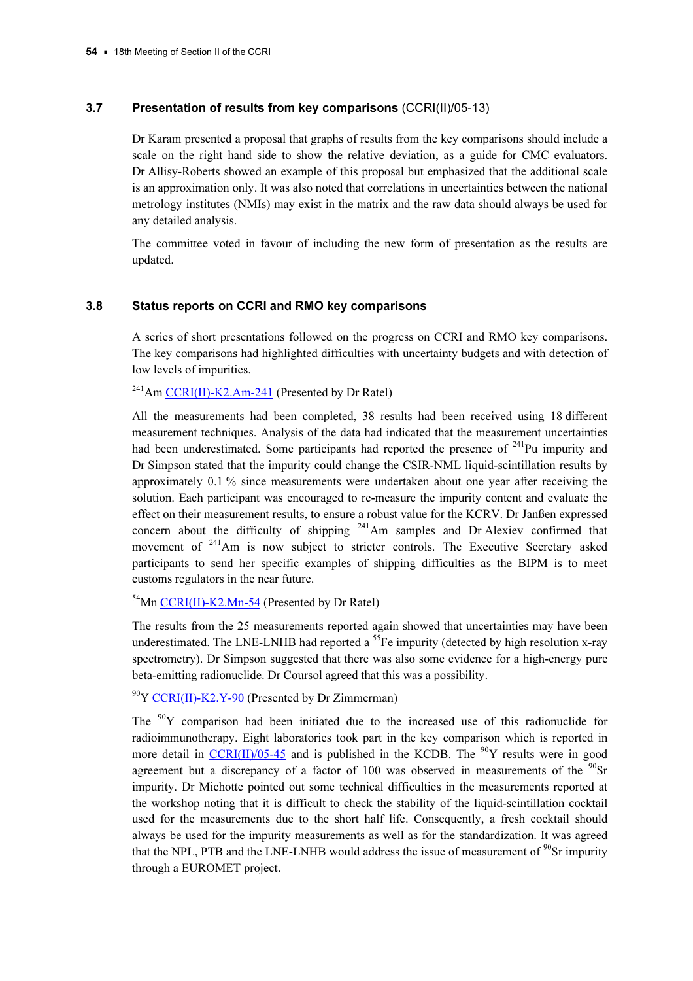## 3.7 Presentation of results from key comparisons (CCRI(II)/05-13)

Dr Karam presented a proposal that graphs of results from the key comparisons should include a scale on the right hand side to show the relative deviation, as a guide for CMC evaluators. Dr Allisy-Roberts showed an example of this proposal but emphasized that the additional scale is an approximation only. It was also noted that correlations in uncertainties between the national metrology institutes (NMIs) may exist in the matrix and the raw data should always be used for any detailed analysis.

The committee voted in favour of including the new form of presentation as the results are updated.

## 3.8 Status reports on CCRI and RMO key comparisons

A series of short presentations followed on the progress on CCRI and RMO key comparisons. The key comparisons had highlighted difficulties with uncertainty budgets and with detection of low levels of impurities.

 $^{241}$ [Am CCRI\(II\)-K2.Am-241 \(Pr](http://kcdb.bipm.org/appendixB/KCDB_ApB_info.asp?cmp_idy=246&cmp_cod=CCRI(II)-K2.Am-241&prov=exalead)esented by Dr Ratel)

All the measurements had been completed, 38 results had been received using 18 different measurement techniques. Analysis of the data had indicated that the measurement uncertainties had been underestimated. Some participants had reported the presence of  $241$ Pu impurity and Dr Simpson stated that the impurity could change the CSIR-NML liquid-scintillation results by approximately 0.1 % since measurements were undertaken about one year after receiving the solution. Each participant was encouraged to re-measure the impurity content and evaluate the effect on their measurement results, to ensure a robust value for the KCRV. Dr Janßen expressed concern about the difficulty of shipping  $241$ Am samples and Dr Alexiev confirmed that movement of  $241$ Am is now subject to stricter controls. The Executive Secretary asked participants to send her specific examples of shipping difficulties as the BIPM is to meet customs regulators in the near future.

 $^{54}$ [Mn CCRI\(II\)-K2.Mn-54 \(](http://kcdb.bipm.org/appendixB/KCDB_ApB_info.asp?cmp_idy=319&cmp_cod=CCRI(II)-K2.Mn-54&prov=exalead)Presented by Dr Ratel)

The results from the 25 measurements reported again showed that uncertainties may have been underestimated. The LNE-LNHB had reported a  ${}^{55}Fe$  impurity (detected by high resolution x-ray spectrometry). Dr Simpson suggested that there was also some evidence for a high-energy pure beta-emitting radionuclide. Dr Coursol agreed that this was a possibility.

 $^{90}$ [Y CCRI\(II\)-K2.Y-90 \(Pr](http://kcdb.bipm.org/appendixB/KCDB_ApB_info.asp?cmp_idy=580&cmp_cod=CCRI(II)-K2.Y-90&prov=exalead)esented by Dr Zimmerman)

The  $90Y$  comparison had been initiated due to the increased use of this radionuclide for radioimmunotherapy. Eight laboratories took part in the key comparison which is reported in more detai[l in CCRI\(II\)/05-45 and i](https://www.bipm.org/cc/CCRI(II)/Allowed/18/CCRI(II)05-45.pdf)s published in the KCDB. The <sup>90</sup>Y results were in good agreement but a discrepancy of a factor of 100 was observed in measurements of the  $^{90}Sr$ impurity. Dr Michotte pointed out some technical difficulties in the measurements reported at the workshop noting that it is difficult to check the stability of the liquid-scintillation cocktail used for the measurements due to the short half life. Consequently, a fresh cocktail should always be used for the impurity measurements as well as for the standardization. It was agreed that the NPL, PTB and the LNE-LNHB would address the issue of measurement of  $\rm{^{90}Sr}$  impurity through a EUROMET project.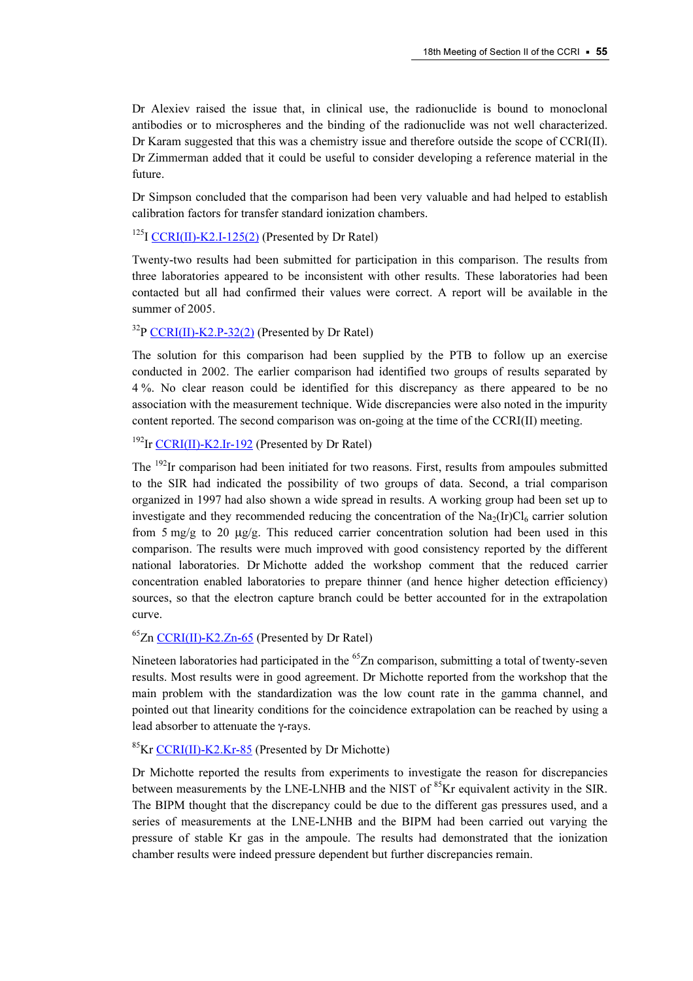Dr Alexiev raised the issue that, in clinical use, the radionuclide is bound to monoclonal antibodies or to microspheres and the binding of the radionuclide was not well characterized. Dr Karam suggested that this was a chemistry issue and therefore outside the scope of CCRI(II). Dr Zimmerman added that it could be useful to consider developing a reference material in the future.

Dr Simpson concluded that the comparison had been very valuable and had helped to establish calibration factors for transfer standard ionization chambers.

 $125$ I CCRI(II)-K2.I-125(2) (Presented by Dr Ratel)

[Twenty-two results had been su](http://kcdb.bipm.org/appendixB/KCDB_ApB_info.asp?cmp_idy=577&cmp_cod=CCRI(II)-K2.I-125(2)&prov=exalead)bmitted for participation in this comparison. The results from three laboratories appeared to be inconsistent with other results. These laboratories had been contacted but all had confirmed their values were correct. A report will be available in the summer of 2005.

<sup>32</sup>[P CCRI\(II\)-K2.P-32\(2\) \(Prese](http://kcdb.bipm.org/appendixB/KCDB_ApB_info.asp?cmp_idy=578&cmp_cod=CCRI(II)-K2.P-32(2)&prov=exalead)nted by Dr Ratel)

The solution for this comparison had been supplied by the PTB to follow up an exercise conducted in 2002. The earlier comparison had identified two groups of results separated by 4 %. No clear reason could be identified for this discrepancy as there appeared to be no association with the measurement technique. Wide discrepancies were also noted in the impurity content reported. The second comparison was on-going at the time of the CCRI(II) meeting.

 $192$ [Ir CCRI\(II\)-K2.Ir-192 \(Presen](http://kcdb.bipm.org/appendixB/KCDB_ApB_info.asp?cmp_idy=318&cmp_cod=CCRI(II)-K2.Ir-192&prov=exalead)ted by Dr Ratel)

The <sup>192</sup>Ir comparison had been initiated for two reasons. First, results from ampoules submitted to the SIR had indicated the possibility of two groups of data. Second, a trial comparison organized in 1997 had also shown a wide spread in results. A working group had been set up to investigate and they recommended reducing the concentration of the  $Na<sub>2</sub>(Ir)Cl<sub>6</sub>$  carrier solution from 5 mg/g to 20  $\mu$ g/g. This reduced carrier concentration solution had been used in this comparison. The results were much improved with good consistency reported by the different national laboratories. Dr Michotte added the workshop comment that the reduced carrier concentration enabled laboratories to prepare thinner (and hence higher detection efficiency) sources, so that the electron capture branch could be better accounted for in the extrapolation curve.

 ${}^{65}$ Z[n CCRI\(II\)-K2.Zn-65 \(Present](http://kcdb.bipm.org/appendixB/KCDB_ApB_info.asp?cmp_idy=334&cmp_cod=CCRI(II)-K2.Zn-65&prov=exalead)ed by Dr Ratel)

Nineteen laboratories had participated in the <sup>65</sup>Zn comparison, submitting a total of twenty-seven results. Most results were in good agreement. Dr Michotte reported from the workshop that the main problem with the standardization was the low count rate in the gamma channel, and pointed out that linearity conditions for the coincidence extrapolation can be reached by using a lead absorber to attenuate the γ-rays.

 ${}^{85}$ [Kr CCRI\(II\)-K2.Kr-85 \(Presen](http://kcdb.bipm.org/appendixB/KCDB_ApB_info.asp?cmp_idy=579&cmp_cod=CCRI(II)-K2.Kr-85&prov=exalead)ted by Dr Michotte)

Dr Michotte reported the results from experiments to investigate the reason for discrepancies between measurements by the LNE-LNHB and the NIST of  ${}^{85}$ Kr equivalent activity in the SIR. The BIPM thought that the discrepancy could be due to the different gas pressures used, and a series of measurements at the LNE-LNHB and the BIPM had been carried out varying the pressure of stable Kr gas in the ampoule. The results had demonstrated that the ionization chamber results were indeed pressure dependent but further discrepancies remain.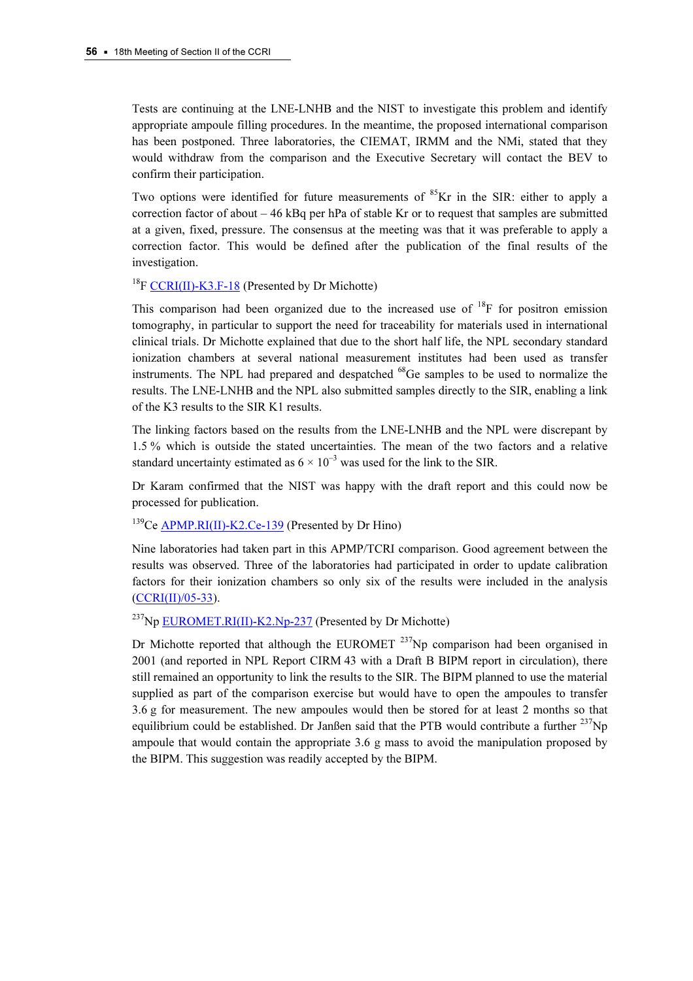Tests are continuing at the LNE-LNHB and the NIST to investigate this problem and identify appropriate ampoule filling procedures. In the meantime, the proposed international comparison has been postponed. Three laboratories, the CIEMAT, IRMM and the NMi, stated that they would withdraw from the comparison and the Executive Secretary will contact the BEV to confirm their participation.

Two options were identified for future measurements of  ${}^{85}$ Kr in the SIR: either to apply a correction factor of about  $-46$  kBq per hPa of stable Kr or to request that samples are submitted at a given, fixed, pressure. The consensus at the meeting was that it was preferable to apply a correction factor. This would be defined after the publication of the final results of the investigation.

 $^{18}$ F CCRI(II)-K3.F-18 (Presented by Dr Michotte)

[This comparison had been o](http://kcdb.bipm.org/appendixB/KCDB_ApB_info.asp?cmp_idy=570&cmp_cod=CCRI(II)-K3.F-18&prov=exalead)rganized due to the increased use of  $^{18}F$  for positron emission tomography, in particular to support the need for traceability for materials used in international clinical trials. Dr Michotte explained that due to the short half life, the NPL secondary standard ionization chambers at several national measurement institutes had been used as transfer instruments. The NPL had prepared and despatched <sup>68</sup>Ge samples to be used to normalize the results. The LNE-LNHB and the NPL also submitted samples directly to the SIR, enabling a link of the K3 results to the SIR K1 results.

The linking factors based on the results from the LNE-LNHB and the NPL were discrepant by 1.5 % which is outside the stated uncertainties. The mean of the two factors and a relative standard uncertainty estimated as  $6 \times 10^{-3}$  was used for the link to the SIR.

Dr Karam confirmed that the NIST was happy with the draft report and this could now be processed for publication.

<sup>139</sup>C[e APMP.RI\(II\)-K2.Ce-139 \(Pres](http://kcdb.bipm.org/appendixB/KCDB_ApB_info.asp?cmp_idy=609&cmp_cod=APMP.RI(II)-K2.Ce-139&prov=exalead)ented by Dr Hino)

Nine laboratories had taken part in this APMP/TCRI comparison. Good agreement between the results was observed. Three of the laboratories had participated in order to update calibration [factors for their ion](https://www.bipm.org/cc/CCRI(II)/Allowed/18/CCRI(II)05-33.pdf)ization chambers so only six of the results were included in the analysis (CCRI(II)/05-33).

<sup>237</sup>N[p EUROMET.RI\(II\)-K2.Np-237 \(Pre](http://kcdb.bipm.org/appendixB/KCDB_ApB_info.asp?cmp_idy=530&cmp_cod=EUROMET.RI(II)-K2.Np-237&prov=exalead)sented by Dr Michotte)

Dr Michotte reported that although the EUROMET  $^{237}$ Np comparison had been organised in 2001 (and reported in NPL Report CIRM 43 with a Draft B BIPM report in circulation), there still remained an opportunity to link the results to the SIR. The BIPM planned to use the material supplied as part of the comparison exercise but would have to open the ampoules to transfer 3.6 g for measurement. The new ampoules would then be stored for at least 2 months so that equilibrium could be established. Dr Janßen said that the PTB would contribute a further  $^{237}$ Np ampoule that would contain the appropriate 3.6 g mass to avoid the manipulation proposed by the BIPM. This suggestion was readily accepted by the BIPM.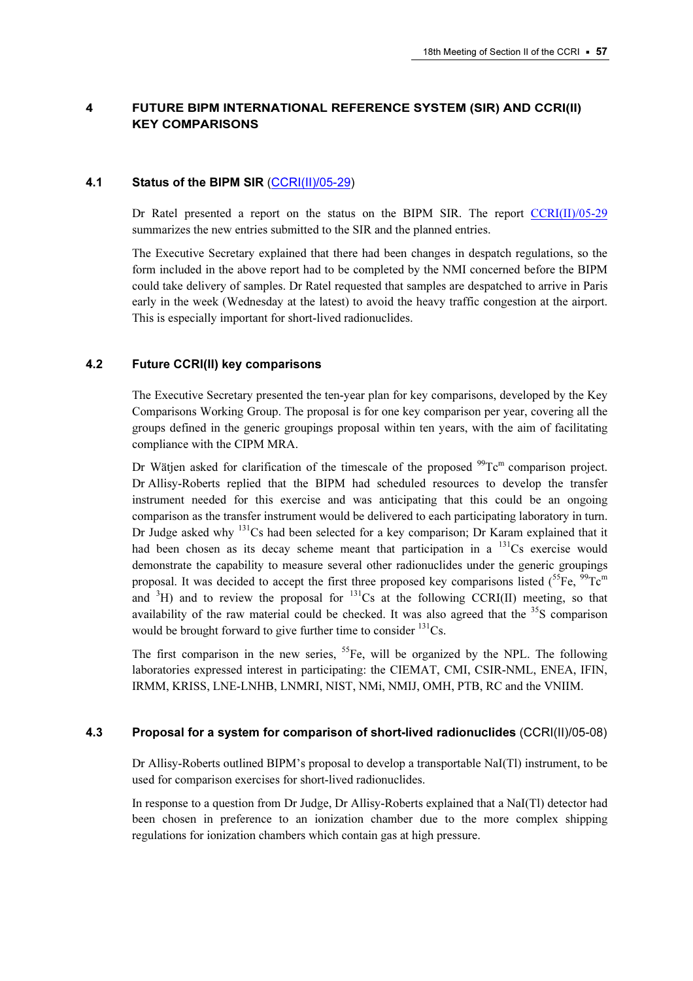# 4 FUTURE BIPM INTERNATIONAL REFERENCE SYSTEM (SIR) AND CCRI(II) KEY COMPARISONS

## 4.1 Status of the BIPM SIR [\(CCRI\(II\)/05-29\)](https://www.bipm.org/cc/CCRI(II)/Allowed/18/CCRI(II)05-29.pdf)

Dr Ratel presented a report on the status on the BIPM SIR. The rep[ort CCRI\(II\)/05-29](https://www.bipm.org/cc/CCRI(II)/Allowed/18/CCRI(II)05-29.pdf) summarizes the new entries submitted to the SIR and the planned entries.

The Executive Secretary explained that there had been changes in despatch regulations, so the form included in the above report had to be completed by the NMI concerned before the BIPM could take delivery of samples. Dr Ratel requested that samples are despatched to arrive in Paris early in the week (Wednesday at the latest) to avoid the heavy traffic congestion at the airport. This is especially important for short-lived radionuclides.

## 4.2 Future CCRI(II) key comparisons

The Executive Secretary presented the ten-year plan for key comparisons, developed by the Key Comparisons Working Group. The proposal is for one key comparison per year, covering all the groups defined in the generic groupings proposal within ten years, with the aim of facilitating compliance with the CIPM MRA.

Dr Wätjen asked for clarification of the timescale of the proposed  $99^{\circ}Te^{m}$  comparison project. Dr Allisy-Roberts replied that the BIPM had scheduled resources to develop the transfer instrument needed for this exercise and was anticipating that this could be an ongoing comparison as the transfer instrument would be delivered to each participating laboratory in turn. Dr Judge asked why  $131$ Cs had been selected for a key comparison; Dr Karam explained that it had been chosen as its decay scheme meant that participation in a  $^{131}Cs$  exercise would demonstrate the capability to measure several other radionuclides under the generic groupings proposal. It was decided to accept the first three proposed key comparisons listed  $\binom{55}{5}$ Fe,  $\frac{99}{10}$ Tc<sup>m</sup> and  ${}^{3}H$ ) and to review the proposal for  ${}^{131}Cs$  at the following CCRI(II) meeting, so that availability of the raw material could be checked. It was also agreed that the  $35S$  comparison would be brought forward to give further time to consider  $^{131}Cs$ .

The first comparison in the new series,  ${}^{55}Fe$ , will be organized by the NPL. The following laboratories expressed interest in participating: the CIEMAT, CMI, CSIR-NML, ENEA, IFIN, IRMM, KRISS, LNE-LNHB, LNMRI, NIST, NMi, NMIJ, OMH, PTB, RC and the VNIIM.

## 4.3 Proposal for a system for comparison of short-lived radionuclides (CCRI(II)/05-08)

Dr Allisy-Roberts outlined BIPM's proposal to develop a transportable NaI(Tl) instrument, to be used for comparison exercises for short-lived radionuclides.

In response to a question from Dr Judge, Dr Allisy-Roberts explained that a NaI(Tl) detector had been chosen in preference to an ionization chamber due to the more complex shipping regulations for ionization chambers which contain gas at high pressure.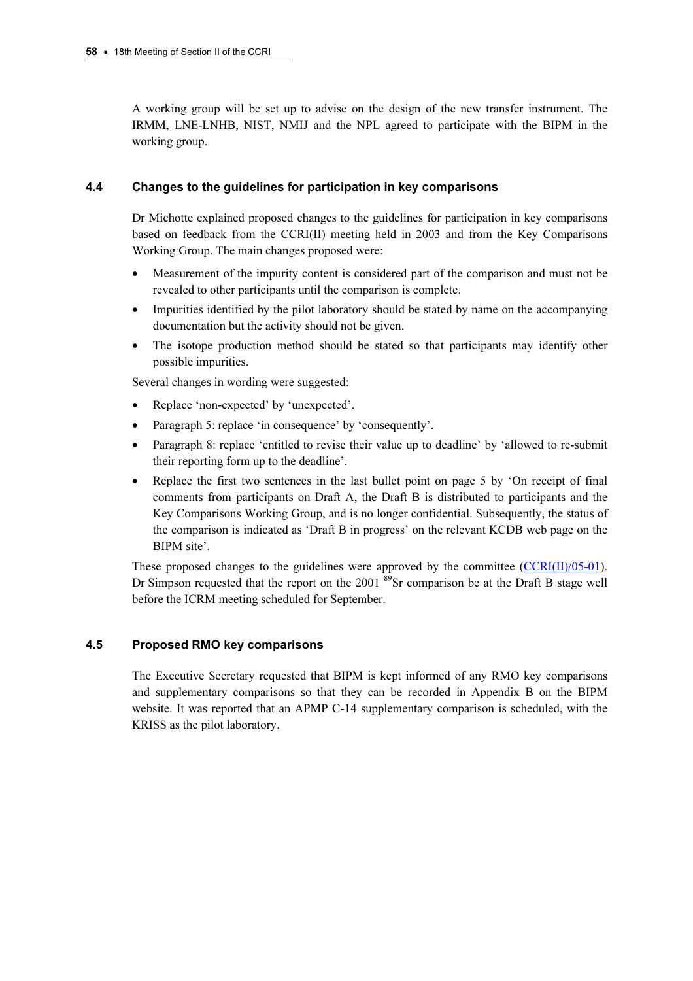A working group will be set up to advise on the design of the new transfer instrument. The IRMM, LNE-LNHB, NIST, NMIJ and the NPL agreed to participate with the BIPM in the working group.

## 4.4 Changes to the guidelines for participation in key comparisons

Dr Michotte explained proposed changes to the guidelines for participation in key comparisons based on feedback from the CCRI(II) meeting held in 2003 and from the Key Comparisons Working Group. The main changes proposed were:

- Measurement of the impurity content is considered part of the comparison and must not be revealed to other participants until the comparison is complete.
- Impurities identified by the pilot laboratory should be stated by name on the accompanying documentation but the activity should not be given.
- The isotope production method should be stated so that participants may identify other possible impurities.

Several changes in wording were suggested:

- Replace 'non-expected' by 'unexpected'.
- Paragraph 5: replace 'in consequence' by 'consequently'.
- Paragraph 8: replace 'entitled to revise their value up to deadline' by 'allowed to re-submit their reporting form up to the deadline'.
- Replace the first two sentences in the last bullet point on page 5 by 'On receipt of final comments from participants on Draft A, the Draft B is distributed to participants and the Key Comparisons Working Group, and is no longer confidential. Subsequently, the status of the comparison is indicated as 'Draft B in progress' on the relevant KCDB web page on the BIPM site'.

These proposed changes to the guidelines were approved by the committee (CCRI(II)/05-01). Dr Simpson requested that the report on the  $2001^{89}$ Sr comparison be at the Draft B stage well before the ICRM meeting scheduled for September.

## 4.5 Proposed RMO key comparisons

The Executive Secretary requested that BIPM is kept informed of any RMO key comparisons and supplementary comparisons so that they can be recorded in Appendix B on the BIPM website. It was reported that an APMP C-14 supplementary comparison is scheduled, with the KRISS as the pilot laboratory.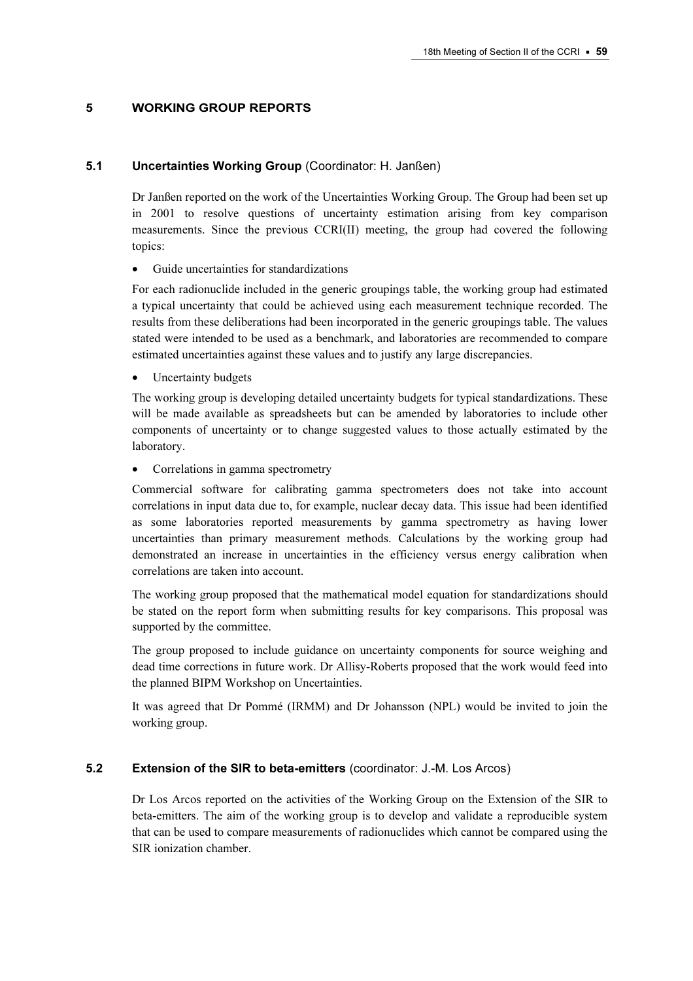## 5 WORKING GROUP REPORTS

#### 5.1 Uncertainties Working Group (Coordinator: H. Janßen)

Dr Janßen reported on the work of the Uncertainties Working Group. The Group had been set up in 2001 to resolve questions of uncertainty estimation arising from key comparison measurements. Since the previous CCRI(II) meeting, the group had covered the following topics:

• Guide uncertainties for standardizations

For each radionuclide included in the generic groupings table, the working group had estimated a typical uncertainty that could be achieved using each measurement technique recorded. The results from these deliberations had been incorporated in the generic groupings table. The values stated were intended to be used as a benchmark, and laboratories are recommended to compare estimated uncertainties against these values and to justify any large discrepancies.

Uncertainty budgets

The working group is developing detailed uncertainty budgets for typical standardizations. These will be made available as spreadsheets but can be amended by laboratories to include other components of uncertainty or to change suggested values to those actually estimated by the laboratory.

• Correlations in gamma spectrometry

Commercial software for calibrating gamma spectrometers does not take into account correlations in input data due to, for example, nuclear decay data. This issue had been identified as some laboratories reported measurements by gamma spectrometry as having lower uncertainties than primary measurement methods. Calculations by the working group had demonstrated an increase in uncertainties in the efficiency versus energy calibration when correlations are taken into account.

The working group proposed that the mathematical model equation for standardizations should be stated on the report form when submitting results for key comparisons. This proposal was supported by the committee.

The group proposed to include guidance on uncertainty components for source weighing and dead time corrections in future work. Dr Allisy-Roberts proposed that the work would feed into the planned BIPM Workshop on Uncertainties.

It was agreed that Dr Pommé (IRMM) and Dr Johansson (NPL) would be invited to join the working group.

#### 5.2 Extension of the SIR to beta-emitters (coordinator: J.-M. Los Arcos)

Dr Los Arcos reported on the activities of the Working Group on the Extension of the SIR to beta-emitters. The aim of the working group is to develop and validate a reproducible system that can be used to compare measurements of radionuclides which cannot be compared using the SIR ionization chamber.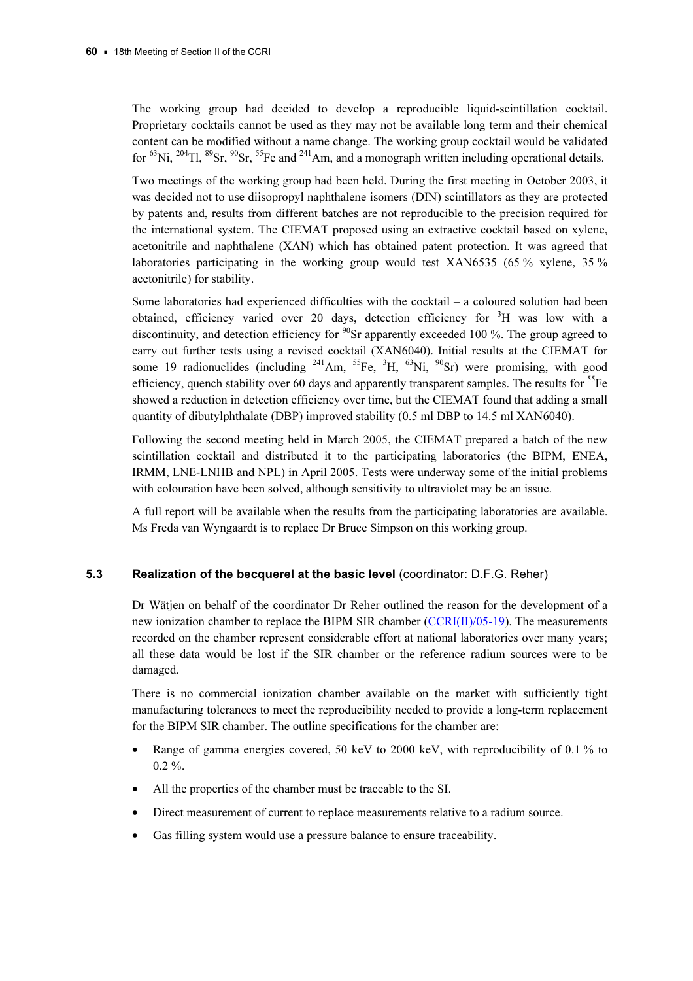The working group had decided to develop a reproducible liquid-scintillation cocktail. Proprietary cocktails cannot be used as they may not be available long term and their chemical content can be modified without a name change. The working group cocktail would be validated for  ${}^{63}$ Ni,  ${}^{204}$ Tl,  ${}^{89}$ Sr,  ${}^{90}$ Sr,  ${}^{55}$ Fe and  ${}^{241}$ Am, and a monograph written including operational details.

Two meetings of the working group had been held. During the first meeting in October 2003, it was decided not to use diisopropyl naphthalene isomers (DIN) scintillators as they are protected by patents and, results from different batches are not reproducible to the precision required for the international system. The CIEMAT proposed using an extractive cocktail based on xylene, acetonitrile and naphthalene (XAN) which has obtained patent protection. It was agreed that laboratories participating in the working group would test XAN6535 (65 % xylene, 35 % acetonitrile) for stability.

Some laboratories had experienced difficulties with the cocktail – a coloured solution had been obtained, efficiency varied over 20 days, detection efficiency for <sup>3</sup>H was low with a discontinuity, and detection efficiency for  $90$ Sr apparently exceeded 100 %. The group agreed to carry out further tests using a revised cocktail (XAN6040). Initial results at the CIEMAT for some 19 radionuclides (including  $241$ Am,  $55$ Fe,  $3$ H,  $63$ Ni,  $90$ Sr) were promising, with good efficiency, quench stability over 60 days and apparently transparent samples. The results for  ${}^{55}Fe$ showed a reduction in detection efficiency over time, but the CIEMAT found that adding a small quantity of dibutylphthalate (DBP) improved stability (0.5 ml DBP to 14.5 ml XAN6040).

Following the second meeting held in March 2005, the CIEMAT prepared a batch of the new scintillation cocktail and distributed it to the participating laboratories (the BIPM, ENEA, IRMM, LNE-LNHB and NPL) in April 2005. Tests were underway some of the initial problems with colouration have been solved, although sensitivity to ultraviolet may be an issue.

A full report will be available when the results from the participating laboratories are available. Ms Freda van Wyngaardt is to replace Dr Bruce Simpson on this working group.

## 5.3 Realization of the becquerel at the basic level (coordinator: D.F.G. Reher)

Dr Wätjen on behalf of the coordinator Dr Reher outlined the reason for the development of a new ionization chamber to replace the BIPM SIR cha[mber \(CCRI\(II\)/05-19\). The](https://www.bipm.org/cc/CCRI(II)/Allowed/18/CCRI(II)05-19.pdf) measurements recorded on the chamber represent considerable effort at national laboratories over many years; all these data would be lost if the SIR chamber or the reference radium sources were to be damaged.

There is no commercial ionization chamber available on the market with sufficiently tight manufacturing tolerances to meet the reproducibility needed to provide a long-term replacement for the BIPM SIR chamber. The outline specifications for the chamber are:

- Range of gamma energies covered, 50 keV to 2000 keV, with reproducibility of 0.1 % to  $0.2 \%$ .
- All the properties of the chamber must be traceable to the SI.
- Direct measurement of current to replace measurements relative to a radium source.
- Gas filling system would use a pressure balance to ensure traceability.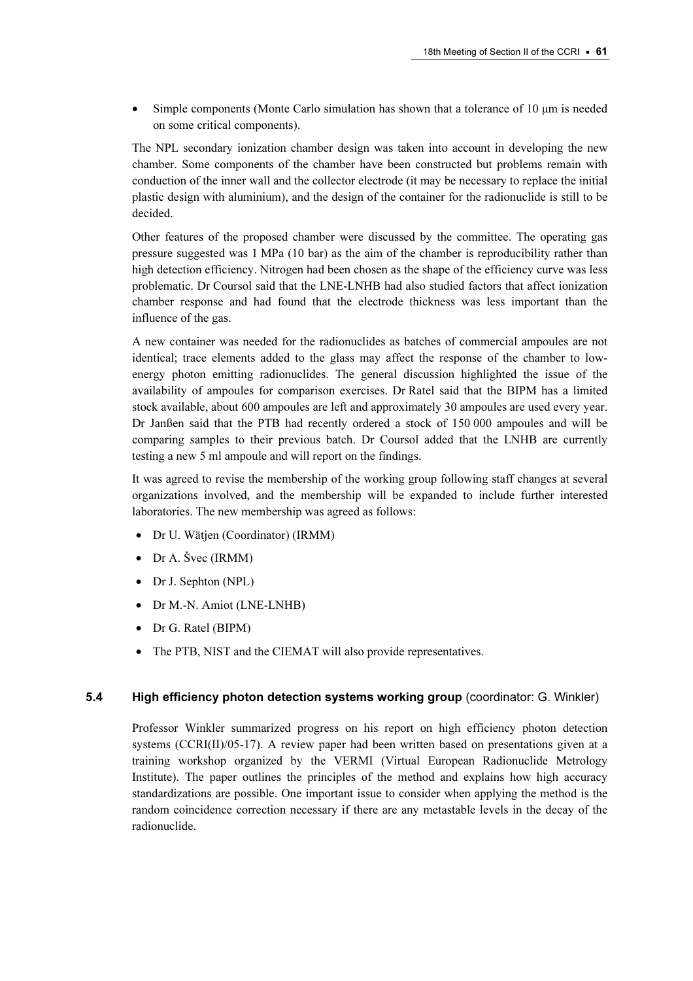• Simple components (Monte Carlo simulation has shown that a tolerance of 10  $\mu$ m is needed on some critical components).

The NPL secondary ionization chamber design was taken into account in developing the new chamber. Some components of the chamber have been constructed but problems remain with conduction of the inner wall and the collector electrode (it may be necessary to replace the initial plastic design with aluminium), and the design of the container for the radionuclide is still to be decided.

Other features of the proposed chamber were discussed by the committee. The operating gas pressure suggested was 1 MPa (10 bar) as the aim of the chamber is reproducibility rather than high detection efficiency. Nitrogen had been chosen as the shape of the efficiency curve was less problematic. Dr Coursol said that the LNE-LNHB had also studied factors that affect ionization chamber response and had found that the electrode thickness was less important than the influence of the gas.

A new container was needed for the radionuclides as batches of commercial ampoules are not identical; trace elements added to the glass may affect the response of the chamber to lowenergy photon emitting radionuclides. The general discussion highlighted the issue of the availability of ampoules for comparison exercises. Dr Ratel said that the BIPM has a limited stock available, about 600 ampoules are left and approximately 30 ampoules are used every year. Dr Janßen said that the PTB had recently ordered a stock of 150 000 ampoules and will be comparing samples to their previous batch. Dr Coursol added that the LNHB are currently testing a new 5 ml ampoule and will report on the findings.

It was agreed to revise the membership of the working group following staff changes at several organizations involved, and the membership will be expanded to include further interested laboratories. The new membership was agreed as follows:

- Dr U. Wätjen (Coordinator) (IRMM)
- Dr A. Švec (IRMM)
- Dr J. Sephton (NPL)
- Dr M.-N. Amiot (LNE-LNHB)
- Dr G. Ratel (BIPM)
- The PTB, NIST and the CIEMAT will also provide representatives.

## 5.4 High efficiency photon detection systems working group (coordinator: G. Winkler)

Professor Winkler summarized progress on his report on high efficiency photon detection systems (CCRI(II)/05-17). A review paper had been written based on presentations given at a training workshop organized by the VERMI (Virtual European Radionuclide Metrology Institute). The paper outlines the principles of the method and explains how high accuracy standardizations are possible. One important issue to consider when applying the method is the random coincidence correction necessary if there are any metastable levels in the decay of the radionuclide.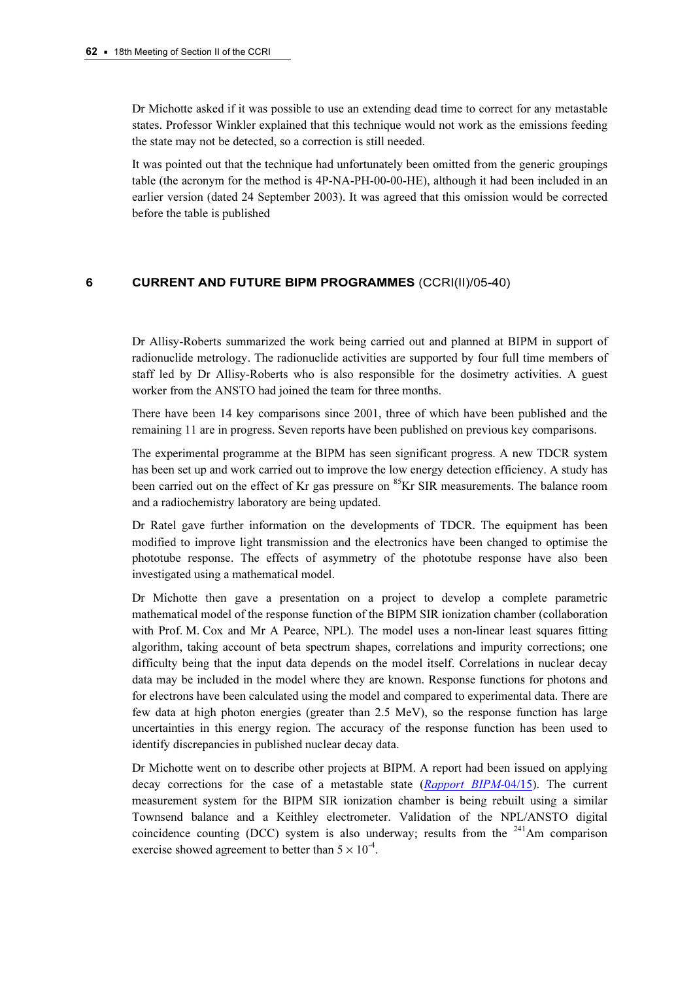Dr Michotte asked if it was possible to use an extending dead time to correct for any metastable states. Professor Winkler explained that this technique would not work as the emissions feeding the state may not be detected, so a correction is still needed.

It was pointed out that the technique had unfortunately been omitted from the generic groupings table (the acronym for the method is 4P-NA-PH-00-00-HE), although it had been included in an earlier version (dated 24 September 2003). It was agreed that this omission would be corrected before the table is published

#### 6 CURRENT AND FUTURE BIPM PROGRAMMES (CCRI(II)/05-40)

Dr Allisy-Roberts summarized the work being carried out and planned at BIPM in support of radionuclide metrology. The radionuclide activities are supported by four full time members of staff led by Dr Allisy-Roberts who is also responsible for the dosimetry activities. A guest worker from the ANSTO had joined the team for three months.

There have been 14 key comparisons since 2001, three of which have been published and the remaining 11 are in progress. Seven reports have been published on previous key comparisons.

The experimental programme at the BIPM has seen significant progress. A new TDCR system has been set up and work carried out to improve the low energy detection efficiency. A study has been carried out on the effect of Kr gas pressure on  ${}^{85}$ Kr SIR measurements. The balance room and a radiochemistry laboratory are being updated.

Dr Ratel gave further information on the developments of TDCR. The equipment has been modified to improve light transmission and the electronics have been changed to optimise the phototube response. The effects of asymmetry of the phototube response have also been investigated using a mathematical model.

Dr Michotte then gave a presentation on a project to develop a complete parametric mathematical model of the response function of the BIPM SIR ionization chamber (collaboration with Prof. M. Cox and Mr A Pearce, NPL). The model uses a non-linear least squares fitting algorithm, taking account of beta spectrum shapes, correlations and impurity corrections; one difficulty being that the input data depends on the model itself. Correlations in nuclear decay data may be included in the model where they are known. Response functions for photons and for electrons have been calculated using the model and compared to experimental data. There are few data at high photon energies (greater than 2.5 MeV), so the response function has large uncertainties in this energy region. The accuracy of the response function has been used to identify discrepancies in published nuclear decay data.

Dr Michotte went on to describe other project[s at BIPM. A report had been issued on applyin](https://www.bipm.org/utils/common/pdf/rapportBIPM/2004/15.pdf)g decay corrections for the case of a metastable state (Rapport BIPM-04/15). The current measurement system for the BIPM SIR ionization chamber is being rebuilt using a similar Townsend balance and a Keithley electrometer. Validation of the NPL/ANSTO digital coincidence counting (DCC) system is also underway; results from the  $^{241}$ Am comparison exercise showed agreement to better than  $5 \times 10^{-4}$ .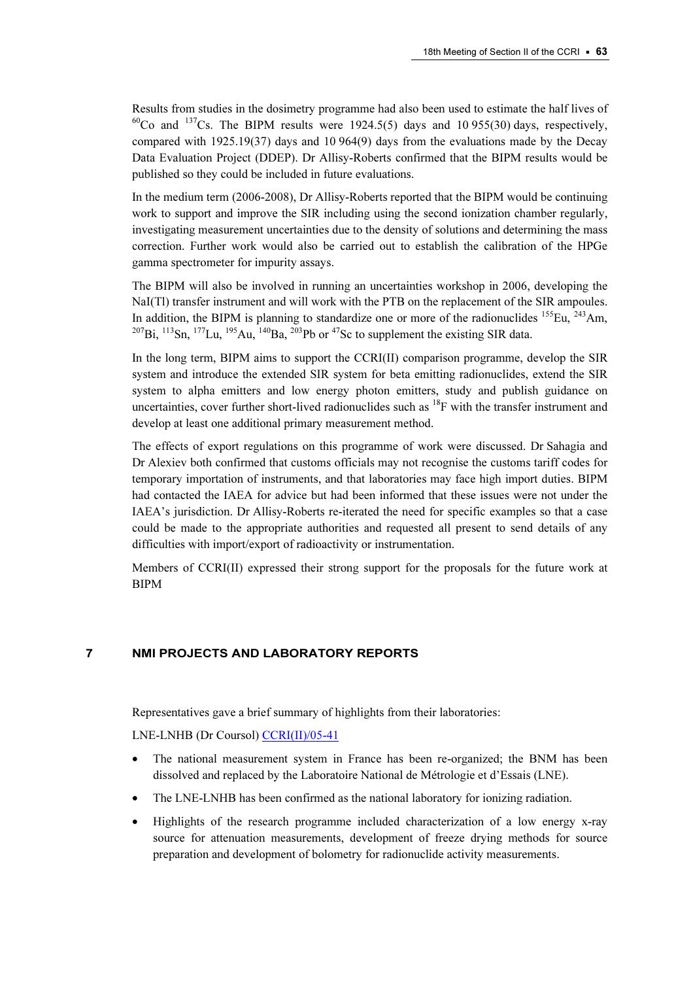Results from studies in the dosimetry programme had also been used to estimate the half lives of  $^{60}$ Co and  $^{137}$ Cs. The BIPM results were 1924.5(5) days and 10 955(30) days, respectively, compared with 1925.19(37) days and 10 964(9) days from the evaluations made by the Decay Data Evaluation Project (DDEP). Dr Allisy-Roberts confirmed that the BIPM results would be published so they could be included in future evaluations.

In the medium term (2006-2008), Dr Allisy-Roberts reported that the BIPM would be continuing work to support and improve the SIR including using the second ionization chamber regularly, investigating measurement uncertainties due to the density of solutions and determining the mass correction. Further work would also be carried out to establish the calibration of the HPGe gamma spectrometer for impurity assays.

The BIPM will also be involved in running an uncertainties workshop in 2006, developing the NaI(Tl) transfer instrument and will work with the PTB on the replacement of the SIR ampoules. In addition, the BIPM is planning to standardize one or more of the radionuclides  $155$ Eu,  $243$ Am,  $^{207}$ Bi,  $^{113}$ Sn,  $^{177}$ Lu,  $^{195}$ Au,  $^{140}$ Ba,  $^{203}$ Pb or  $^{47}$ Sc to supplement the existing SIR data.

In the long term, BIPM aims to support the CCRI(II) comparison programme, develop the SIR system and introduce the extended SIR system for beta emitting radionuclides, extend the SIR system to alpha emitters and low energy photon emitters, study and publish guidance on uncertainties, cover further short-lived radionuclides such as  ${}^{18}F$  with the transfer instrument and develop at least one additional primary measurement method.

The effects of export regulations on this programme of work were discussed. Dr Sahagia and Dr Alexiev both confirmed that customs officials may not recognise the customs tariff codes for temporary importation of instruments, and that laboratories may face high import duties. BIPM had contacted the IAEA for advice but had been informed that these issues were not under the IAEA's jurisdiction. Dr Allisy-Roberts re-iterated the need for specific examples so that a case could be made to the appropriate authorities and requested all present to send details of any difficulties with import/export of radioactivity or instrumentation.

Members of CCRI(II) expressed their strong support for the proposals for the future work at BIPM

## 7 NMI PROJECTS AND LABORATORY REPORTS

Representatives gave a brief summary of highlights from their laboratories:

LNE-LNHB (Dr Cou[rsol\) CCRI\(II\)/05-41](https://www.bipm.org/cc/CCRI(II)/Allowed/18/CCRI(II)05-41.pdf)

- The national measurement system in France has been re-organized; the BNM has been dissolved and replaced by the Laboratoire National de Métrologie et d'Essais (LNE).
- The LNE-LNHB has been confirmed as the national laboratory for ionizing radiation.
- Highlights of the research programme included characterization of a low energy x-ray source for attenuation measurements, development of freeze drying methods for source preparation and development of bolometry for radionuclide activity measurements.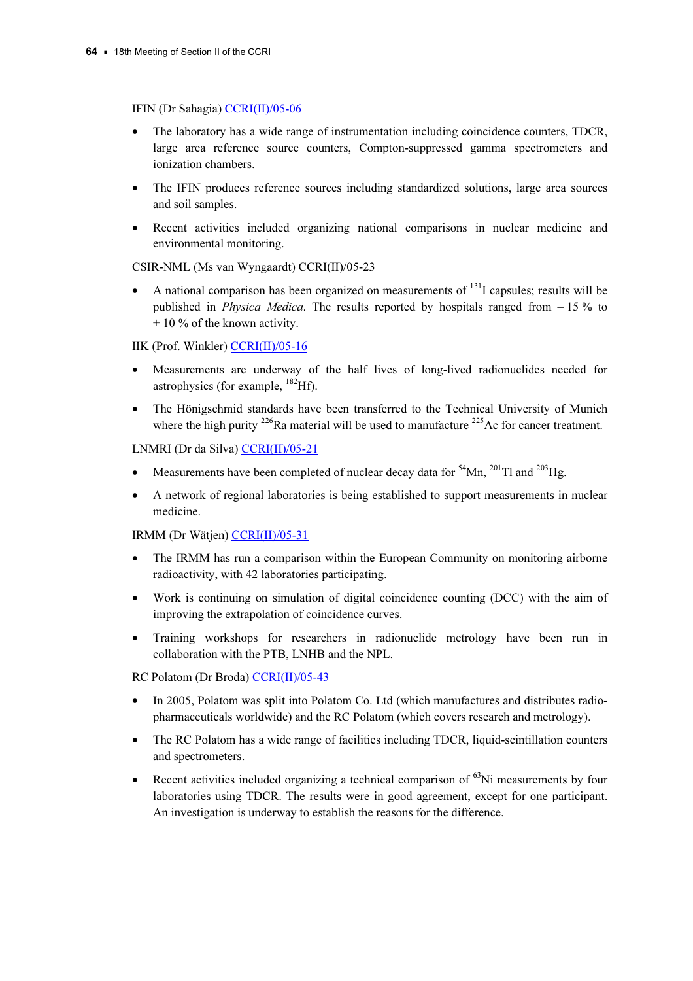#### IFIN (Dr Sahagia) CCRI(II)/05-06

- The labora[tory has a wide range of](https://www.bipm.org/cc/CCRI(II)/Allowed/18/CCRI(II)05-06.pdf) instrumentation including coincidence counters, TDCR, large area reference source counters, Compton-suppressed gamma spectrometers and ionization chambers.
- The IFIN produces reference sources including standardized solutions, large area sources and soil samples.
- Recent activities included organizing national comparisons in nuclear medicine and environmental monitoring.

## CSIR-NML (Ms van Wyngaardt) CCRI(II)/05-23

A national comparison has been organized on measurements of  $<sup>131</sup>$  capsules; results will be</sup> published in *Physica Medica*. The results reported by hospitals ranged from  $-15\%$  to + 10 % of the known activity.

## IIK (Prof. Winkle[r\) CCRI\(II\)/05-16](https://www.bipm.org/cc/CCRI(II)/Allowed/18/CCRI(II)05-16.pdf)

- Measurements are underway of the half lives of long-lived radionuclides needed for astrophysics (for example,  $^{182}$ Hf).
- The Hönigschmid standards have been transferred to the Technical University of Munich where the high purity  $226$ Ra material will be used to manufacture  $225$ Ac for cancer treatment.

## LNMRI (Dr da Silv[a\) CCRI\(II\)/05-21](https://www.bipm.org/cc/CCRI(II)/Allowed/18/CCRI(II)05-21.pdf)

- Measurements have been completed of nuclear decay data for  $54$ Mn,  $201$ Tl and  $203$ Hg.
- A network of regional laboratories is being established to support measurements in nuclear medicine.

#### IRMM (Dr Wätj[en\) CCRI\(II\)/05-31](https://www.bipm.org/cc/CCRI(II)/Allowed/18/CCRI(II)05-31.pdf)

- The IRMM has run a comparison within the European Community on monitoring airborne radioactivity, with 42 laboratories participating.
- Work is continuing on simulation of digital coincidence counting (DCC) with the aim of improving the extrapolation of coincidence curves.
- Training workshops for researchers in radionuclide metrology have been run in collaboration with the PTB, LNHB and the NPL.

RC Polatom (Dr Bro[da\) CCRI\(II\)/05-43](https://www.bipm.org/cc/CCRI(II)/Allowed/18/CCRI(II)05-43.pdf)

- In 2005, Polatom was split into Polatom Co. Ltd (which manufactures and distributes radiopharmaceuticals worldwide) and the RC Polatom (which covers research and metrology).
- The RC Polatom has a wide range of facilities including TDCR, liquid-scintillation counters and spectrometers.
- Recent activities included organizing a technical comparison of  $^{63}$ Ni measurements by four laboratories using TDCR. The results were in good agreement, except for one participant. An investigation is underway to establish the reasons for the difference.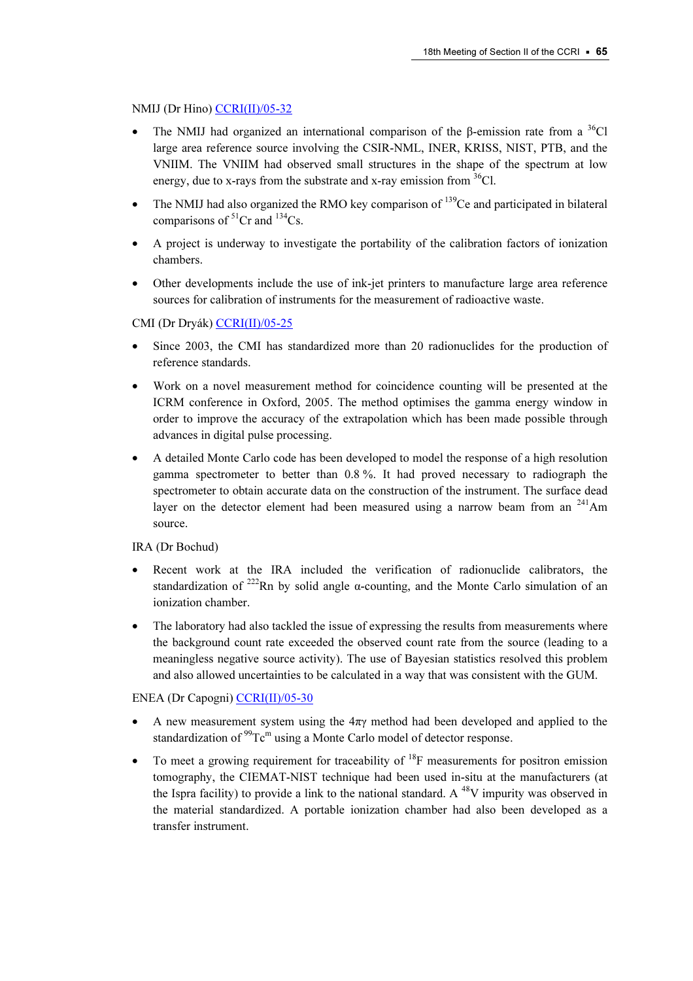## NMIJ (Dr Hino) CCRI(II)/05-32

- The N[MIJ had organized an int](https://www.bipm.org/cc/CCRI(II)/Allowed/18/CCRI(II)05-32.pdf)ernational comparison of the β-emission rate from a  $36$ Cl large area reference source involving the CSIR-NML, INER, KRISS, NIST, PTB, and the VNIIM. The VNIIM had observed small structures in the shape of the spectrum at low energy, due to x-rays from the substrate and x-ray emission from  ${}^{36}Cl$ .
- The NMIJ had also organized the RMO key comparison of <sup>139</sup>Ce and participated in bilateral comparisons of  ${}^{51}Cr$  and  ${}^{134}Cs$ .
- A project is underway to investigate the portability of the calibration factors of ionization chambers.
- Other developments include the use of ink-jet printers to manufacture large area reference sources for calibration of instruments for the measurement of radioactive waste.

## CMI (Dr Dryá[k\) CCRI\(II\)/05-25](https://www.bipm.org/cc/CCRI(II)/Allowed/18/CCRI(II)05-25.pdf)

- Since 2003, the CMI has standardized more than 20 radionuclides for the production of reference standards.
- Work on a novel measurement method for coincidence counting will be presented at the ICRM conference in Oxford, 2005. The method optimises the gamma energy window in order to improve the accuracy of the extrapolation which has been made possible through advances in digital pulse processing.
- A detailed Monte Carlo code has been developed to model the response of a high resolution gamma spectrometer to better than 0.8 %. It had proved necessary to radiograph the spectrometer to obtain accurate data on the construction of the instrument. The surface dead layer on the detector element had been measured using a narrow beam from an <sup>241</sup>Am source.

## IRA (Dr Bochud)

- Recent work at the IRA included the verification of radionuclide calibrators, the standardization of <sup>222</sup>Rn by solid angle  $\alpha$ -counting, and the Monte Carlo simulation of an ionization chamber.
- The laboratory had also tackled the issue of expressing the results from measurements where the background count rate exceeded the observed count rate from the source (leading to a meaningless negative source activity). The use of Bayesian statistics resolved this problem and also allowed uncertainties to be calculated in a way that was consistent with the GUM.

## ENEA (Dr Capogn[i\) CCRI\(II\)/05-30](https://www.bipm.org/cc/CCRI(II)/Allowed/18/CCRI(II)05-30.pdf)

- A new measurement system using the  $4\pi y$  method had been developed and applied to the standardization of  $^{99}$ Tc<sup>m</sup> using a Monte Carlo model of detector response.
- To meet a growing requirement for traceability of  $^{18}F$  measurements for positron emission tomography, the CIEMAT-NIST technique had been used in-situ at the manufacturers (at the Ispra facility) to provide a link to the national standard. A  $^{48}V$  impurity was observed in the material standardized. A portable ionization chamber had also been developed as a transfer instrument.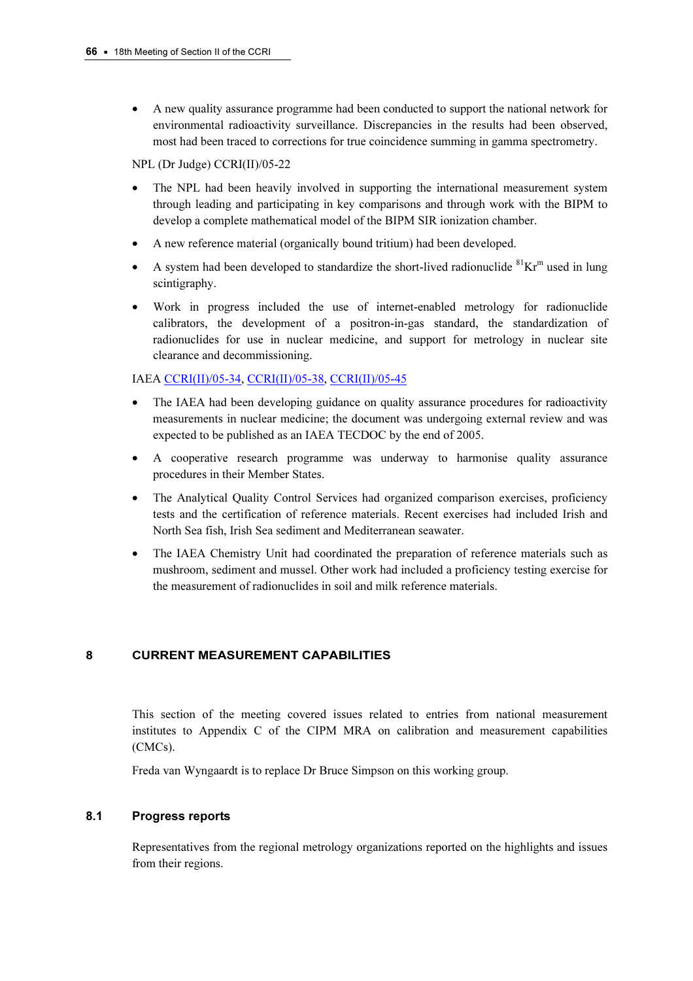• A new quality assurance programme had been conducted to support the national network for environmental radioactivity surveillance. Discrepancies in the results had been observed, most had been traced to corrections for true coincidence summing in gamma spectrometry.

NPL (Dr Judge) CCRI(II)/05-22

- The NPL had been heavily involved in supporting the international measurement system through leading and participating in key comparisons and through work with the BIPM to develop a complete mathematical model of the BIPM SIR ionization chamber.
- A new reference material (organically bound tritium) had been developed.
- A system had been developed to standardize the short-lived radionuclide  ${}^{81}\text{Kr}^{\text{m}}$  used in lung scintigraphy.
- Work in progress included the use of internet-enabled metrology for radionuclide calibrators, the development of a positron-in-gas standard, the standardization of radionuclides for use in nuclear medicine, and support for metrology in nuclear site clearance and decommissioning.

IAE[A CCRI\(II\)/05-34,](https://www.bipm.org/cc/CCRI(II)/Allowed/18/CCRI(II)05-34.pdf) [CCRI\(II\)/05-38,](https://www.bipm.org/cc/CCRI(II)/Allowed/18/CCRI(II)05-38.pdf) [CCRI\(II\)/05-45](https://www.bipm.org/cc/CCRI(II)/Allowed/18/CCRI(II)05-45.pdf)

- The IAEA had been developing guidance on quality assurance procedures for radioactivity measurements in nuclear medicine; the document was undergoing external review and was expected to be published as an IAEA TECDOC by the end of 2005.
- A cooperative research programme was underway to harmonise quality assurance procedures in their Member States.
- The Analytical Quality Control Services had organized comparison exercises, proficiency tests and the certification of reference materials. Recent exercises had included Irish and North Sea fish, Irish Sea sediment and Mediterranean seawater.
- The IAEA Chemistry Unit had coordinated the preparation of reference materials such as mushroom, sediment and mussel. Other work had included a proficiency testing exercise for the measurement of radionuclides in soil and milk reference materials.

## 8 CURRENT MEASUREMENT CAPABILITIES

This section of the meeting covered issues related to entries from national measurement institutes to Appendix C of the CIPM MRA on calibration and measurement capabilities (CMCs).

Freda van Wyngaardt is to replace Dr Bruce Simpson on this working group.

## 8.1 Progress reports

Representatives from the regional metrology organizations reported on the highlights and issues from their regions.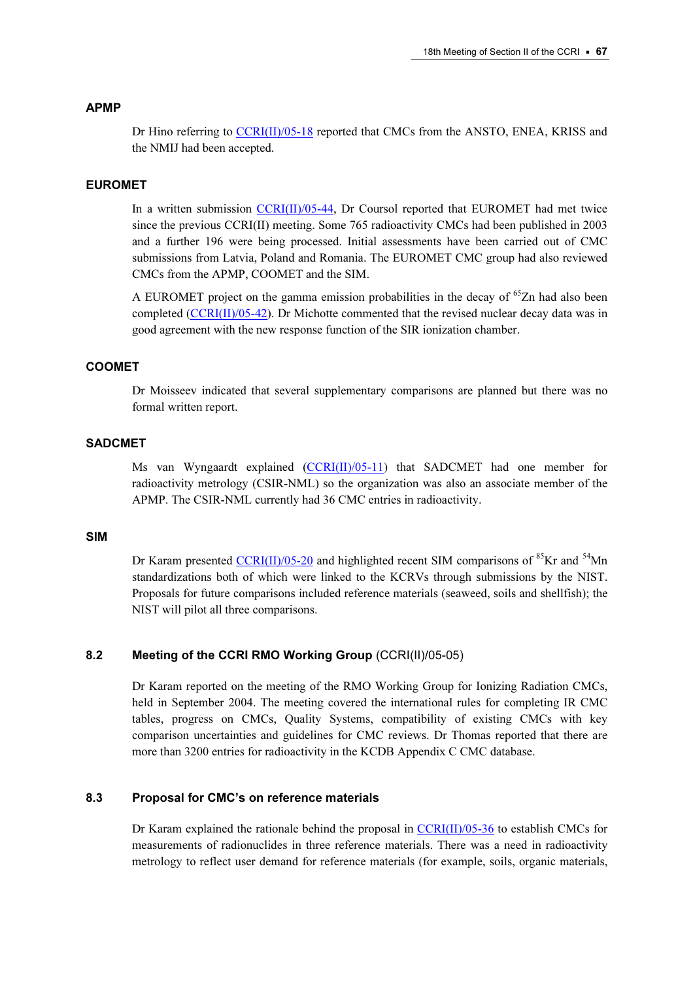#### APMP

Dr Hino referring [to CCRI\(II\)/05-18 rep](https://www.bipm.org/cc/CCRI(II)/Allowed/18/CCRI(II)05-18.pdf)orted that CMCs from the ANSTO, ENEA, KRISS and the NMIJ had been accepted.

#### EUROMET

In a written submission  $CCRI(II)/05-44$ , Dr Coursol reported that EUROMET had met twice since the previous CCRI(II) meeting. Some 765 radioactivity CMCs had been published in 2003 and a further 196 were being processed. Initial assessments have been carried out of CMC submissions from Latvia, Poland and Romania. The EUROMET CMC group had also reviewed CMCs from the APMP, COOMET and the SIM.

A EUROMET project on the gamma emission probabilities in the decay of  $65$ Zn had also been complet[ed \(CCRI\(II\)/05-42\). Dr M](https://www.bipm.org/cc/CCRI(II)/Allowed/18/CCRI(II)05-42.pdf)ichotte commented that the revised nuclear decay data was in good agreement with the new response function of the SIR ionization chamber.

## COOMET

Dr Moisseev indicated that several supplementary comparisons are planned but there was no formal written report.

#### SADCMET

Ms van Wyngaardt explain[ed \(CCRI\(II\)/05-11\) th](https://www.bipm.org/cc/CCRI(II)/Allowed/18/CCRI(II)05-11.pdf)at SADCMET had one member for radioactivity metrology (CSIR-NML) so the organization was also an associate member of the APMP. The CSIR-NML currently had 36 CMC entries in radioactivity.

#### SIM

Dr Karam prese[nted CCRI\(II\)/05-20 and hi](https://www.bipm.org/cc/CCRI(II)/Allowed/18/CCRI(II)05-20.pdf)ghlighted recent SIM comparisons of  ${}^{85}$ Kr and  ${}^{54}$ Mn standardizations both of which were linked to the KCRVs through submissions by the NIST. Proposals for future comparisons included reference materials (seaweed, soils and shellfish); the NIST will pilot all three comparisons.

## 8.2 Meeting of the CCRI RMO Working Group (CCRI(II)/05-05)

Dr Karam reported on the meeting of the RMO Working Group for Ionizing Radiation CMCs, held in September 2004. The meeting covered the international rules for completing IR CMC tables, progress on CMCs, Quality Systems, compatibility of existing CMCs with key comparison uncertainties and guidelines for CMC reviews. Dr Thomas reported that there are more than 3200 entries for radioactivity in the KCDB Appendix C CMC database.

## 8.3 Proposal for CMC's on reference materials

Dr Karam explained the rationale behind the proposal in  $CCRI(II)/05-36$  to establish CMCs for measurements of radionuclides in three reference materials. There was a need in radioactivity metrology to reflect user demand for reference materials (for example, soils, organic materials,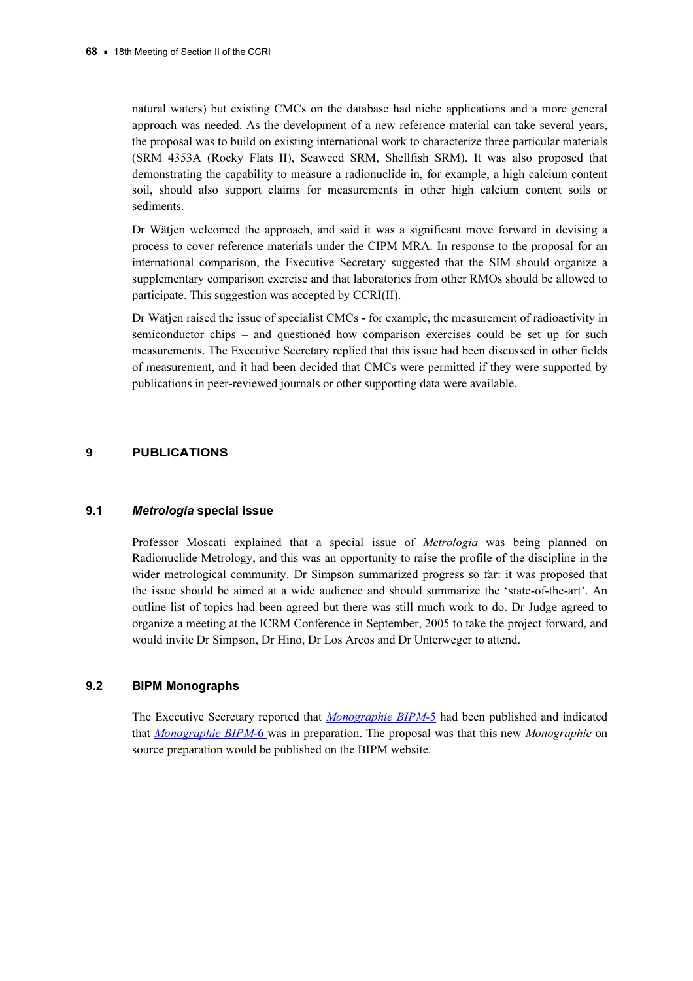natural waters) but existing CMCs on the database had niche applications and a more general approach was needed. As the development of a new reference material can take several years, the proposal was to build on existing international work to characterize three particular materials (SRM 4353A (Rocky Flats II), Seaweed SRM, Shellfish SRM). It was also proposed that demonstrating the capability to measure a radionuclide in, for example, a high calcium content soil, should also support claims for measurements in other high calcium content soils or sediments.

Dr Wätjen welcomed the approach, and said it was a significant move forward in devising a process to cover reference materials under the CIPM MRA. In response to the proposal for an international comparison, the Executive Secretary suggested that the SIM should organize a supplementary comparison exercise and that laboratories from other RMOs should be allowed to participate. This suggestion was accepted by CCRI(II).

Dr Wätjen raised the issue of specialist CMCs - for example, the measurement of radioactivity in semiconductor chips – and questioned how comparison exercises could be set up for such measurements. The Executive Secretary replied that this issue had been discussed in other fields of measurement, and it had been decided that CMCs were permitted if they were supported by publications in peer-reviewed journals or other supporting data were available.

## 9 PUBLICATIONS

#### 9.1 Metrologia special issue

Professor Moscati explained that a special issue of *Metrologia* was being planned on Radionuclide Metrology, and this was an opportunity to raise the profile of the discipline in the wider metrological community. Dr Simpson summarized progress so far: it was proposed that the issue should be aimed at a wide audience and should summarize the 'state-of-the-art'. An outline list of topics had been agreed but there was still much work to do. Dr Judge agreed to organize a meeting at the ICRM Conference in September, 2005 to take the project forward, and would invite Dr Simpson, Dr Hino, Dr Los Arcos and Dr Unterweger to attend.

# es and monographs

The Executive Secretary reported that Monographie BIPM-5 had been published and indicated that *Monographie BIPM*-6 was in p[reparation. The proposal was th](https://www.bipm.org/en/publications/monographie-ri-5.html)at this new *Monographie* on source preparation would be published on the BIPM website.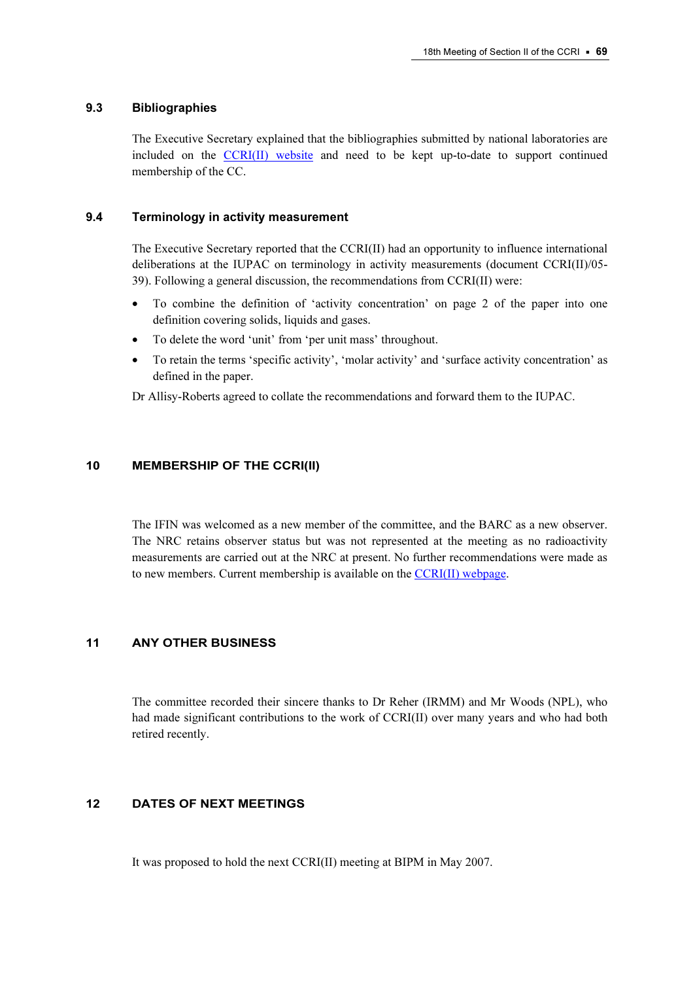#### 9.3 Bibliographies

The Executive Secretary explained that the bibliographies submitted by national laboratories are included on t[he CCRI\(II\) website and](https://www.bipm.org/en/committees/cc/ccri/CCRIsection2/) need to be kept up-to-date to support continued membership of the CC.

#### 9.4 Terminology in activity measurement

The Executive Secretary reported that the CCRI(II) had an opportunity to influence international deliberations at the IUPAC on terminology in activity measurements (document CCRI(II)/05- 39). Following a general discussion, the recommendations from CCRI(II) were:

- To combine the definition of 'activity concentration' on page 2 of the paper into one definition covering solids, liquids and gases.
- To delete the word 'unit' from 'per unit mass' throughout.
- To retain the terms 'specific activity', 'molar activity' and 'surface activity concentration' as defined in the paper.

Dr Allisy-Roberts agreed to collate the recommendations and forward them to the IUPAC.

## 10 MEMBERSHIP OF THE CCRI(II)

The IFIN was welcomed as a new member of the committee, and the BARC as a new observer. The NRC retains observer status but was not represented at the meeting as no radioactivity measurements are carried out at the NRC at present. No further recommendations were made as to new members. Current membership is available on [the CCRI\(II\) webpage.](https://www.bipm.org/en/committees/cc/ccri/CCRIsection2/) 

## 11 ANY OTHER BUSINESS

The committee recorded their sincere thanks to Dr Reher (IRMM) and Mr Woods (NPL), who had made significant contributions to the work of CCRI(II) over many years and who had both retired recently.

## 12 DATES OF NEXT MEETINGS

It was proposed to hold the next CCRI(II) meeting at BIPM in May 2007.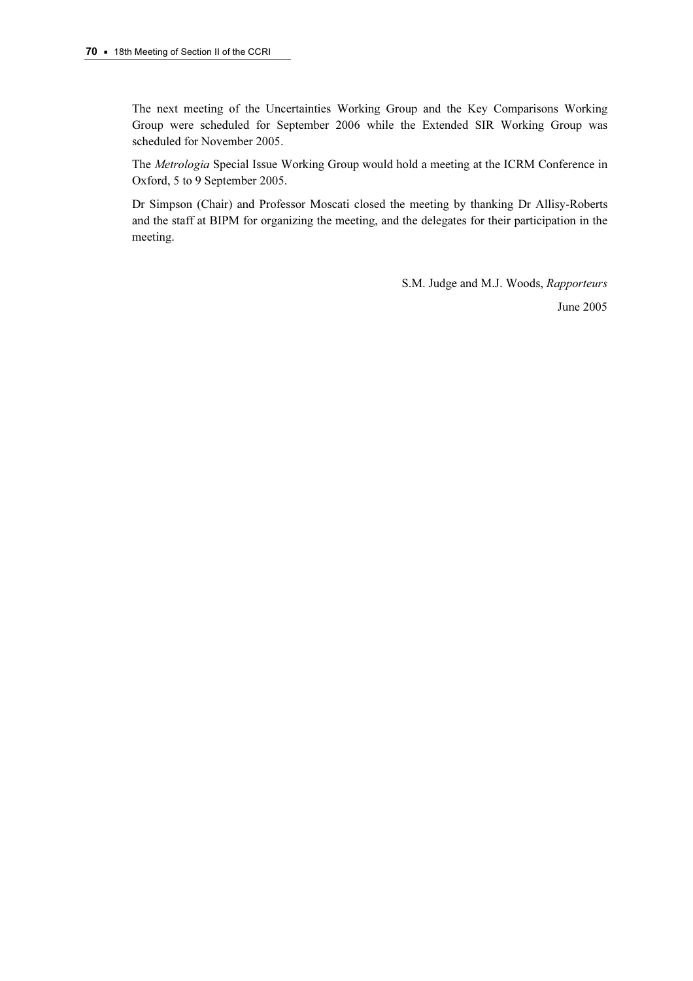The next meeting of the Uncertainties Working Group and the Key Comparisons Working Group were scheduled for September 2006 while the Extended SIR Working Group was scheduled for November 2005.

The Metrologia Special Issue Working Group would hold a meeting at the ICRM Conference in Oxford, 5 to 9 September 2005.

Dr Simpson (Chair) and Professor Moscati closed the meeting by thanking Dr Allisy-Roberts and the staff at BIPM for organizing the meeting, and the delegates for their participation in the meeting.

> S.M. Judge and M.J. Woods, Rapporteurs June 2005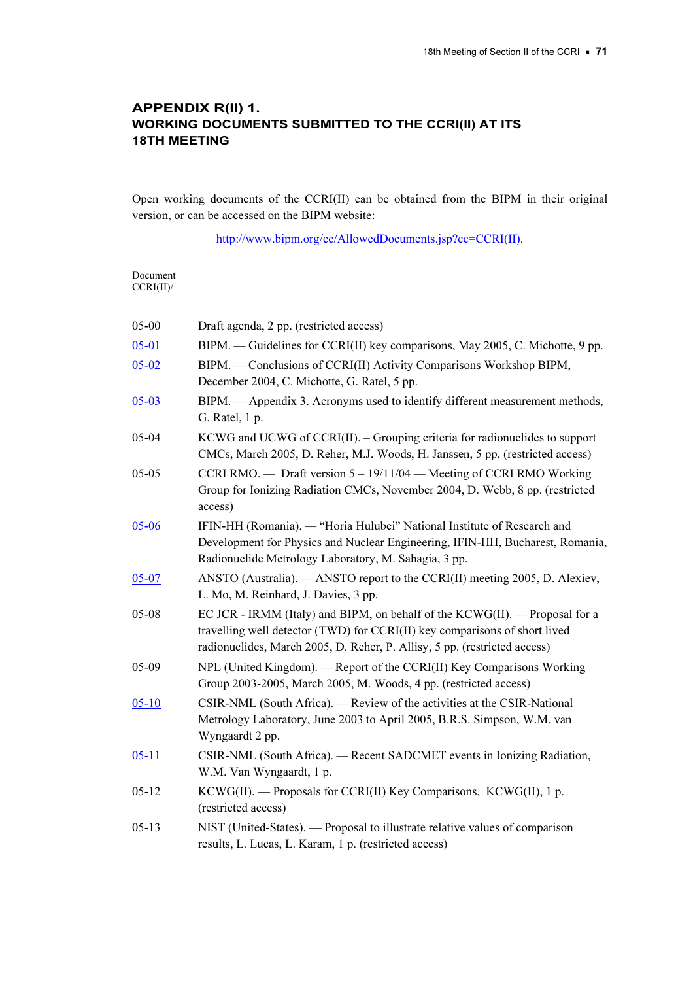# APPENDIX R(II) 1. WORKING DOCUMENTS SUBMITTED TO THE CCRI(II) AT ITS 18TH MEETING

Open working documents of the CCRI(II) can be obtained from the BIPM in their original version, or can be accessed on the BIPM website:

[http://www.bipm.org/cc/AllowedDocuments.jsp?cc=CCRI\(II\).](https://www.bipm.org/cc/AllowedDocuments.jsp?cc=CCRI(II)) 

Document CCRI(II)/

| 05-00     | Draft agenda, 2 pp. (restricted access)                                                                                                                                                                                                |
|-----------|----------------------------------------------------------------------------------------------------------------------------------------------------------------------------------------------------------------------------------------|
| $05 - 01$ | BIPM. — Guidelines for CCRI(II) key comparisons, May 2005, C. Michotte, 9 pp.                                                                                                                                                          |
| $05 - 02$ | BIPM. — Conclusions of CCRI(II) Activity Comparisons Workshop BIPM,<br>December 2004, C. Michotte, G. Ratel, 5 pp.                                                                                                                     |
| $05 - 03$ | BIPM. - Appendix 3. Acronyms used to identify different measurement methods,<br>G. Ratel, 1 p.                                                                                                                                         |
| $05 - 04$ | $KCWG$ and $UCWG$ of $CCRI(II)$ . – Grouping criteria for radionuclides to support<br>CMCs, March 2005, D. Reher, M.J. Woods, H. Janssen, 5 pp. (restricted access)                                                                    |
| $05 - 05$ | CCRI RMO. — Draft version $5 - 19/11/04$ — Meeting of CCRI RMO Working<br>Group for Ionizing Radiation CMCs, November 2004, D. Webb, 8 pp. (restricted<br>access)                                                                      |
| $05 - 06$ | IFIN-HH (Romania). — "Horia Hulubei" National Institute of Research and<br>Development for Physics and Nuclear Engineering, IFIN-HH, Bucharest, Romania,<br>Radionuclide Metrology Laboratory, M. Sahagia, 3 pp.                       |
| $05 - 07$ | ANSTO (Australia). — ANSTO report to the CCRI(II) meeting 2005, D. Alexiev,<br>L. Mo, M. Reinhard, J. Davies, 3 pp.                                                                                                                    |
| 05-08     | EC JCR - IRMM (Italy) and BIPM, on behalf of the KCWG(II). — Proposal for a<br>travelling well detector (TWD) for CCRI(II) key comparisons of short lived<br>radionuclides, March 2005, D. Reher, P. Allisy, 5 pp. (restricted access) |
| 05-09     | NPL (United Kingdom). — Report of the CCRI(II) Key Comparisons Working<br>Group 2003-2005, March 2005, M. Woods, 4 pp. (restricted access)                                                                                             |
| $05 - 10$ | CSIR-NML (South Africa). — Review of the activities at the CSIR-National<br>Metrology Laboratory, June 2003 to April 2005, B.R.S. Simpson, W.M. van<br>Wyngaardt 2 pp.                                                                 |
| $05 - 11$ | CSIR-NML (South Africa). — Recent SADCMET events in Ionizing Radiation,<br>W.M. Van Wyngaardt, 1 p.                                                                                                                                    |
| $05 - 12$ | KCWG(II). — Proposals for CCRI(II) Key Comparisons, KCWG(II), 1 p.<br>(restricted access)                                                                                                                                              |
| $05 - 13$ | NIST (United-States). — Proposal to illustrate relative values of comparison<br>results, L. Lucas, L. Karam, 1 p. (restricted access)                                                                                                  |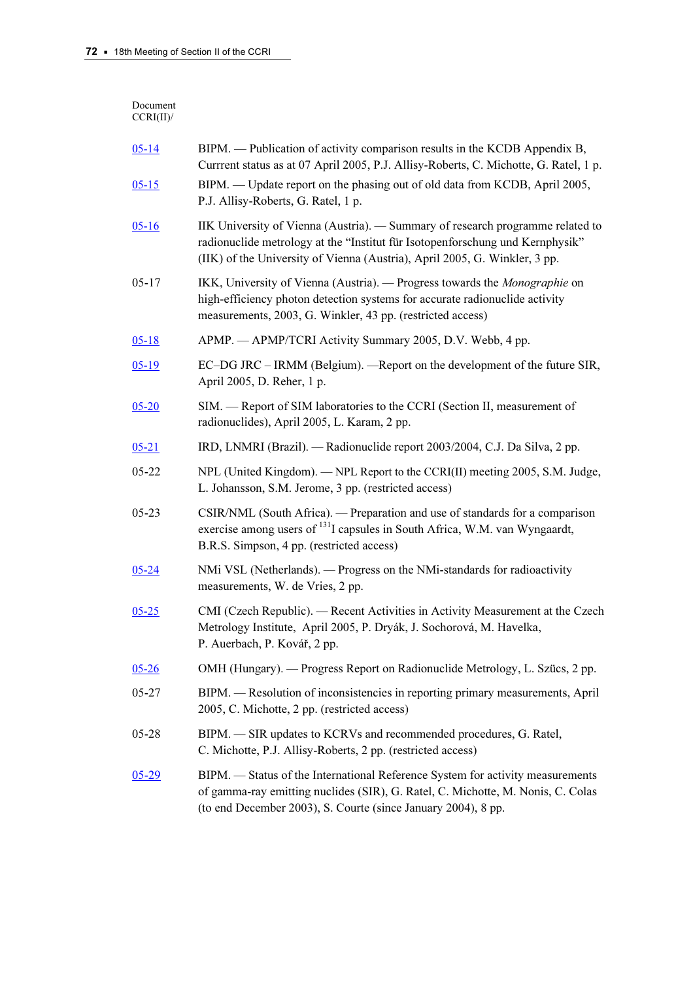| Document<br>CCRI(II)/ |                                                                                                                                                                                                                                               |
|-----------------------|-----------------------------------------------------------------------------------------------------------------------------------------------------------------------------------------------------------------------------------------------|
| $05 - 14$             | BIPM. — Publication of activity comparison results in the KCDB Appendix B,<br>Currrent status as at 07 April 2005, P.J. Allisy-Roberts, C. Michotte, G. Ratel, 1 p.                                                                           |
| $05 - 15$             | BIPM. — Update report on the phasing out of old data from KCDB, April 2005,<br>P.J. Allisy-Roberts, G. Ratel, 1 p.                                                                                                                            |
| $05 - 16$             | IIK University of Vienna (Austria). — Summary of research programme related to<br>radionuclide metrology at the "Institut für Isotopenforschung und Kernphysik"<br>(IIK) of the University of Vienna (Austria), April 2005, G. Winkler, 3 pp. |
| $05 - 17$             | IKK, University of Vienna (Austria). — Progress towards the Monographie on<br>high-efficiency photon detection systems for accurate radionuclide activity<br>measurements, 2003, G. Winkler, 43 pp. (restricted access)                       |
| $05-18$               | APMP. — APMP/TCRI Activity Summary 2005, D.V. Webb, 4 pp.                                                                                                                                                                                     |
| $05-19$               | EC-DG JRC - IRMM (Belgium). - Report on the development of the future SIR,<br>April 2005, D. Reher, 1 p.                                                                                                                                      |
| $05 - 20$             | SIM. - Report of SIM laboratories to the CCRI (Section II, measurement of<br>radionuclides), April 2005, L. Karam, 2 pp.                                                                                                                      |
| $05 - 21$             | IRD, LNMRI (Brazil). — Radionuclide report 2003/2004, C.J. Da Silva, 2 pp.                                                                                                                                                                    |
| $05 - 22$             | NPL (United Kingdom). — NPL Report to the CCRI(II) meeting 2005, S.M. Judge,<br>L. Johansson, S.M. Jerome, 3 pp. (restricted access)                                                                                                          |
| $05 - 23$             | CSIR/NML (South Africa). — Preparation and use of standards for a comparison<br>exercise among users of <sup>131</sup> I capsules in South Africa, W.M. van Wyngaardt,<br>B.R.S. Simpson, 4 pp. (restricted access)                           |
| $05 - 24$             | NMi VSL (Netherlands). — Progress on the NMi-standards for radioactivity<br>measurements, W. de Vries, 2 pp.                                                                                                                                  |
| $05 - 25$             | CMI (Czech Republic). — Recent Activities in Activity Measurement at the Czech<br>Metrology Institute, April 2005, P. Dryák, J. Sochorová, M. Havelka,<br>P. Auerbach, P. Kovář, 2 pp.                                                        |
| $05 - 26$             | OMH (Hungary). — Progress Report on Radionuclide Metrology, L. Szücs, 2 pp.                                                                                                                                                                   |
| 05-27                 | BIPM. — Resolution of inconsistencies in reporting primary measurements, April<br>2005, C. Michotte, 2 pp. (restricted access)                                                                                                                |
| $05 - 28$             | BIPM. - SIR updates to KCRVs and recommended procedures, G. Ratel,<br>C. Michotte, P.J. Allisy-Roberts, 2 pp. (restricted access)                                                                                                             |
| $05-29$               | BIPM. - Status of the International Reference System for activity measurements<br>of gamma-ray emitting nuclides (SIR), G. Ratel, C. Michotte, M. Nonis, C. Colas<br>(to end December 2003), S. Courte (since January 2004), 8 pp.            |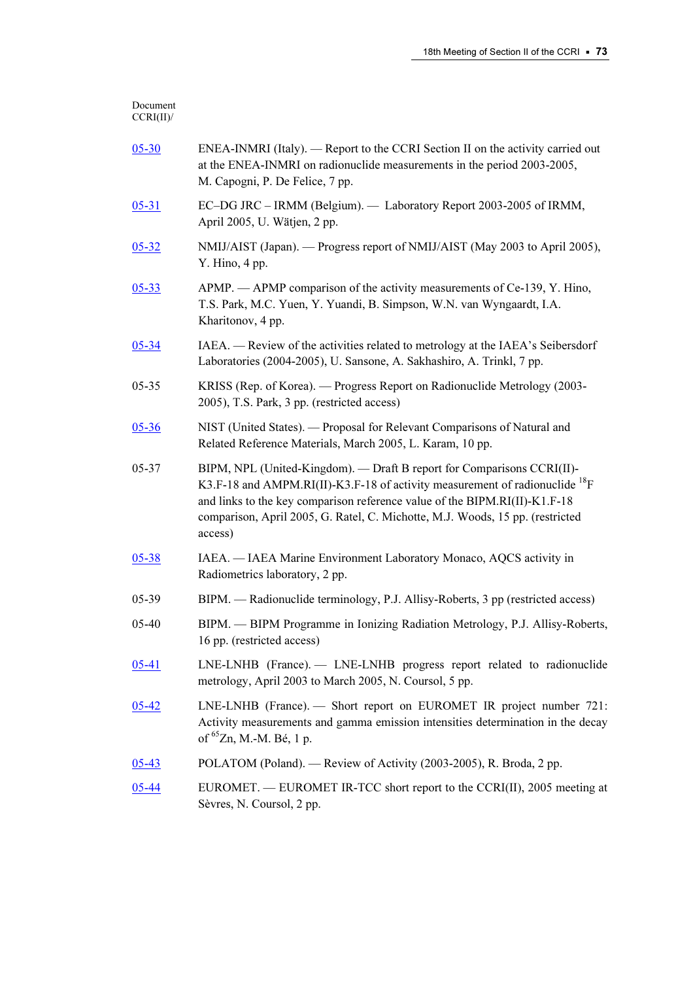#### Document CCRI(II)/

| $05 - 30$ | ENEA-INMRI (Italy). — Report to the CCRI Section II on the activity carried out<br>at the ENEA-INMRI on radionuclide measurements in the period 2003-2005,<br>M. Capogni, P. De Felice, 7 pp.                                                                                                                                               |
|-----------|---------------------------------------------------------------------------------------------------------------------------------------------------------------------------------------------------------------------------------------------------------------------------------------------------------------------------------------------|
| $05 - 31$ | EC-DG JRC - IRMM (Belgium). - Laboratory Report 2003-2005 of IRMM,<br>April 2005, U. Wätjen, 2 pp.                                                                                                                                                                                                                                          |
| $05 - 32$ | NMIJ/AIST (Japan). - Progress report of NMIJ/AIST (May 2003 to April 2005),<br>Y. Hino, 4 pp.                                                                                                                                                                                                                                               |
| $05 - 33$ | APMP. — APMP comparison of the activity measurements of Ce-139, Y. Hino,<br>T.S. Park, M.C. Yuen, Y. Yuandi, B. Simpson, W.N. van Wyngaardt, I.A.<br>Kharitonov, 4 pp.                                                                                                                                                                      |
| $05 - 34$ | IAEA. — Review of the activities related to metrology at the IAEA's Seibersdorf<br>Laboratories (2004-2005), U. Sansone, A. Sakhashiro, A. Trinkl, 7 pp.                                                                                                                                                                                    |
| 05-35     | KRISS (Rep. of Korea). — Progress Report on Radionuclide Metrology (2003-<br>2005), T.S. Park, 3 pp. (restricted access)                                                                                                                                                                                                                    |
| 05-36     | NIST (United States). — Proposal for Relevant Comparisons of Natural and<br>Related Reference Materials, March 2005, L. Karam, 10 pp.                                                                                                                                                                                                       |
| 05-37     | BIPM, NPL (United-Kingdom). — Draft B report for Comparisons CCRI(II)-<br>K3.F-18 and AMPM.RI(II)-K3.F-18 of activity measurement of radionuclide <sup>18</sup> F<br>and links to the key comparison reference value of the BIPM.RI(II)-K1.F-18<br>comparison, April 2005, G. Ratel, C. Michotte, M.J. Woods, 15 pp. (restricted<br>access) |
| $05 - 38$ | IAEA. - IAEA Marine Environment Laboratory Monaco, AQCS activity in<br>Radiometrics laboratory, 2 pp.                                                                                                                                                                                                                                       |
| 05-39     | BIPM. — Radionuclide terminology, P.J. Allisy-Roberts, 3 pp (restricted access)                                                                                                                                                                                                                                                             |
| 05-40     | BIPM. - BIPM Programme in Ionizing Radiation Metrology, P.J. Allisy-Roberts,<br>16 pp. (restricted access)                                                                                                                                                                                                                                  |
| $05 - 41$ | LNE-LNHB (France). - LNE-LNHB progress report related to radionuclide<br>metrology, April 2003 to March 2005, N. Coursol, 5 pp.                                                                                                                                                                                                             |
| 05-42     | LNE-LNHB (France). — Short report on EUROMET IR project number 721:<br>Activity measurements and gamma emission intensities determination in the decay<br>of ${}^{65}Zn$ , M.-M. Bé, 1 p.                                                                                                                                                   |
| $05 - 43$ | POLATOM (Poland). — Review of Activity (2003-2005), R. Broda, 2 pp.                                                                                                                                                                                                                                                                         |
| $05 - 44$ | EUROMET. — EUROMET IR-TCC short report to the CCRI(II), 2005 meeting at<br>Sèvres, N. Coursol, 2 pp.                                                                                                                                                                                                                                        |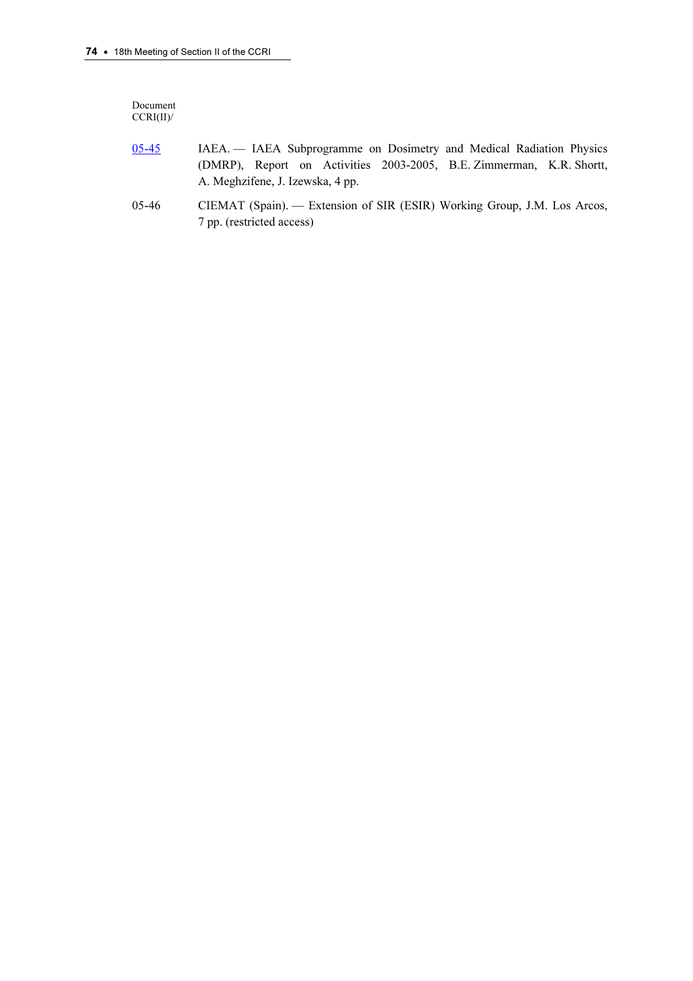Document CCRI(II)/

- [05-45 I](https://www.bipm.org/cc/CCRI(II)/Allowed/18/CCRI(II)05-45.pdf)AEA. IAEA Subprogramme on Dosimetry and Medical Radiation Physics (DMRP), Report on Activities 2003-2005, B.E. Zimmerman, K.R. Shortt, A. Meghzifene, J. Izewska, 4 pp.
- 05-46 CIEMAT (Spain). Extension of SIR (ESIR) Working Group, J.M. Los Arcos, 7 pp. (restricted access)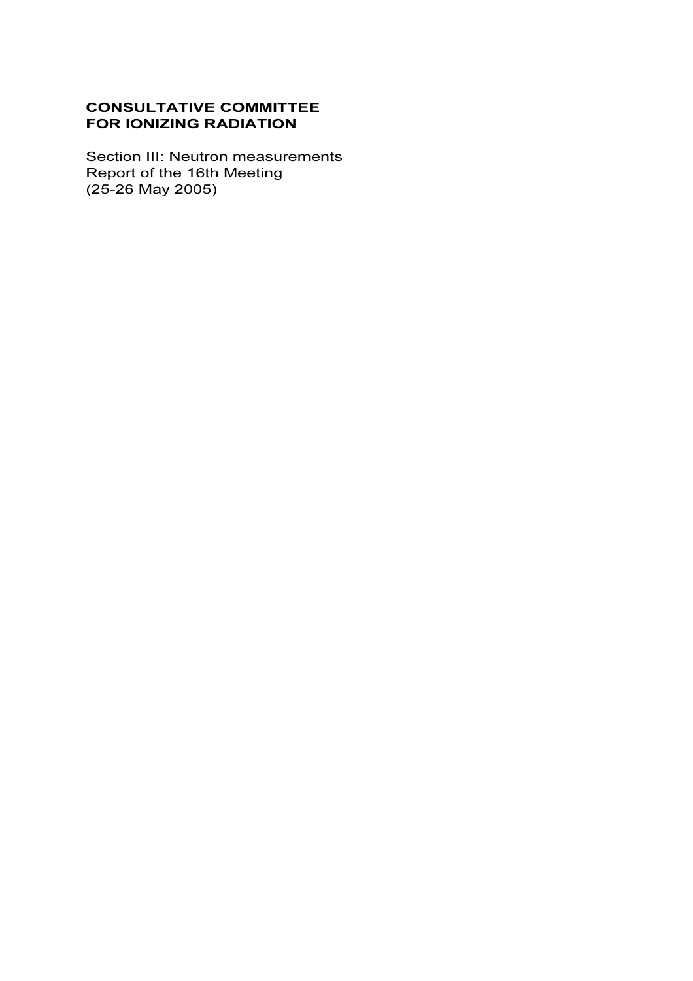# CONSULTATIVE COMMITTEE FOR IONIZING RADIATION

Section III: Neutron measurements<br>Report of the 16th Meeting  $(25-26$  May 2005)  $\sqrt{25-26}$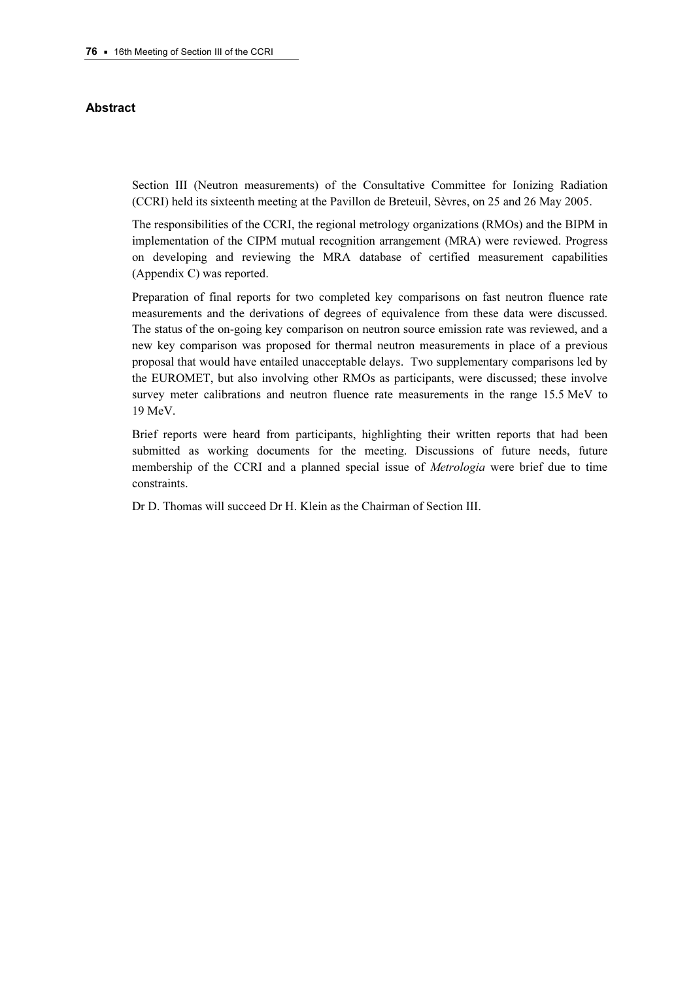#### Abstract

Section III (Neutron measurements) of the Consultative Committee for Ionizing Radiation (CCRI) held its sixteenth meeting at the Pavillon de Breteuil, Sèvres, on 25 and 26 May 2005.

The responsibilities of the CCRI, the regional metrology organizations (RMOs) and the BIPM in implementation of the CIPM mutual recognition arrangement (MRA) were reviewed. Progress on developing and reviewing the MRA database of certified measurement capabilities (Appendix C) was reported.

Preparation of final reports for two completed key comparisons on fast neutron fluence rate measurements and the derivations of degrees of equivalence from these data were discussed. The status of the on-going key comparison on neutron source emission rate was reviewed, and a new key comparison was proposed for thermal neutron measurements in place of a previous proposal that would have entailed unacceptable delays. Two supplementary comparisons led by the EUROMET, but also involving other RMOs as participants, were discussed; these involve survey meter calibrations and neutron fluence rate measurements in the range 15.5 MeV to 19 MeV.

Brief reports were heard from participants, highlighting their written reports that had been submitted as working documents for the meeting. Discussions of future needs, future membership of the CCRI and a planned special issue of *Metrologia* were brief due to time constraints.

Dr D. Thomas will succeed Dr H. Klein as the Chairman of Section III.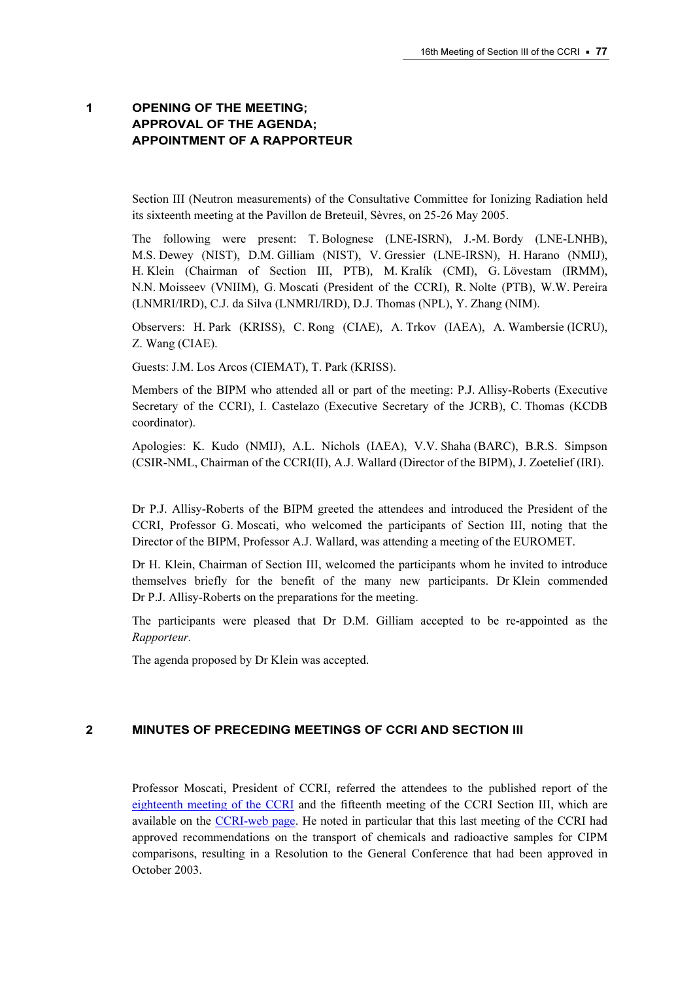# 1 OPENING OF THE MEETING; APPROVAL OF THE AGENDA; APPOINTMENT OF A RAPPORTEUR

Section III (Neutron measurements) of the Consultative Committee for Ionizing Radiation held its sixteenth meeting at the Pavillon de Breteuil, Sèvres, on 25-26 May 2005.

The following were present: T. Bolognese (LNE-ISRN), J.-M. Bordy (LNE-LNHB), M.S. Dewey (NIST), D.M. Gilliam (NIST), V. Gressier (LNE-IRSN), H. Harano (NMIJ), H. Klein (Chairman of Section III, PTB), M. Kralík (CMI), G. Lövestam (IRMM), N.N. Moisseev (VNIIM), G. Moscati (President of the CCRI), R. Nolte (PTB), W.W. Pereira (LNMRI/IRD), C.J. da Silva (LNMRI/IRD), D.J. Thomas (NPL), Y. Zhang (NIM).

Observers: H. Park (KRISS), C. Rong (CIAE), A. Trkov (IAEA), A. Wambersie (ICRU), Z. Wang (CIAE).

Guests: J.M. Los Arcos (CIEMAT), T. Park (KRISS).

Members of the BIPM who attended all or part of the meeting: P.J. Allisy-Roberts (Executive Secretary of the CCRI), I. Castelazo (Executive Secretary of the JCRB), C. Thomas (KCDB coordinator).

Apologies: K. Kudo (NMIJ), A.L. Nichols (IAEA), V.V. Shaha (BARC), B.R.S. Simpson (CSIR-NML, Chairman of the CCRI(II), A.J. Wallard (Director of the BIPM), J. Zoetelief (IRI).

Dr P.J. Allisy-Roberts of the BIPM greeted the attendees and introduced the President of the CCRI, Professor G. Moscati, who welcomed the participants of Section III, noting that the Director of the BIPM, Professor A.J. Wallard, was attending a meeting of the EUROMET.

Dr H. Klein, Chairman of Section III, welcomed the participants whom he invited to introduce themselves briefly for the benefit of the many new participants. Dr Klein commended Dr P.J. Allisy-Roberts on the preparations for the meeting.

The participants were pleased that Dr D.M. Gilliam accepted to be re-appointed as the  $\mathbb{E}[x]$ 

The agenda proposed by Dr Klein was accepted.

#### 2 MINUTES OF PRECEDING MEETINGS OF CCRI AND SECTION III

Professor Moscati, President of CCRI, referred the attendees to the published report of the [eighteenth meeting of the CCRI an](https://www.bipm.org/en/committees/cc/ccri/publications_cc.html)d th[e fifteenth meeting of the CCRI Section III, whic](https://www.bipm.org/en/committees/cc/ccri/publications_cc.html)h are available on th[e CCRI-web page.](https://www.bipm.org/en/committees/cc/ccri/) He noted in particular that this last meeting of the CCRI had approved recommendations on the transport of chemicals and radioactive samples for CIPM comparisons, resulting in a Resolution to the General Conference that had been approved in October 2003.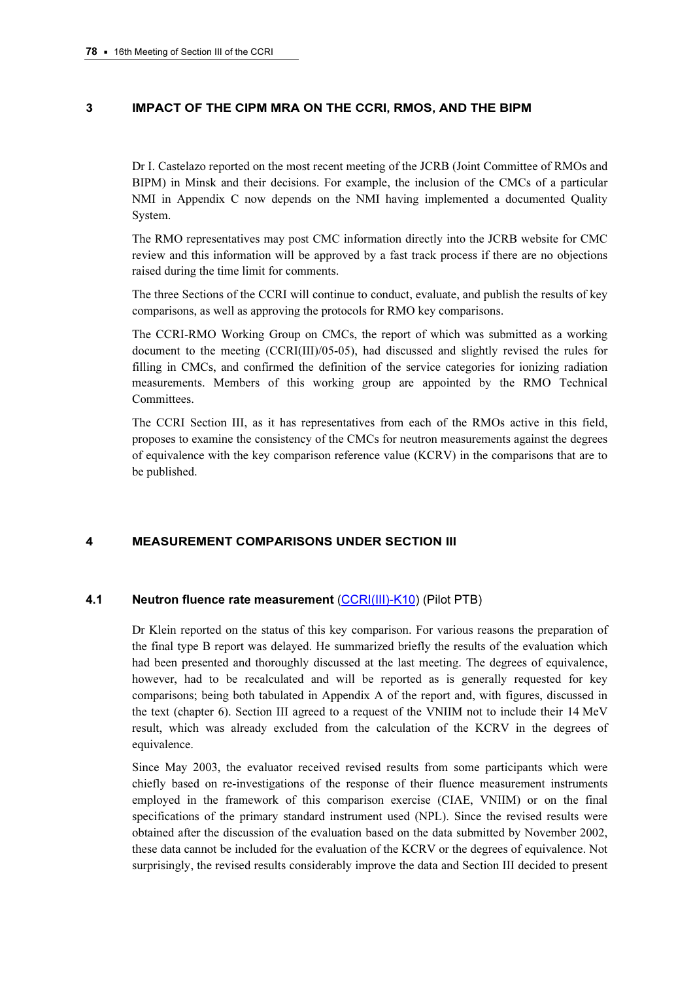# 3 IMPACT OF THE CIPM MRA ON THE CCRI, RMOS, AND THE BIPM

Dr I. Castelazo reported on the most recent meeting of the JCRB (Joint Committee of RMOs and BIPM) in Minsk and their decisions. For example, the inclusion of the CMCs of a particular NMI in Appendix C now depends on the NMI having implemented a documented Quality System.

The RMO representatives may post CMC information directly into the JCRB website for CMC review and this information will be approved by a fast track process if there are no objections raised during the time limit for comments.

The three Sections of the CCRI will continue to conduct, evaluate, and publish the results of key comparisons, as well as approving the protocols for RMO key comparisons.

The CCRI-RMO Working Group on CMCs, the report of which was submitted as a working document to the meeting (CCRI(III)/05-05), had discussed and slightly revised the rules for filling in CMCs, and confirmed the definition of the service categories for ionizing radiation measurements. Members of this working group are appointed by the RMO Technical Committees.

The CCRI Section III, as it has representatives from each of the RMOs active in this field, proposes to examine the consistency of the CMCs for neutron measurements against the degrees of equivalence with the key comparison reference value (KCRV) in the comparisons that are to be published.

## 4 MEASUREMENT COMPARISONS UNDER SECTION III

#### 4.1 Neutron fluence rate measurement (CCRI(III)-K10) (Pilot PTB)

Dr Klein reported on the status of t[his key comparison. For va](http://kcdb.bipm.org/appendixB/KCDB_ApB_info.asp?cmp_idy=370&cmp_cod=CCRI(III)-K10&prov=exalead)rious reasons the preparation of the final type B report was delayed. He summarized briefly the results of the evaluation which had been presented and thoroughly discussed at the last meeting. The degrees of equivalence, however, had to be recalculated and will be reported as is generally requested for key comparisons; being both tabulated in Appendix A of the report and, with figures, discussed in the text (chapter 6). Section III agreed to a request of the VNIIM not to include their 14 MeV result, which was already excluded from the calculation of the KCRV in the degrees of equivalence.

Since May 2003, the evaluator received revised results from some participants which were chiefly based on re-investigations of the response of their fluence measurement instruments employed in the framework of this comparison exercise (CIAE, VNIIM) or on the final specifications of the primary standard instrument used (NPL). Since the revised results were obtained after the discussion of the evaluation based on the data submitted by November 2002, these data cannot be included for the evaluation of the KCRV or the degrees of equivalence. Not surprisingly, the revised results considerably improve the data and Section III decided to present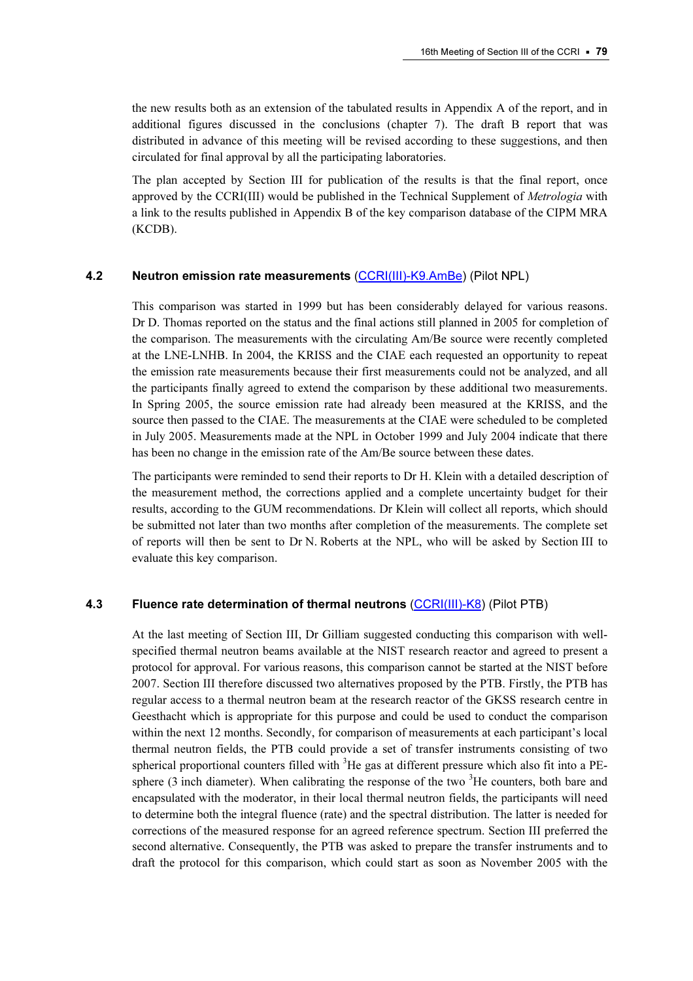the new results both as an extension of the tabulated results in Appendix A of the report, and in additional figures discussed in the conclusions (chapter 7). The draft B report that was distributed in advance of this meeting will be revised according to these suggestions, and then circulated for final approval by all the participating laboratories.

The plan accepted by Section III for publication of the results is that the final report, once approved by the CCRI(III) would be published in the Technical Supplement of Metrologia with a link to the results published in Appendix B of the key comparison database of the CIPM MRA (KCDB).

#### 4.2 Neutron emission rate measurements [\(CCRI\(III\)-K9.AmBe\) \(Pil](http://kcdb.bipm.org/appendixB/KCDB_ApB_info.asp?cmp_idy=368&cmp_cod=CCRI(III)-K9.AmBe&prov=exalead)ot NPL)

This comparison was started in 1999 but has been considerably delayed for various reasons. Dr D. Thomas reported on the status and the final actions still planned in 2005 for completion of the comparison. The measurements with the circulating Am/Be source were recently completed at the LNE-LNHB. In 2004, the KRISS and the CIAE each requested an opportunity to repeat the emission rate measurements because their first measurements could not be analyzed, and all the participants finally agreed to extend the comparison by these additional two measurements. In Spring 2005, the source emission rate had already been measured at the KRISS, and the source then passed to the CIAE. The measurements at the CIAE were scheduled to be completed in July 2005. Measurements made at the NPL in October 1999 and July 2004 indicate that there has been no change in the emission rate of the Am/Be source between these dates.

The participants were reminded to send their reports to Dr H. Klein with a detailed description of the measurement method, the corrections applied and a complete uncertainty budget for their results, according to the GUM recommendations. Dr Klein will collect all reports, which should be submitted not later than two months after completion of the measurements. The complete set of reports will then be sent to Dr N. Roberts at the NPL, who will be asked by Section III to evaluate this key comparison.

#### 4.3 Fluence rate determination of thermal neutrons [\(CCRI\(III\)-K8\)](http://kcdb.bipm.org/appendixB/KCDB_ApB_info.asp?cmp_idy=367&cmp_cod=CCRI(III)-K8&prov=exalead) (Pilot PTB)

At the last meeting of Section III, Dr Gilliam suggested conducting this comparison with wellspecified thermal neutron beams available at the NIST research reactor and agreed to present a protocol for approval. For various reasons, this comparison cannot be started at the NIST before 2007. Section III therefore discussed two alternatives proposed by the PTB. Firstly, the PTB has regular access to a thermal neutron beam at the research reactor of the GKSS research centre in Geesthacht which is appropriate for this purpose and could be used to conduct the comparison within the next 12 months. Secondly, for comparison of measurements at each participant's local thermal neutron fields, the PTB could provide a set of transfer instruments consisting of two spherical proportional counters filled with <sup>3</sup>He gas at different pressure which also fit into a PEsphere  $(3 \text{ inch diameter})$ . When calibrating the response of the two  $3$ He counters, both bare and encapsulated with the moderator, in their local thermal neutron fields, the participants will need to determine both the integral fluence (rate) and the spectral distribution. The latter is needed for corrections of the measured response for an agreed reference spectrum. Section III preferred the second alternative. Consequently, the PTB was asked to prepare the transfer instruments and to draft the protocol for this comparison, which could start as soon as November 2005 with the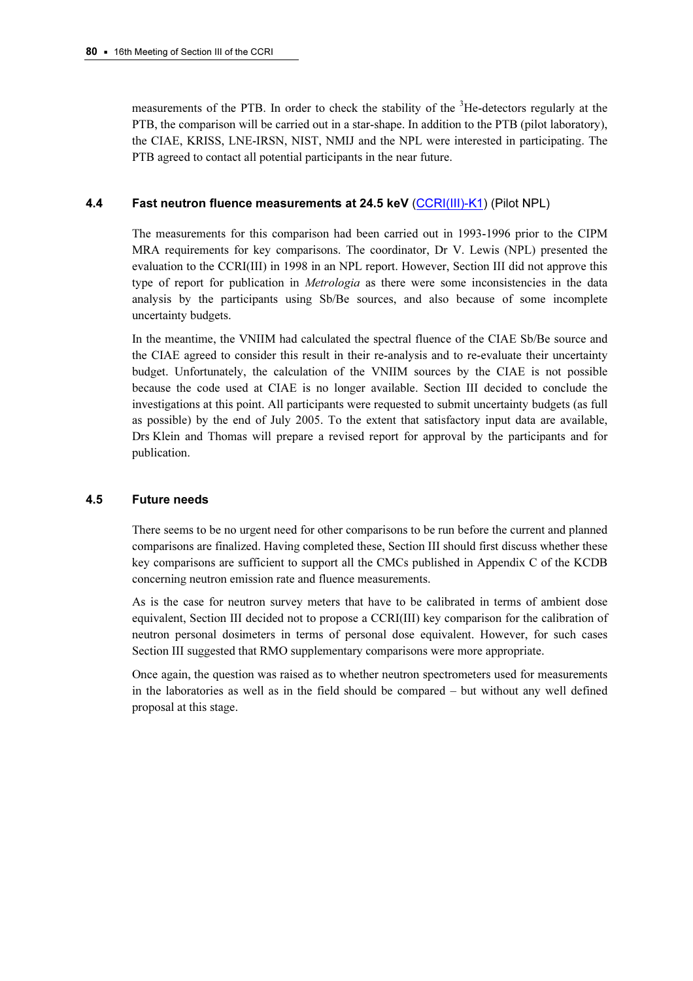measurements of the PTB. In order to check the stability of the <sup>3</sup>He-detectors regularly at the PTB, the comparison will be carried out in a star-shape. In addition to the PTB (pilot laboratory), the CIAE, KRISS, LNE-IRSN, NIST, NMIJ and the NPL were interested in participating. The PTB agreed to contact all potential participants in the near future.

# 4.4 Fast neutron fluence measurements at 24.5 keV [\(CCRI\(III\)-K1\) \(Pilot N](http://kcdb.bipm.org/appendixB/KCDB_ApB_info.asp?cmp_idy=345&cmp_cod=CCRI(III)-K1&prov=exalead)PL)

The measurements for this comparison had been carried out in 1993-1996 prior to the CIPM MRA requirements for key comparisons. The coordinator, Dr V. Lewis (NPL) presented the evaluation to the CCRI(III) in 1998 in an NPL report. However, Section III did not approve this type of report for publication in *Metrologia* as there were some inconsistencies in the data analysis by the participants using Sb/Be sources, and also because of some incomplete uncertainty budgets.

In the meantime, the VNIIM had calculated the spectral fluence of the CIAE Sb/Be source and the CIAE agreed to consider this result in their re-analysis and to re-evaluate their uncertainty budget. Unfortunately, the calculation of the VNIIM sources by the CIAE is not possible because the code used at CIAE is no longer available. Section III decided to conclude the investigations at this point. All participants were requested to submit uncertainty budgets (as full as possible) by the end of July 2005. To the extent that satisfactory input data are available, Drs Klein and Thomas will prepare a revised report for approval by the participants and for publication.

## 4.5 Future needs

There seems to be no urgent need for other comparisons to be run before the current and planned comparisons are finalized. Having completed these, Section III should first discuss whether these key comparisons are sufficient to support all the CMCs published in Appendix C of the KCDB concerning neutron emission rate and fluence measurements.

As is the case for neutron survey meters that have to be calibrated in terms of ambient dose equivalent, Section III decided not to propose a CCRI(III) key comparison for the calibration of neutron personal dosimeters in terms of personal dose equivalent. However, for such cases Section III suggested that RMO supplementary comparisons were more appropriate.

Once again, the question was raised as to whether neutron spectrometers used for measurements in the laboratories as well as in the field should be compared – but without any well defined proposal at this stage.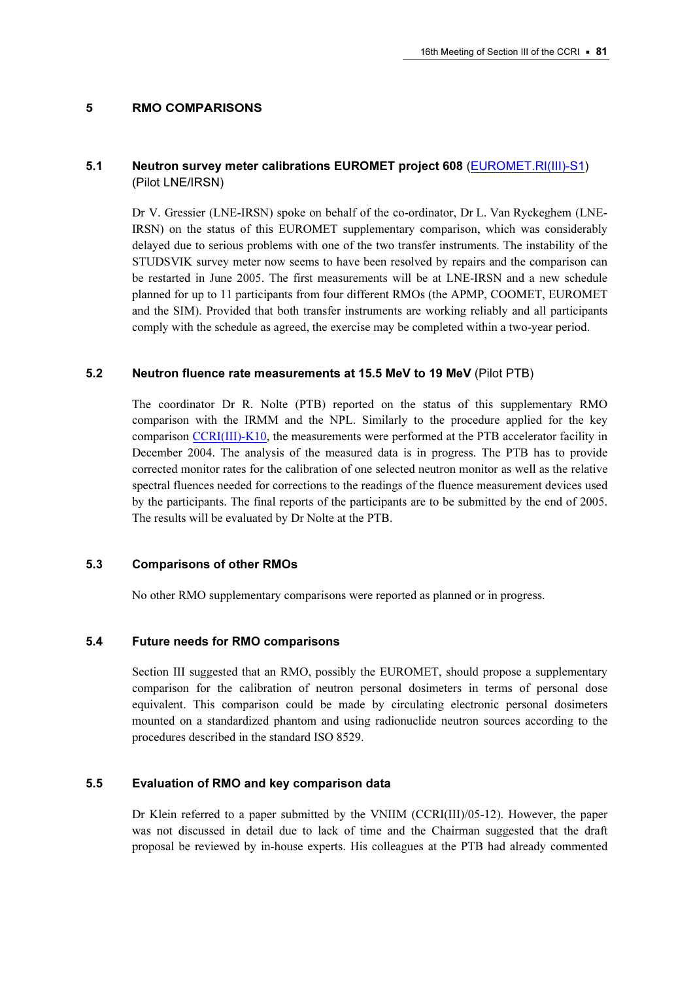#### 5 RMO COMPARISONS

# 5.1 Neutron survey meter calibrations EUROMET project 608 [\(EUROMET.RI\(III\)-S1\)](http://kcdb.bipm.org/appendixB/KCDB_ApB_info.asp?cmp_idy=581&cmp_cod=EUROMET.RI(III)-S1&prov=exalead) (Pilot LNE/IRSN)

Dr V. Gressier (LNE-IRSN) spoke on behalf of the co-ordinator, Dr L. Van Ryckeghem (LNE-IRSN) on the status of this EUROMET supplementary comparison, which was considerably delayed due to serious problems with one of the two transfer instruments. The instability of the STUDSVIK survey meter now seems to have been resolved by repairs and the comparison can be restarted in June 2005. The first measurements will be at LNE-IRSN and a new schedule planned for up to 11 participants from four different RMOs (the APMP, COOMET, EUROMET and the SIM). Provided that both transfer instruments are working reliably and all participants comply with the schedule as agreed, the exercise may be completed within a two-year period.

#### 5.2 Neutron fluence rate measurements at 15.5 MeV to 19 MeV (Pilot PTB)

The coordinator Dr R. Nolte (PTB) reported on the status of this supplementary RMO comparison with the IRMM and the NPL. Similarly to the procedure applied for the key compa[rison CCRI\(III\)-K10, the](http://kcdb.bipm.org/appendixB/KCDB_ApB_info.asp?cmp_idy=370&cmp_cod=CCRI(III)-K10&prov=exalead) measurements were performed at the PTB accelerator facility in December 2004. The analysis of the measured data is in progress. The PTB has to provide corrected monitor rates for the calibration of one selected neutron monitor as well as the relative spectral fluences needed for corrections to the readings of the fluence measurement devices used by the participants. The final reports of the participants are to be submitted by the end of 2005. The results will be evaluated by Dr Nolte at the PTB.

#### 5.3 Comparisons of other RMOs

No other RMO supplementary comparisons were reported as planned or in progress.

#### 5.4 Future needs for RMO comparisons

Section III suggested that an RMO, possibly the EUROMET, should propose a supplementary comparison for the calibration of neutron personal dosimeters in terms of personal dose equivalent. This comparison could be made by circulating electronic personal dosimeters mounted on a standardized phantom and using radionuclide neutron sources according to the procedures described in the standard ISO 8529.

## 5.5 Evaluation of RMO and key comparison data

Dr Klein referred to a paper submitted by the VNIIM (CCRI(III)/05-12). However, the paper was not discussed in detail due to lack of time and the Chairman suggested that the draft proposal be reviewed by in-house experts. His colleagues at the PTB had already commented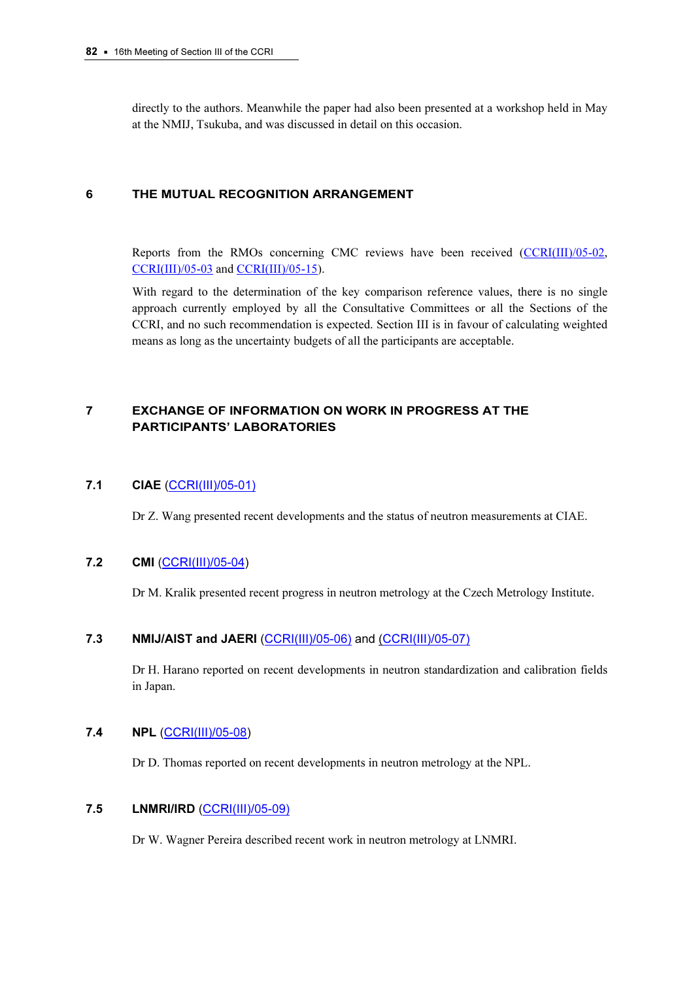directly to the authors. Meanwhile the paper had also been presented at a workshop held in May at the NMIJ, Tsukuba, and was discussed in detail on this occasion.

## 6 THE MUTUAL RECOGNITION ARRANGEMENT

Reports from the [RMOs concerning C](https://www.bipm.org/cc/CCRI(III)/Allowed/16/CCRI(III)05-15.pdf)MC reviews have been received (CCRI(III)/05-02, [CCRI\(III\)/05-03 an](https://www.bipm.org/cc/CCRI(III)/Allowed/16/CCRI(III)05-03.pdf)d CCRI(III)/05-15).

With regard to the determination of the key comparison reference values, there is no single approach currently employed by all the Consultative Committees or all the Sections of the CCRI, and no such recommendation is expected. Section III is in favour of calculating weighted means as long as the uncertainty budgets of all the participants are acceptable.

# 7 EXCHANGE OF INFORMATION ON WORK IN PROGRESS AT THE PARTICIPANTS' LABORATORIES

## 7.1 CIAE [\(CCRI\(III\)/05-01\)](https://www.bipm.org/cc/CCRI(III)/Allowed/16/CCRI(III)05-01.pdf)

Dr Z. Wang presented recent developments and the status of neutron measurements at CIAE.

## 7.2 CMI [\(CCRI\(III\)/05-04\)](https://www.bipm.org/cc/CCRI(III)/Allowed/16/CCRI(III)05-04.pdf)

Dr M. Kralik presented recent progress in neutron metrology at the Czech Metrology Institute.

# 7.3 MMIJ/AIST and JAERI [\(CCRI\(III\)/05-06\) an](https://www.bipm.org/cc/CCRI(III)/Allowed/16/CCRI(III)05-06.pdf)[d \(CCRI\(III\)/05-07\)](https://www.bipm.org/cc/CCRI(III)/Allowed/16/CCRI(III)05-07.pdf)

Dr H. Harano reported on recent developments in neutron standardization and calibration fields in Japan.

## 7.4 NPL [\(CCRI\(III\)/05-08\)](https://www.bipm.org/cc/CCRI(III)/Allowed/16/CCRI(III)05-08.pdf)

Dr D. Thomas reported on recent developments in neutron metrology at the NPL.

## 7.5 LNMRI/IRD [\(CCRI\(III\)/05-09\)](https://www.bipm.org/cc/CCRI(III)/Allowed/16/CCRI(III)05-09.pdf)

Dr W. Wagner Pereira described recent work in neutron metrology at LNMRI.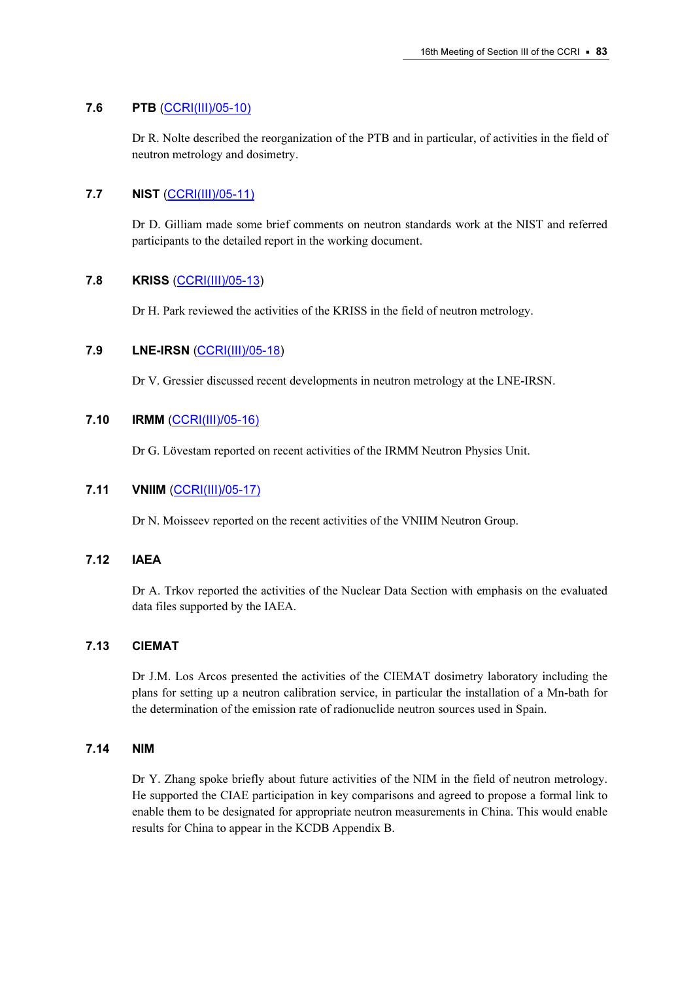# 7.6 PTB [\(CCRI\(III\)/05-10\)](https://www.bipm.org/cc/CCRI(III)/Allowed/16/CCRI(III)05-10.pdf)

Dr R. Nolte described the reorganization of the PTB and in particular, of activities in the field of neutron metrology and dosimetry.

# 7.7 NIST [\(CCRI\(III\)/05-11\)](https://www.bipm.org/cc/CCRI(III)/Allowed/16/CCRI(III)05-11.pdf)

Dr D. Gilliam made some brief comments on neutron standards work at the NIST and referred participants to the detailed report in the working document.

## 7.8 KRISS [\(CCRI\(III\)/05-13\)](https://www.bipm.org/cc/CCRI(III)/Allowed/16/CCRI(III)05-13.pdf)

Dr H. Park reviewed the activities of the KRISS in the field of neutron metrology.

# 7.9 LNE-IRSN [\(CCRI\(III\)/05-18\)](https://www.bipm.org/cc/CCRI(III)/Allowed/16/CCRI(III)05-18.pdf)

Dr V. Gressier discussed recent developments in neutron metrology at the LNE-IRSN.

## 7.10 IRMM [\(CCRI\(III\)/05-16\)](https://www.bipm.org/cc/CCRI(III)/Allowed/16/CCRI(III)05-16.pdf)

Dr G. Lövestam reported on recent activities of the IRMM Neutron Physics Unit.

# 7.11 VNIIM [\(CCRI\(III\)/05-17\)](https://www.bipm.org/cc/CCRI(III)/Allowed/16/CCRI(III)05-17.pdf)

Dr N. Moisseev reported on the recent activities of the VNIIM Neutron Group.

## 7.12 IAEA

Dr A. Trkov reported the activities of the Nuclear Data Section with emphasis on the evaluated data files supported by the IAEA.

# 7.13 CIEMAT

Dr J.M. Los Arcos presented the activities of the CIEMAT dosimetry laboratory including the plans for setting up a neutron calibration service, in particular the installation of a Mn-bath for the determination of the emission rate of radionuclide neutron sources used in Spain.

## 7.14 NIM

Dr Y. Zhang spoke briefly about future activities of the NIM in the field of neutron metrology. He supported the CIAE participation in key comparisons and agreed to propose a formal link to enable them to be designated for appropriate neutron measurements in China. This would enable results for China to appear in the KCDB Appendix B.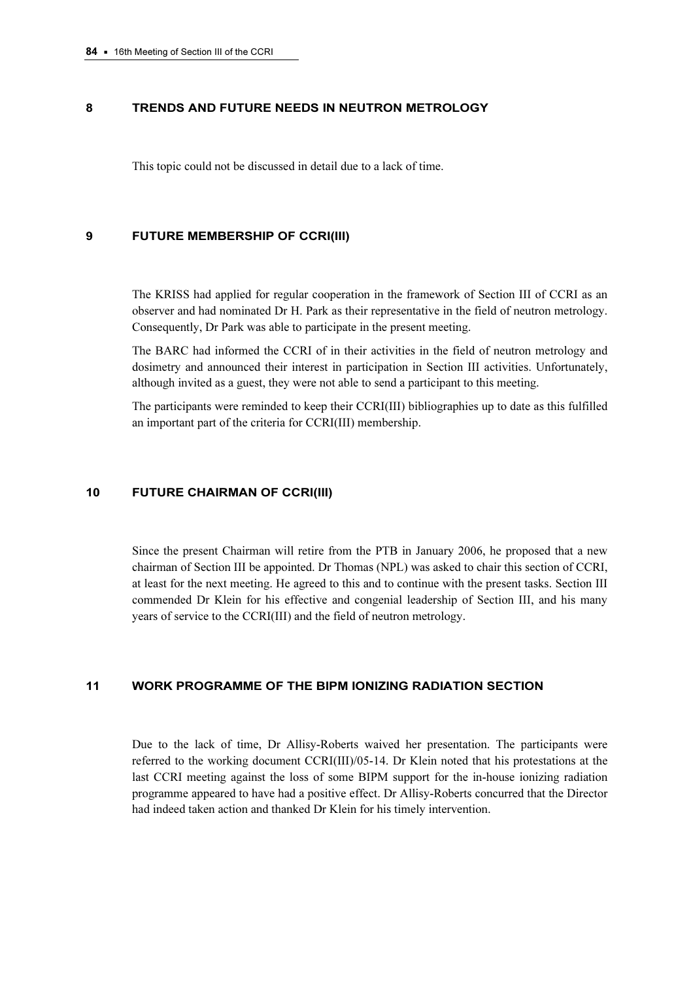#### 8 TRENDS AND FUTURE NEEDS IN NEUTRON METROLOGY

This topic could not be discussed in detail due to a lack of time.

#### 9 FUTURE MEMBERSHIP OF CCRI(III)

The KRISS had applied for regular cooperation in the framework of Section III of CCRI as an observer and had nominated Dr H. Park as their representative in the field of neutron metrology. Consequently, Dr Park was able to participate in the present meeting.

The BARC had informed the CCRI of in their activities in the field of neutron metrology and dosimetry and announced their interest in participation in Section III activities. Unfortunately, although invited as a guest, they were not able to send a participant to this meeting.

The participants were reminded to keep their CCRI(III) bibliographies up to date as this fulfilled an important part of the criteria for CCRI(III) membership.

#### 10 FUTURE CHAIRMAN OF CCRI(III)

Since the present Chairman will retire from the PTB in January 2006, he proposed that a new chairman of Section III be appointed. Dr Thomas (NPL) was asked to chair this section of CCRI, at least for the next meeting. He agreed to this and to continue with the present tasks. Section III commended Dr Klein for his effective and congenial leadership of Section III, and his many years of service to the CCRI(III) and the field of neutron metrology.

## 11 WORK PROGRAMME OF THE BIPM IONIZING RADIATION SECTION

Due to the lack of time, Dr Allisy-Roberts waived her presentation. The participants were referred to the working document CCRI(III)/05-14. Dr Klein noted that his protestations at the last CCRI meeting against the loss of some BIPM support for the in-house ionizing radiation programme appeared to have had a positive effect. Dr Allisy-Roberts concurred that the Director had indeed taken action and thanked Dr Klein for his timely intervention.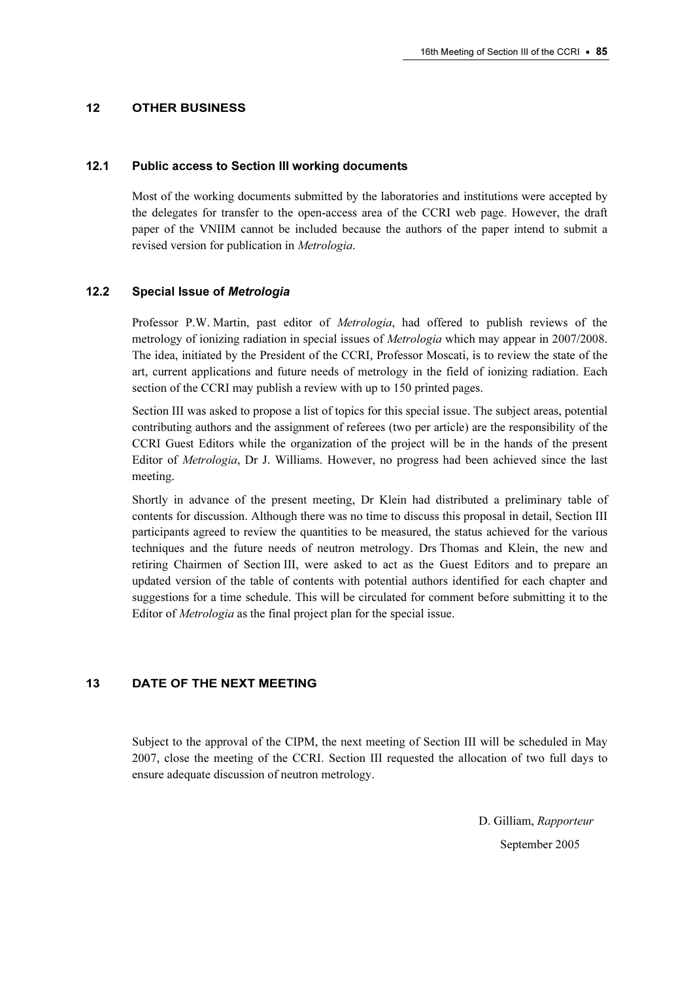#### 12 OTHER BUSINESS

#### 12.1 Public access to Section III working documents

Most of the working documents submitted by the laboratories and institutions were accepted by the delegates for transfer to the open-access area of the CCRI web page. However, the draft paper of the VNIIM cannot be included because the authors of the paper intend to submit a revised version for publication in Metrologia.

#### 12.2 Special Issue of Metrologia

Professor P.W. Martin, past editor of Metrologia, had offered to publish reviews of the metrology of ionizing radiation in special issues of *Metrologia* which may appear in 2007/2008. The idea, initiated by the President of the CCRI, Professor Moscati, is to review the state of the art, current applications and future needs of metrology in the field of ionizing radiation. Each section of the CCRI may publish a review with up to 150 printed pages.

Section III was asked to propose a list of topics for this special issue. The subject areas, potential contributing authors and the assignment of referees (two per article) are the responsibility of the CCRI Guest Editors while the organization of the project will be in the hands of the present Editor of Metrologia, Dr J. Williams. However, no progress had been achieved since the last meeting.

Shortly in advance of the present meeting, Dr Klein had distributed a preliminary table of contents for discussion. Although there was no time to discuss this proposal in detail, Section III participants agreed to review the quantities to be measured, the status achieved for the various techniques and the future needs of neutron metrology. Drs Thomas and Klein, the new and retiring Chairmen of Section III, were asked to act as the Guest Editors and to prepare an updated version of the table of contents with potential authors identified for each chapter and suggestions for a time schedule. This will be circulated for comment before submitting it to the Editor of Metrologia as the final project plan for the special issue.

#### 13 DATE OF THE NEXT MEETING

Subject to the approval of the CIPM, the next meeting of Section III will be scheduled in May 2007, close the meeting of the CCRI. Section III requested the allocation of two full days to ensure adequate discussion of neutron metrology.

> D. Gilliam, Rapporteur September 2005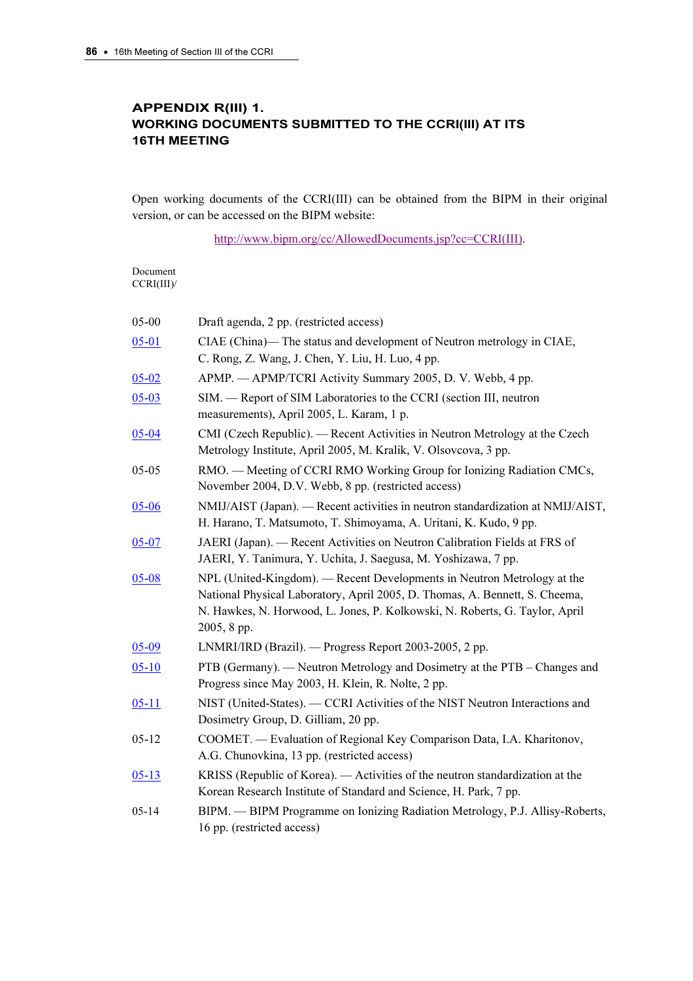# APPENDIX R(III) 1. WORKING DOCUMENTS SUBMITTED TO THE CCRI(III) AT ITS 16TH MEETING

Open working documents of the CCRI(III) can be obtained from the BIPM in their original version, or can be accessed on the BIPM website:

[http://www.bipm.org/cc/AllowedDocuments.jsp?cc=CCRI\(III\).](https://www.bipm.org/cc/AllowedDocuments.jsp?cc=CCRI(III)) 

| Document   |
|------------|
| CCRI(III)/ |

| 05-00     | Draft agenda, 2 pp. (restricted access)                                                                                                                                                                                                              |
|-----------|------------------------------------------------------------------------------------------------------------------------------------------------------------------------------------------------------------------------------------------------------|
| $05 - 01$ | CIAE (China)- The status and development of Neutron metrology in CIAE,<br>C. Rong, Z. Wang, J. Chen, Y. Liu, H. Luo, 4 pp.                                                                                                                           |
| $05 - 02$ | APMP. - APMP/TCRI Activity Summary 2005, D. V. Webb, 4 pp.                                                                                                                                                                                           |
| $05 - 03$ | SIM. — Report of SIM Laboratories to the CCRI (section III, neutron<br>measurements), April 2005, L. Karam, 1 p.                                                                                                                                     |
| $05 - 04$ | CMI (Czech Republic). — Recent Activities in Neutron Metrology at the Czech<br>Metrology Institute, April 2005, M. Kralik, V. Olsovcova, 3 pp.                                                                                                       |
| $05-05$   | RMO. — Meeting of CCRI RMO Working Group for Ionizing Radiation CMCs,<br>November 2004, D.V. Webb, 8 pp. (restricted access)                                                                                                                         |
| 05-06     | NMIJ/AIST (Japan). - Recent activities in neutron standardization at NMIJ/AIST,<br>H. Harano, T. Matsumoto, T. Shimoyama, A. Uritani, K. Kudo, 9 pp.                                                                                                 |
| $05 - 07$ | JAERI (Japan). — Recent Activities on Neutron Calibration Fields at FRS of<br>JAERI, Y. Tanimura, Y. Uchita, J. Saegusa, M. Yoshizawa, 7 pp.                                                                                                         |
| $05 - 08$ | NPL (United-Kingdom). — Recent Developments in Neutron Metrology at the<br>National Physical Laboratory, April 2005, D. Thomas, A. Bennett, S. Cheema,<br>N. Hawkes, N. Horwood, L. Jones, P. Kolkowski, N. Roberts, G. Taylor, April<br>2005, 8 pp. |
| $05 - 09$ | LNMRI/IRD (Brazil). — Progress Report 2003-2005, 2 pp.                                                                                                                                                                                               |
| $05-10$   | PTB (Germany). — Neutron Metrology and Dosimetry at the PTB – Changes and<br>Progress since May 2003, H. Klein, R. Nolte, 2 pp.                                                                                                                      |
| $05 - 11$ | NIST (United-States). - CCRI Activities of the NIST Neutron Interactions and<br>Dosimetry Group, D. Gilliam, 20 pp.                                                                                                                                  |
| $05 - 12$ | COOMET. - Evaluation of Regional Key Comparison Data, I.A. Kharitonov,<br>A.G. Chunovkina, 13 pp. (restricted access)                                                                                                                                |
| $05 - 13$ | KRISS (Republic of Korea). — Activities of the neutron standardization at the<br>Korean Research Institute of Standard and Science, H. Park, 7 pp.                                                                                                   |
| $05 - 14$ | BIPM. - BIPM Programme on Ionizing Radiation Metrology, P.J. Allisy-Roberts,<br>16 pp. (restricted access)                                                                                                                                           |